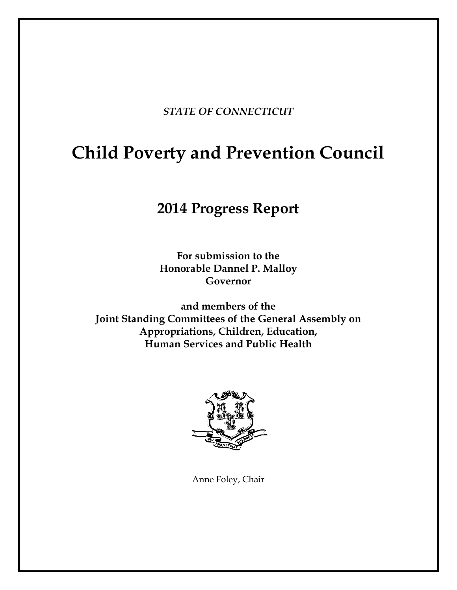*STATE OF CONNECTICUT*

# **Child Poverty and Prevention Council**

# **2014 Progress Report**

**For submission to the Honorable Dannel P. Malloy Governor**

**and members of the Joint Standing Committees of the General Assembly on Appropriations, Children, Education, Human Services and Public Health**



Anne Foley, Chair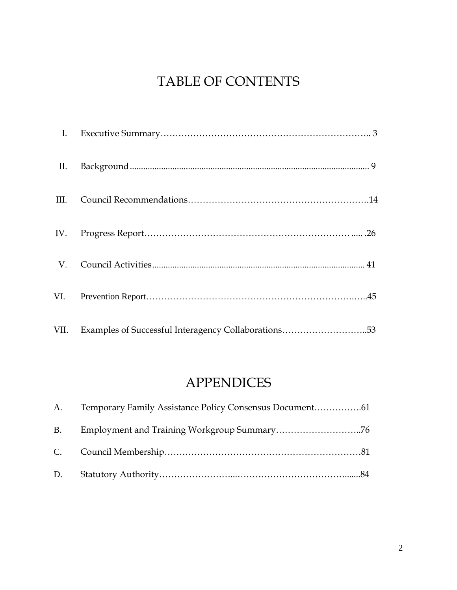# TABLE OF CONTENTS

| $\mathbf{I}$ . |                                                     |  |
|----------------|-----------------------------------------------------|--|
| II.            |                                                     |  |
|                |                                                     |  |
|                |                                                     |  |
|                |                                                     |  |
|                |                                                     |  |
| VII.           | Examples of Successful Interagency Collaborations53 |  |

# APPENDICES

| A.        | Temporary Family Assistance Policy Consensus Document61 |  |
|-----------|---------------------------------------------------------|--|
| <b>B.</b> |                                                         |  |
|           |                                                         |  |
| D.        |                                                         |  |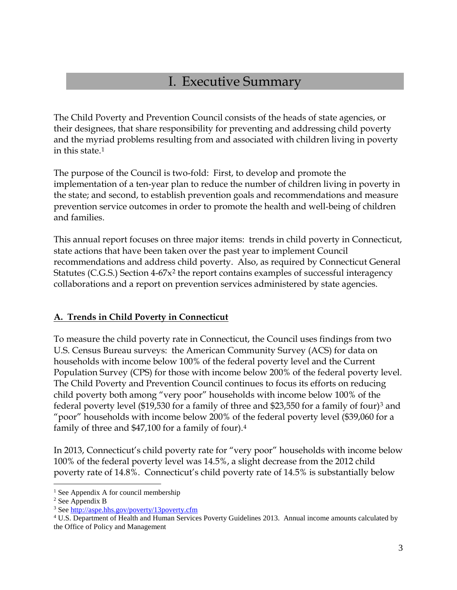## I. Executive Summary

The Child Poverty and Prevention Council consists of the heads of state agencies, or their designees, that share responsibility for preventing and addressing child poverty and the myriad problems resulting from and associated with children living in poverty in this state.[1](#page-2-0)

The purpose of the Council is two-fold: First, to develop and promote the implementation of a ten-year plan to reduce the number of children living in poverty in the state; and second, to establish prevention goals and recommendations and measure prevention service outcomes in order to promote the health and well-being of children and families.

This annual report focuses on three major items: trends in child poverty in Connecticut, state actions that have been taken over the past year to implement Council recommendations and address child poverty. Also, as required by Connecticut General Statutes (C.G.S.) Section  $4-67x^2$  $4-67x^2$  the report contains examples of successful interagency collaborations and a report on prevention services administered by state agencies.

#### **A. Trends in Child Poverty in Connecticut**

To measure the child poverty rate in Connecticut, the Council uses findings from two U.S. Census Bureau surveys: the American Community Survey (ACS) for data on households with income below 100% of the federal poverty level and the Current Population Survey (CPS) for those with income below 200% of the federal poverty level. The Child Poverty and Prevention Council continues to focus its efforts on reducing child poverty both among "very poor" households with income below 100% of the federal poverty level (\$19,530 for a family of three and \$23,550 for a family of four)[3](#page-2-2) and "poor" households with income below 200% of the federal poverty level (\$39,060 for a family of three and \$47,100 for a family of four).[4](#page-2-3)

In 2013, Connecticut's child poverty rate for "very poor" households with income below 100% of the federal poverty level was 14.5%, a slight decrease from the 2012 child poverty rate of 14.8%. Connecticut's child poverty rate of 14.5% is substantially below

<sup>&</sup>lt;sup>1</sup> See Appendix A for council membership  $\overline{a}$ 

<span id="page-2-1"></span><span id="page-2-0"></span><sup>2</sup> See Appendix B

<span id="page-2-2"></span><sup>3</sup> Se[e http://aspe.hhs.gov/poverty/13poverty.cfm](http://aspe.hhs.gov/poverty/13poverty.cfm)

<span id="page-2-3"></span><sup>4</sup> U.S. Department of Health and Human Services Poverty Guidelines 2013. Annual income amounts calculated by the Office of Policy and Management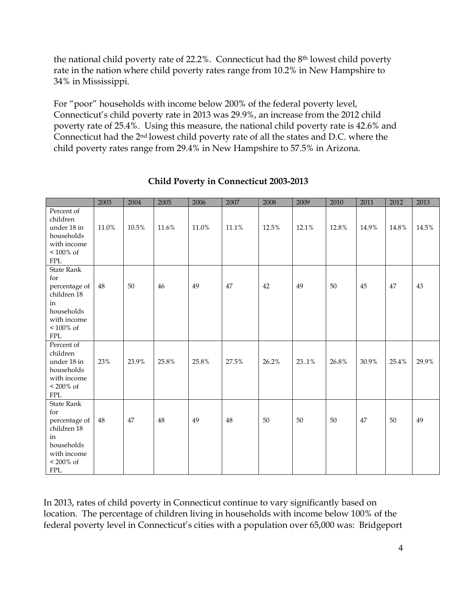the national child poverty rate of 22.2%. Connecticut had the 8th lowest child poverty rate in the nation where child poverty rates range from 10.2% in New Hampshire to 34% in Mississippi.

For "poor" households with income below 200% of the federal poverty level, Connecticut's child poverty rate in 2013 was 29.9%, an increase from the 2012 child poverty rate of 25.4%. Using this measure, the national child poverty rate is 42.6% and Connecticut had the 2nd lowest child poverty rate of all the states and D.C. where the child poverty rates range from 29.4% in New Hampshire to 57.5% in Arizona.

|                                                                                                                           | 2003   | 2004  | 2005  | 2006  | 2007  | 2008  | 2009  | 2010  | 2011  | 2012  | 2013  |
|---------------------------------------------------------------------------------------------------------------------------|--------|-------|-------|-------|-------|-------|-------|-------|-------|-------|-------|
| Percent of<br>children<br>under 18 in<br>households<br>with income<br>$<100\%$ of<br><b>FPL</b>                           | 11.0%  | 10.5% | 11.6% | 11.0% | 11.1% | 12.5% | 12.1% | 12.8% | 14.9% | 14.8% | 14.5% |
| <b>State Rank</b><br>for<br>percentage of<br>children 18<br>in<br>households<br>with income<br>$<100\%$ of<br><b>FPL</b>  | $48\,$ | 50    | 46    | 49    | 47    | 42    | 49    | 50    | 45    | 47    | 43    |
| Percent of<br>children<br>under 18 in<br>households<br>with income<br>$< 200\%$ of<br><b>FPL</b>                          | 23%    | 23.9% | 25.8% | 25.8% | 27.5% | 26.2% | 23.1% | 26.8% | 30.9% | 25.4% | 29.9% |
| <b>State Rank</b><br>for<br>percentage of<br>children 18<br>in<br>households<br>with income<br>$< 200\%$ of<br><b>FPL</b> | 48     | 47    | 48    | 49    | 48    | 50    | 50    | 50    | 47    | 50    | 49    |

### **Child Poverty in Connecticut 2003-2013**

In 2013, rates of child poverty in Connecticut continue to vary significantly based on location. The percentage of children living in households with income below 100% of the federal poverty level in Connecticut's cities with a population over 65,000 was: Bridgeport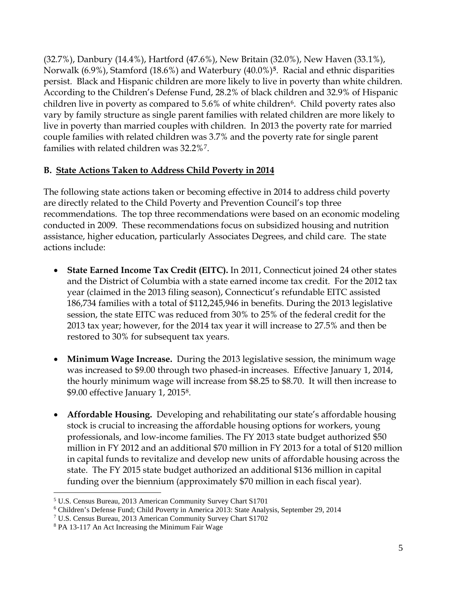(32.7%), Danbury (14.4%), Hartford (47.6%), New Britain (32.0%), New Haven (33.1%), Norwalk (6.9%), Stamford (18.6%) and Waterbury (40.0%)**[5](#page-4-0)**. Racial and ethnic disparities persist. Black and Hispanic children are more likely to live in poverty than white children. According to the Children's Defense Fund, 28.2% of black children and 32.9% of Hispanic children live in poverty as compared to  $5.6\%$  of white children<sup>6</sup>. Child poverty rates also vary by family structure as single parent families with related children are more likely to live in poverty than married couples with children. In 2013 the poverty rate for married couple families with related children was 3.7% and the poverty rate for single parent families with related children was 32.2%[7.](#page-4-2)

### **B. State Actions Taken to Address Child Poverty in 2014**

The following state actions taken or becoming effective in 2014 to address child poverty are directly related to the Child Poverty and Prevention Council's top three recommendations. The top three recommendations were based on an economic modeling conducted in 2009. These recommendations focus on subsidized housing and nutrition assistance, higher education, particularly Associates Degrees, and child care. The state actions include:

- **State Earned Income Tax Credit (EITC).** In 2011, Connecticut joined 24 other states and the District of Columbia with a state earned income tax credit. For the 2012 tax year (claimed in the 2013 filing season), Connecticut's refundable EITC assisted 186,734 families with a total of \$112,245,946 in benefits. During the 2013 legislative session, the state EITC was reduced from 30% to 25% of the federal credit for the 2013 tax year; however, for the 2014 tax year it will increase to 27.5% and then be restored to 30% for subsequent tax years.
- **Minimum Wage Increase.** During the 2013 legislative session, the minimum wage was increased to \$9.00 through two phased-in increases. Effective January 1, 2014, the hourly minimum wage will increase from \$8.25 to \$8.70. It will then increase to \$9.00 effective January 1, 2015[8.](#page-4-3)
- **Affordable Housing.** Developing and rehabilitating our state's affordable housing stock is crucial to increasing the affordable housing options for workers, young professionals, and low-income families. The FY 2013 state budget authorized \$50 million in FY 2012 and an additional \$70 million in FY 2013 for a total of \$120 million in capital funds to revitalize and develop new units of affordable housing across the state. The FY 2015 state budget authorized an additional \$136 million in capital funding over the biennium (approximately \$70 million in each fiscal year).

<sup>5</sup> U.S. Census Bureau, 2013 American Community Survey Chart S1701  $\overline{a}$ 

<span id="page-4-1"></span><span id="page-4-0"></span><sup>&</sup>lt;sup>6</sup> Children's Defense Fund; Child Poverty in America 2013: State Analysis, September 29, 2014<br><sup>7</sup> U.S. Census Bureau, 2013 American Community Survey Chart S1702

<span id="page-4-2"></span>

<span id="page-4-3"></span><sup>8</sup> PA 13-117 An Act Increasing the Minimum Fair Wage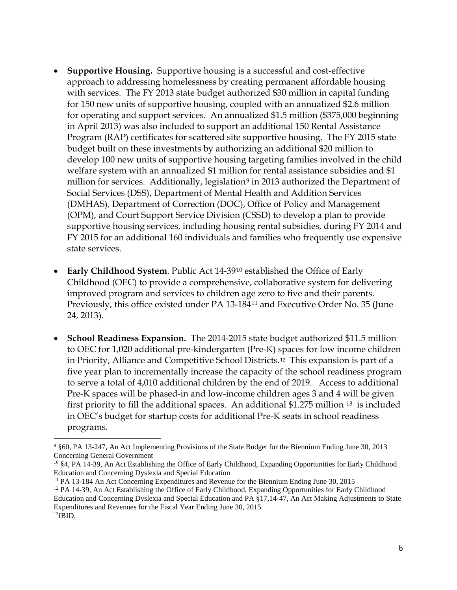- **Supportive Housing.** Supportive housing is a successful and cost-effective approach to addressing homelessness by creating permanent affordable housing with services. The FY 2013 state budget authorized \$30 million in capital funding for 150 new units of supportive housing, coupled with an annualized \$2.6 million for operating and support services. An annualized \$1.5 million (\$375,000 beginning in April 2013) was also included to support an additional 150 Rental Assistance Program (RAP) certificates for scattered site supportive housing. The FY 2015 state budget built on these investments by authorizing an additional \$20 million to develop 100 new units of supportive housing targeting families involved in the child welfare system with an annualized \$1 million for rental assistance subsidies and \$1 million for services. Additionally, legislation<sup>[9](#page-5-0)</sup> in 2013 authorized the Department of Social Services (DSS), Department of Mental Health and Addition Services (DMHAS), Department of Correction (DOC), Office of Policy and Management (OPM), and Court Support Service Division (CSSD) to develop a plan to provide supportive housing services, including housing rental subsidies, during FY 2014 and FY 2015 for an additional 160 individuals and families who frequently use expensive state services.
- **Early Childhood System**. Public Act 14-39[10](#page-5-1) established the Office of Early Childhood (OEC) to provide a comprehensive, collaborative system for delivering improved program and services to children age zero to five and their parents. Previously, this office existed under PA 13-184[11](#page-5-2) and Executive Order No. 35 (June 24, 2013).
- **School Readiness Expansion.** The 2014-2015 state budget authorized \$11.5 million to OEC for 1,020 additional pre-kindergarten (Pre-K) spaces for low income children in Priority, Alliance and Competitive School Districts.[12](#page-5-3) This expansion is part of a five year plan to incrementally increase the capacity of the school readiness program to serve a total of 4,010 additional children by the end of 2019. Access to additional Pre-K spaces will be phased-in and low-income children ages 3 and 4 will be given first priority to fill the additional spaces. An additional \$1.275 million <sup>[13](#page-5-4)</sup> is included in OEC's budget for startup costs for additional Pre-K seats in school readiness programs.

<span id="page-5-0"></span><sup>9</sup> §60, PA 13-247, An Act Implementing Provisions of the State Budget for the Biennium Ending June 30, 2013 Concerning General Government

<span id="page-5-1"></span><sup>10</sup> §4, PA 14-39, An Act Establishing the Office of Early Childhood, Expanding Opportunities for Early Childhood Education and Concerning Dyslexia and Special Education

<span id="page-5-2"></span><sup>11</sup> PA 13-184 An Act Concerning Expenditures and Revenue for the Biennium Ending June 30, 2015

<span id="page-5-4"></span><span id="page-5-3"></span> $12$  PA 14-39, An Act Establishing the Office of Early Childhood, Expanding Opportunities for Early Childhood Education and Concerning Dyslexia and Special Education and PA §17,14-47, An Act Making Adjustments to State Expenditures and Revenues for the Fiscal Year Ending June 30, 2015  $^{13}$ IBID.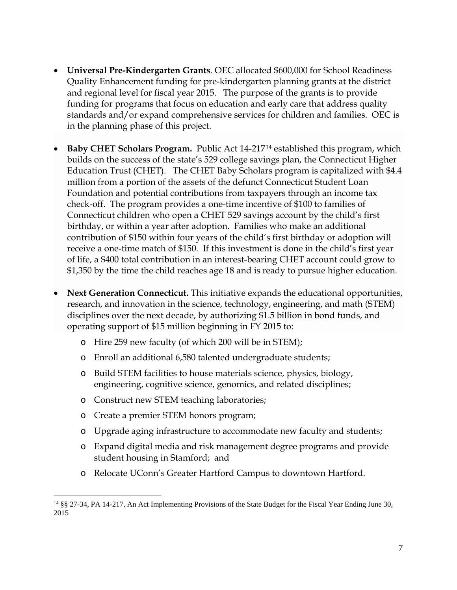- **Universal Pre-Kindergarten Grants***.* OEC allocated \$600,000 for School Readiness Quality Enhancement funding for pre-kindergarten planning grants at the district and regional level for fiscal year 2015. The purpose of the grants is to provide funding for programs that focus on education and early care that address quality standards and/or expand comprehensive services for children and families. OEC is in the planning phase of this project.
- **Baby CHET Scholars Program.** Public Act 14-217[14](#page-6-0) established this program, which builds on the success of the state's 529 college savings plan, the Connecticut Higher Education Trust (CHET). The CHET Baby Scholars program is capitalized with \$4.4 million from a portion of the assets of the defunct Connecticut Student Loan Foundation and potential contributions from taxpayers through an income tax check-off. The program provides a one-time incentive of \$100 to families of Connecticut children who open a CHET 529 savings account by the child's first birthday, or within a year after adoption. Families who make an additional contribution of \$150 within four years of the child's first birthday or adoption will receive a one-time match of \$150. If this investment is done in the child's first year of life, a \$400 total contribution in an interest-bearing CHET account could grow to \$1,350 by the time the child reaches age 18 and is ready to pursue higher education.
- **Next Generation Connecticut.** This initiative expands the educational opportunities, research, and innovation in the science, technology, engineering, and math (STEM) disciplines over the next decade, by authorizing \$1.5 billion in bond funds, and operating support of \$15 million beginning in FY 2015 to:
	- o Hire 259 new faculty (of which 200 will be in STEM);
	- o Enroll an additional 6,580 talented undergraduate students;
	- o Build STEM facilities to house materials science, physics, biology, engineering, cognitive science, genomics, and related disciplines;
	- o Construct new STEM teaching laboratories;
	- o Create a premier STEM honors program;
	- o Upgrade aging infrastructure to accommodate new faculty and students;
	- o Expand digital media and risk management degree programs and provide student housing in Stamford; and
	- o Relocate UConn's Greater Hartford Campus to downtown Hartford.

<span id="page-6-0"></span><sup>14</sup> §§ 27-34, PA 14-217, An Act Implementing Provisions of the State Budget for the Fiscal Year Ending June 30, 2015  $\overline{a}$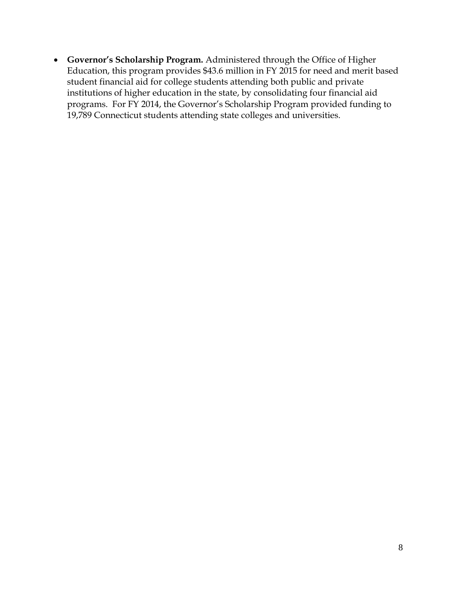• **Governor's Scholarship Program.** Administered through the Office of Higher Education, this program provides \$43.6 million in FY 2015 for need and merit based student financial aid for college students attending both public and private institutions of higher education in the state, by consolidating four financial aid programs. For FY 2014, the Governor's Scholarship Program provided funding to 19,789 Connecticut students attending state colleges and universities.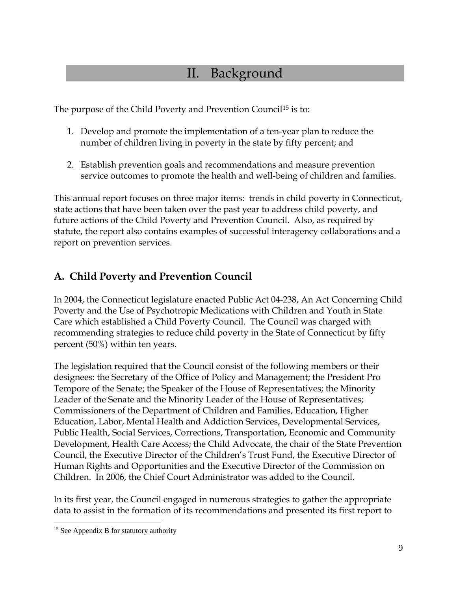# II. Background

The purpose of the Child Poverty and Prevention Council<sup>[15](#page-8-0)</sup> is to:

- 1. Develop and promote the implementation of a ten-year plan to reduce the number of children living in poverty in the state by fifty percent; and
- 2. Establish prevention goals and recommendations and measure prevention service outcomes to promote the health and well-being of children and families.

This annual report focuses on three major items: trends in child poverty in Connecticut, state actions that have been taken over the past year to address child poverty, and future actions of the Child Poverty and Prevention Council. Also, as required by statute, the report also contains examples of successful interagency collaborations and a report on prevention services.

### **A. Child Poverty and Prevention Council**

In 2004, the Connecticut legislature enacted Public Act 04-238, An Act Concerning Child Poverty and the Use of Psychotropic Medications with Children and Youth in State Care which established a Child Poverty Council. The Council was charged with recommending strategies to reduce child poverty in the State of Connecticut by fifty percent (50%) within ten years.

The legislation required that the Council consist of the following members or their designees: the Secretary of the Office of Policy and Management; the President Pro Tempore of the Senate; the Speaker of the House of Representatives; the Minority Leader of the Senate and the Minority Leader of the House of Representatives; Commissioners of the Department of Children and Families, Education, Higher Education, Labor, Mental Health and Addiction Services, Developmental Services, Public Health, Social Services, Corrections, Transportation, Economic and Community Development, Health Care Access; the Child Advocate, the chair of the State Prevention Council, the Executive Director of the Children's Trust Fund, the Executive Director of Human Rights and Opportunities and the Executive Director of the Commission on Children. In 2006, the Chief Court Administrator was added to the Council.

In its first year, the Council engaged in numerous strategies to gather the appropriate data to assist in the formation of its recommendations and presented its first report to

<span id="page-8-0"></span><sup>&</sup>lt;sup>15</sup> See Appendix B for statutory authority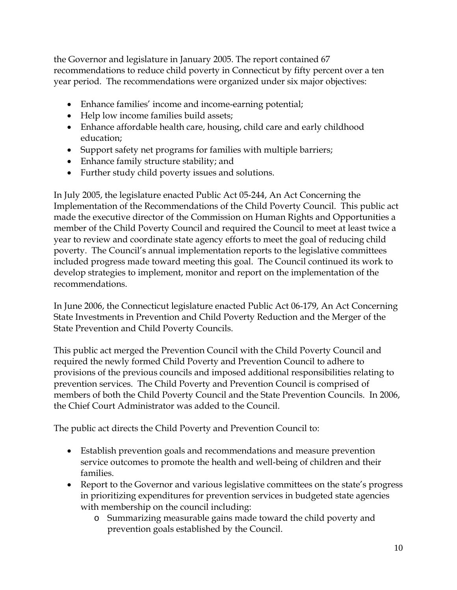the Governor and legislature in January 2005. The report contained 67 recommendations to reduce child poverty in Connecticut by fifty percent over a ten year period. The recommendations were organized under six major objectives:

- Enhance families' income and income-earning potential;
- Help low income families build assets;
- Enhance affordable health care, housing, child care and early childhood education;
- Support safety net programs for families with multiple barriers;
- Enhance family structure stability; and
- Further study child poverty issues and solutions.

In July 2005, the legislature enacted Public Act 05-244, An Act Concerning the Implementation of the Recommendations of the Child Poverty Council. This public act made the executive director of the Commission on Human Rights and Opportunities a member of the Child Poverty Council and required the Council to meet at least twice a year to review and coordinate state agency efforts to meet the goal of reducing child poverty. The Council's annual implementation reports to the legislative committees included progress made toward meeting this goal. The Council continued its work to develop strategies to implement, monitor and report on the implementation of the recommendations.

In June 2006, the Connecticut legislature enacted Public Act 06-179, An Act Concerning State Investments in Prevention and Child Poverty Reduction and the Merger of the State Prevention and Child Poverty Councils.

This public act merged the Prevention Council with the Child Poverty Council and required the newly formed Child Poverty and Prevention Council to adhere to provisions of the previous councils and imposed additional responsibilities relating to prevention services. The Child Poverty and Prevention Council is comprised of members of both the Child Poverty Council and the State Prevention Councils. In 2006, the Chief Court Administrator was added to the Council.

The public act directs the Child Poverty and Prevention Council to:

- Establish prevention goals and recommendations and measure prevention service outcomes to promote the health and well-being of children and their families.
- Report to the Governor and various legislative committees on the state's progress in prioritizing expenditures for prevention services in budgeted state agencies with membership on the council including:
	- o Summarizing measurable gains made toward the child poverty and prevention goals established by the Council.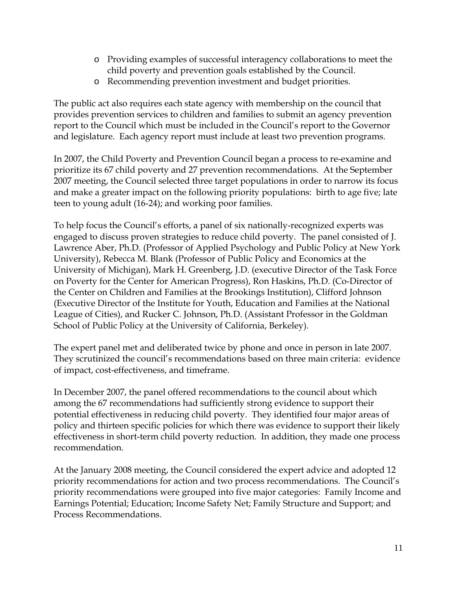- o Providing examples of successful interagency collaborations to meet the child poverty and prevention goals established by the Council.
- o Recommending prevention investment and budget priorities.

The public act also requires each state agency with membership on the council that provides prevention services to children and families to submit an agency prevention report to the Council which must be included in the Council's report to the Governor and legislature. Each agency report must include at least two prevention programs.

In 2007, the Child Poverty and Prevention Council began a process to re-examine and prioritize its 67 child poverty and 27 prevention recommendations. At the September 2007 meeting, the Council selected three target populations in order to narrow its focus and make a greater impact on the following priority populations: birth to age five; late teen to young adult (16-24); and working poor families.

To help focus the Council's efforts, a panel of six nationally-recognized experts was engaged to discuss proven strategies to reduce child poverty. The panel consisted of J. Lawrence Aber, Ph.D. (Professor of Applied Psychology and Public Policy at New York University), Rebecca M. Blank (Professor of Public Policy and Economics at the University of Michigan), Mark H. Greenberg, J.D. (executive Director of the Task Force on Poverty for the Center for American Progress), Ron Haskins, Ph.D. (Co-Director of the Center on Children and Families at the Brookings Institution), Clifford Johnson (Executive Director of the Institute for Youth, Education and Families at the National League of Cities), and Rucker C. Johnson, Ph.D. (Assistant Professor in the Goldman School of Public Policy at the University of California, Berkeley).

The expert panel met and deliberated twice by phone and once in person in late 2007. They scrutinized the council's recommendations based on three main criteria: evidence of impact, cost-effectiveness, and timeframe.

In December 2007, the panel offered recommendations to the council about which among the 67 recommendations had sufficiently strong evidence to support their potential effectiveness in reducing child poverty. They identified four major areas of policy and thirteen specific policies for which there was evidence to support their likely effectiveness in short-term child poverty reduction. In addition, they made one process recommendation.

At the January 2008 meeting, the Council considered the expert advice and adopted 12 priority recommendations for action and two process recommendations. The Council's priority recommendations were grouped into five major categories: Family Income and Earnings Potential; Education; Income Safety Net; Family Structure and Support; and Process Recommendations.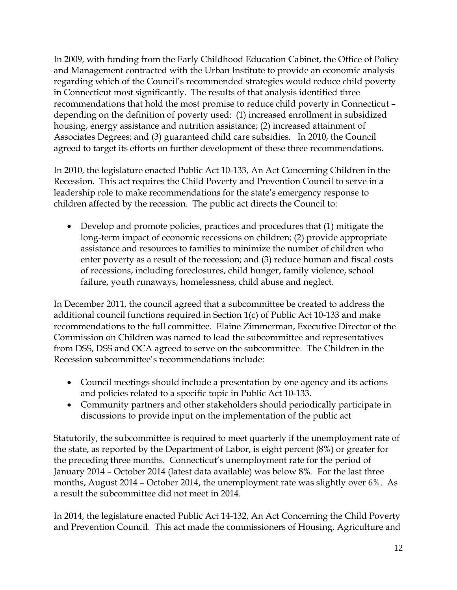In 2009, with funding from the Early Childhood Education Cabinet, the Office of Policy and Management contracted with the Urban Institute to provide an economic analysis regarding which of the Council's recommended strategies would reduce child poverty in Connecticut most significantly. The results of that analysis identified three recommendations that hold the most promise to reduce child poverty in Connecticut – depending on the definition of poverty used: (1) increased enrollment in subsidized housing, energy assistance and nutrition assistance; (2) increased attainment of Associates Degrees; and (3) guaranteed child care subsidies. In 2010, the Council agreed to target its efforts on further development of these three recommendations.

In 2010, the legislature enacted Public Act 10-133, An Act Concerning Children in the Recession. This act requires the Child Poverty and Prevention Council to serve in a leadership role to make recommendations for the state's emergency response to children affected by the recession. The public act directs the Council to:

• Develop and promote policies, practices and procedures that (1) mitigate the long-term impact of economic recessions on children; (2) provide appropriate assistance and resources to families to minimize the number of children who enter poverty as a result of the recession; and (3) reduce human and fiscal costs of recessions, including foreclosures, child hunger, family violence, school failure, youth runaways, homelessness, child abuse and neglect.

In December 2011, the council agreed that a subcommittee be created to address the additional council functions required in Section 1(c) of Public Act 10-133 and make recommendations to the full committee. Elaine Zimmerman, Executive Director of the Commission on Children was named to lead the subcommittee and representatives from DSS, DSS and OCA agreed to serve on the subcommittee. The Children in the Recession subcommittee's recommendations include:

- Council meetings should include a presentation by one agency and its actions and policies related to a specific topic in Public Act 10-133.
- Community partners and other stakeholders should periodically participate in discussions to provide input on the implementation of the public act

Statutorily, the subcommittee is required to meet quarterly if the unemployment rate of the state, as reported by the Department of Labor, is eight percent (8%) or greater for the preceding three months. Connecticut's unemployment rate for the period of January 2014 – October 2014 (latest data available) was below 8%. For the last three months, August 2014 – October 2014, the unemployment rate was slightly over 6%. As a result the subcommittee did not meet in 2014.

In 2014, the legislature enacted Public Act 14-132, An Act Concerning the Child Poverty and Prevention Council. This act made the commissioners of Housing, Agriculture and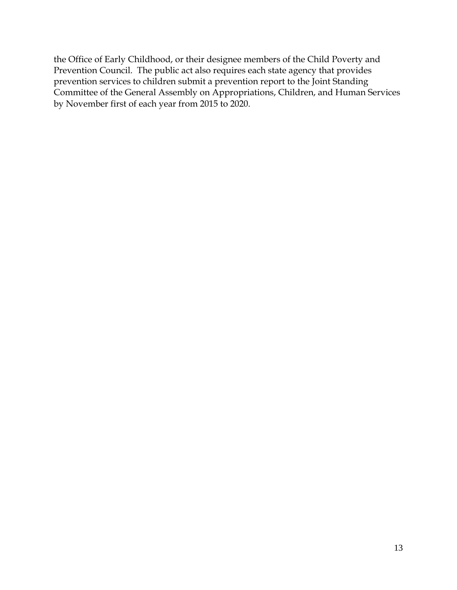the Office of Early Childhood, or their designee members of the Child Poverty and Prevention Council. The public act also requires each state agency that provides prevention services to children submit a prevention report to the Joint Standing Committee of the General Assembly on Appropriations, Children, and Human Services by November first of each year from 2015 to 2020.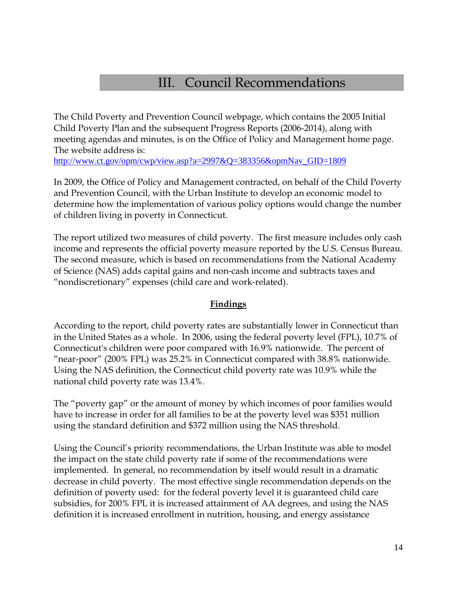# III. Council Recommendations

The Child Poverty and Prevention Council webpage, which contains the 2005 Initial Child Poverty Plan and the subsequent Progress Reports (2006-2014), along with meeting agendas and minutes, is on the Office of Policy and Management home page. The website address is:

[http://www.ct.gov/opm/cwp/view.asp?a=2997&Q=383356&opmNav\\_GID=1809](http://www.ct.gov/opm/cwp/view.asp?a=2997&Q=383356&opmNav_GID=1809)

In 2009, the Office of Policy and Management contracted, on behalf of the Child Poverty and Prevention Council, with the Urban Institute to develop an economic model to determine how the implementation of various policy options would change the number of children living in poverty in Connecticut.

The report utilized two measures of child poverty. The first measure includes only cash income and represents the official poverty measure reported by the U.S. Census Bureau. The second measure, which is based on recommendations from the National Academy of Science (NAS) adds capital gains and non-cash income and subtracts taxes and "nondiscretionary" expenses (child care and work-related).

#### **Findings**

According to the report, child poverty rates are substantially lower in Connecticut than in the United States as a whole. In 2006, using the federal poverty level (FPL), 10.7% of Connecticut's children were poor compared with 16.9% nationwide. The percent of "near-poor" (200% FPL) was 25.2% in Connecticut compared with 38.8% nationwide. Using the NAS definition, the Connecticut child poverty rate was 10.9% while the national child poverty rate was 13.4%.

The "poverty gap" or the amount of money by which incomes of poor families would have to increase in order for all families to be at the poverty level was \$351 million using the standard definition and \$372 million using the NAS threshold.

Using the Council's priority recommendations, the Urban Institute was able to model the impact on the state child poverty rate if some of the recommendations were implemented. In general, no recommendation by itself would result in a dramatic decrease in child poverty. The most effective single recommendation depends on the definition of poverty used: for the federal poverty level it is guaranteed child care subsidies, for 200% FPL it is increased attainment of AA degrees, and using the NAS definition it is increased enrollment in nutrition, housing, and energy assistance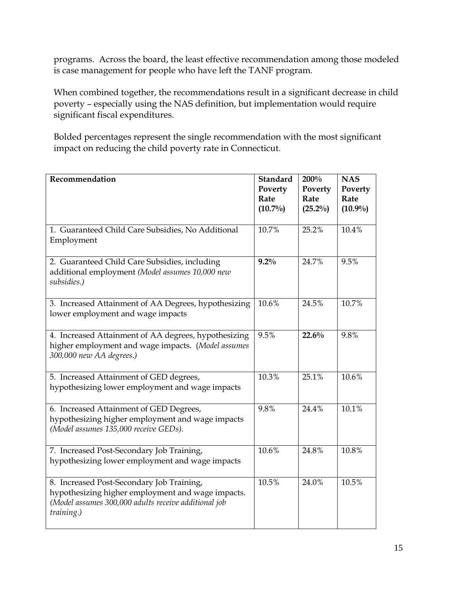programs. Across the board, the least effective recommendation among those modeled is case management for people who have left the TANF program.

When combined together, the recommendations result in a significant decrease in child poverty – especially using the NAS definition, but implementation would require significant fiscal expenditures.

Bolded percentages represent the single recommendation with the most significant impact on reducing the child poverty rate in Connecticut.

| Recommendation                                                                                                                                                       | <b>Standard</b><br>Poverty<br>Rate<br>$(10.7\%)$ | 200%<br>Poverty<br>Rate<br>$(25.2\%)$ | <b>NAS</b><br>Poverty<br>Rate<br>$(10.9\%)$ |
|----------------------------------------------------------------------------------------------------------------------------------------------------------------------|--------------------------------------------------|---------------------------------------|---------------------------------------------|
| 1. Guaranteed Child Care Subsidies, No Additional<br>Employment                                                                                                      | 10.7%                                            | 25.2%                                 | 10.4%                                       |
| 2. Guaranteed Child Care Subsidies, including<br>additional employment (Model assumes 10,000 new<br>subsidies.)                                                      | $9.2\%$                                          | 24.7%                                 | 9.5%                                        |
| 3. Increased Attainment of AA Degrees, hypothesizing<br>lower employment and wage impacts                                                                            | 10.6%                                            | 24.5%                                 | 10.7%                                       |
| 4. Increased Attainment of AA degrees, hypothesizing<br>higher employment and wage impacts. (Model assumes<br>300,000 new AA degrees.)                               | 9.5%                                             | 22.6%                                 | 9.8%                                        |
| 5. Increased Attainment of GED degrees,<br>hypothesizing lower employment and wage impacts                                                                           | 10.3%                                            | 25.1%                                 | 10.6%                                       |
| 6. Increased Attainment of GED Degrees,<br>hypothesizing higher employment and wage impacts<br>(Model assumes 135,000 receive GEDs).                                 | 9.8%                                             | 24.4%                                 | 10.1%                                       |
| 7. Increased Post-Secondary Job Training,<br>hypothesizing lower employment and wage impacts                                                                         | 10.6%                                            | 24.8%                                 | 10.8%                                       |
| 8. Increased Post-Secondary Job Training,<br>hypothesizing higher employment and wage impacts.<br>(Model assumes 300,000 adults receive additional job<br>training.) | 10.5%                                            | 24.0%                                 | 10.5%                                       |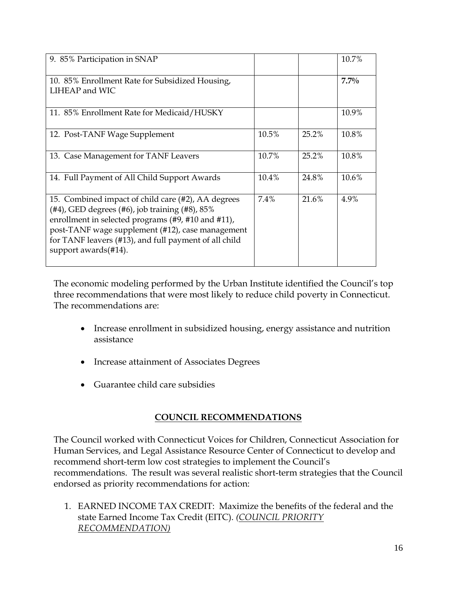| 9. 85% Participation in SNAP                                                                                                                                                                                                                                                                       |       |       | 10.7%   |
|----------------------------------------------------------------------------------------------------------------------------------------------------------------------------------------------------------------------------------------------------------------------------------------------------|-------|-------|---------|
| 10. 85% Enrollment Rate for Subsidized Housing,<br>LIHEAP and WIC                                                                                                                                                                                                                                  |       |       | $7.7\%$ |
| 11. 85% Enrollment Rate for Medicaid/HUSKY                                                                                                                                                                                                                                                         |       |       | 10.9%   |
| 12. Post-TANF Wage Supplement                                                                                                                                                                                                                                                                      | 10.5% | 25.2% | 10.8%   |
| 13. Case Management for TANF Leavers                                                                                                                                                                                                                                                               | 10.7% | 25.2% | 10.8%   |
| 14. Full Payment of All Child Support Awards                                                                                                                                                                                                                                                       | 10.4% | 24.8% | 10.6%   |
| 15. Combined impact of child care (#2), AA degrees<br>(#4), GED degrees (#6), job training (#8), $85\%$<br>enrollment in selected programs (#9, #10 and #11),<br>post-TANF wage supplement (#12), case management<br>for TANF leavers (#13), and full payment of all child<br>support awards(#14). | 7.4%  | 21.6% | 4.9%    |

The economic modeling performed by the Urban Institute identified the Council's top three recommendations that were most likely to reduce child poverty in Connecticut. The recommendations are:

- Increase enrollment in subsidized housing, energy assistance and nutrition assistance
- Increase attainment of Associates Degrees
- Guarantee child care subsidies

### **COUNCIL RECOMMENDATIONS**

The Council worked with Connecticut Voices for Children, Connecticut Association for Human Services, and Legal Assistance Resource Center of Connecticut to develop and recommend short-term low cost strategies to implement the Council's recommendations. The result was several realistic short-term strategies that the Council endorsed as priority recommendations for action:

1. EARNED INCOME TAX CREDIT: Maximize the benefits of the federal and the state Earned Income Tax Credit (EITC). *(COUNCIL PRIORITY RECOMMENDATION)*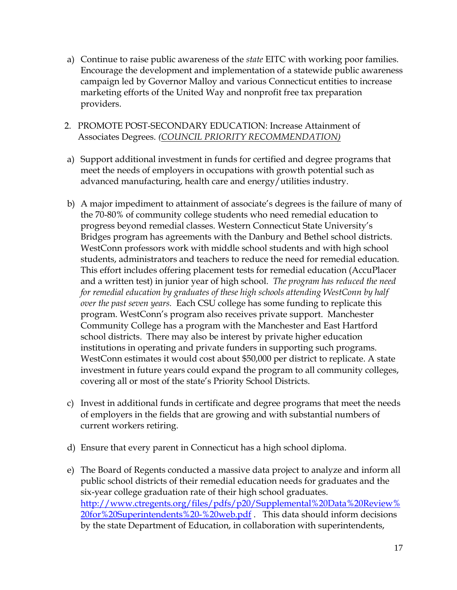- a) Continue to raise public awareness of the *state* EITC with working poor families. Encourage the development and implementation of a statewide public awareness campaign led by Governor Malloy and various Connecticut entities to increase marketing efforts of the United Way and nonprofit free tax preparation providers.
- 2. PROMOTE POST-SECONDARY EDUCATION: Increase Attainment of Associates Degrees. *(COUNCIL PRIORITY RECOMMENDATION)*
- a) Support additional investment in funds for certified and degree programs that meet the needs of employers in occupations with growth potential such as advanced manufacturing, health care and energy/utilities industry.
- b) A major impediment to attainment of associate's degrees is the failure of many of the 70-80% of community college students who need remedial education to progress beyond remedial classes. Western Connecticut State University's Bridges program has agreements with the Danbury and Bethel school districts. WestConn professors work with middle school students and with high school students, administrators and teachers to reduce the need for remedial education. This effort includes offering placement tests for remedial education (AccuPlacer and a written test) in junior year of high school. *The program has reduced the need for remedial education by graduates of these high schools attending WestConn by half over the past seven years.* Each CSU college has some funding to replicate this program. WestConn's program also receives private support. Manchester Community College has a program with the Manchester and East Hartford school districts. There may also be interest by private higher education institutions in operating and private funders in supporting such programs. WestConn estimates it would cost about \$50,000 per district to replicate. A state investment in future years could expand the program to all community colleges, covering all or most of the state's Priority School Districts.
- c) Invest in additional funds in certificate and degree programs that meet the needs of employers in the fields that are growing and with substantial numbers of current workers retiring.
- d) Ensure that every parent in Connecticut has a high school diploma.
- e) The Board of Regents conducted a massive data project to analyze and inform all public school districts of their remedial education needs for graduates and the six-year college graduation rate of their high school graduates. [http://www.ctregents.org/files/pdfs/p20/Supplemental%20Data%20Review%](http://www.ctregents.org/files/pdfs/p20/Supplemental%20Data%20Review%20for%20Superintendents%20-%20web.pdf) [20for%20Superintendents%20-%20web.pdf](http://www.ctregents.org/files/pdfs/p20/Supplemental%20Data%20Review%20for%20Superintendents%20-%20web.pdf). This data should inform decisions by the state Department of Education, in collaboration with superintendents,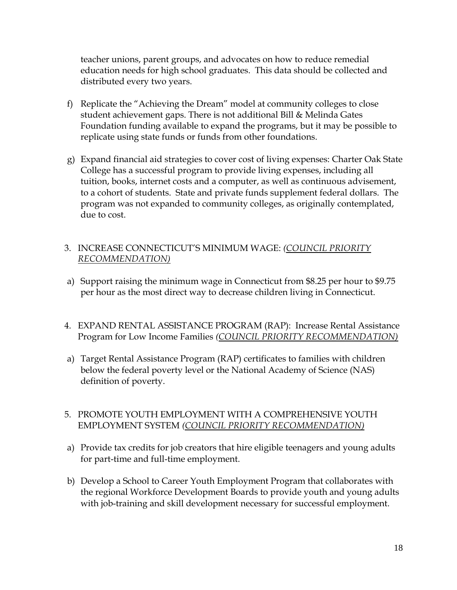teacher unions, parent groups, and advocates on how to reduce remedial education needs for high school graduates. This data should be collected and distributed every two years.

- f) Replicate the "Achieving the Dream" model at community colleges to close student achievement gaps. There is not additional Bill & Melinda Gates Foundation funding available to expand the programs, but it may be possible to replicate using state funds or funds from other foundations.
- g) Expand financial aid strategies to cover cost of living expenses: Charter Oak State College has a successful program to provide living expenses, including all tuition, books, internet costs and a computer, as well as continuous advisement, to a cohort of students. State and private funds supplement federal dollars. The program was not expanded to community colleges, as originally contemplated, due to cost.

#### 3. INCREASE CONNECTICUT'S MINIMUM WAGE: *(COUNCIL PRIORITY RECOMMENDATION)*

- a) Support raising the minimum wage in Connecticut from \$8.25 per hour to \$9.75 per hour as the most direct way to decrease children living in Connecticut.
- 4. EXPAND RENTAL ASSISTANCE PROGRAM (RAP): Increase Rental Assistance Program for Low Income Families *(COUNCIL PRIORITY RECOMMENDATION)*
- a) Target Rental Assistance Program (RAP) certificates to families with children below the federal poverty level or the National Academy of Science (NAS) definition of poverty.

#### 5. PROMOTE YOUTH EMPLOYMENT WITH A COMPREHENSIVE YOUTH EMPLOYMENT SYSTEM *(COUNCIL PRIORITY RECOMMENDATION)*

- a) Provide tax credits for job creators that hire eligible teenagers and young adults for part-time and full-time employment.
- b) Develop a School to Career Youth Employment Program that collaborates with the regional Workforce Development Boards to provide youth and young adults with job-training and skill development necessary for successful employment.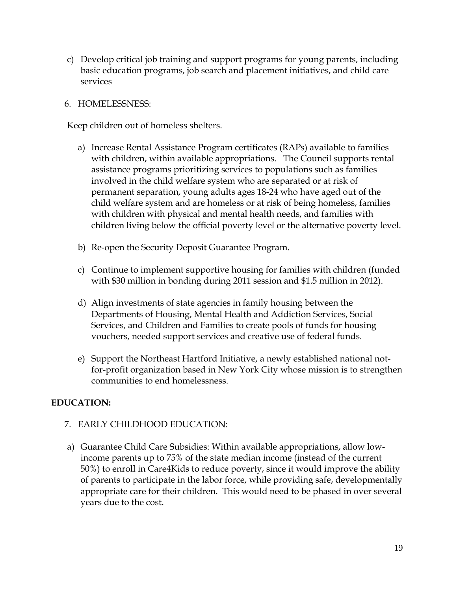c) Develop critical job training and support programs for young parents, including basic education programs, job search and placement initiatives, and child care services

#### 6. HOMELESSNESS:

Keep children out of homeless shelters.

- a) Increase Rental Assistance Program certificates (RAPs) available to families with children, within available appropriations. The Council supports rental assistance programs prioritizing services to populations such as families involved in the child welfare system who are separated or at risk of permanent separation, young adults ages 18-24 who have aged out of the child welfare system and are homeless or at risk of being homeless, families with children with physical and mental health needs, and families with children living below the official poverty level or the alternative poverty level.
- b) Re-open the Security Deposit Guarantee Program.
- c) Continue to implement supportive housing for families with children (funded with \$30 million in bonding during 2011 session and \$1.5 million in 2012).
- d) Align investments of state agencies in family housing between the Departments of Housing, Mental Health and Addiction Services, Social Services, and Children and Families to create pools of funds for housing vouchers, needed support services and creative use of federal funds.
- e) Support the Northeast Hartford Initiative, a newly established national notfor-profit organization based in New York City whose mission is to strengthen communities to end homelessness.

#### **EDUCATION:**

#### 7. EARLY CHILDHOOD EDUCATION:

a) Guarantee Child Care Subsidies: Within available appropriations, allow lowincome parents up to 75% of the state median income (instead of the current 50%) to enroll in Care4Kids to reduce poverty, since it would improve the ability of parents to participate in the labor force, while providing safe, developmentally appropriate care for their children. This would need to be phased in over several years due to the cost.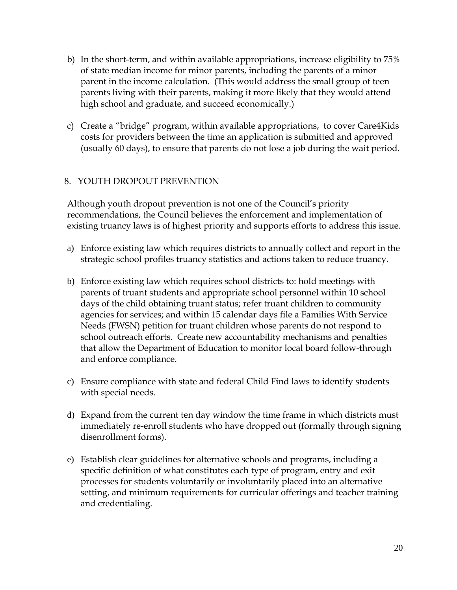- b) In the short-term, and within available appropriations, increase eligibility to 75% of state median income for minor parents, including the parents of a minor parent in the income calculation. (This would address the small group of teen parents living with their parents, making it more likely that they would attend high school and graduate, and succeed economically.)
- c) Create a "bridge" program, within available appropriations, to cover Care4Kids costs for providers between the time an application is submitted and approved (usually 60 days), to ensure that parents do not lose a job during the wait period.

#### 8. YOUTH DROPOUT PREVENTION

Although youth dropout prevention is not one of the Council's priority recommendations, the Council believes the enforcement and implementation of existing truancy laws is of highest priority and supports efforts to address this issue.

- a) Enforce existing law which requires districts to annually collect and report in the strategic school profiles truancy statistics and actions taken to reduce truancy.
- b) Enforce existing law which requires school districts to: hold meetings with parents of truant students and appropriate school personnel within 10 school days of the child obtaining truant status; refer truant children to community agencies for services; and within 15 calendar days file a Families With Service Needs (FWSN) petition for truant children whose parents do not respond to school outreach efforts. Create new accountability mechanisms and penalties that allow the Department of Education to monitor local board follow-through and enforce compliance.
- c) Ensure compliance with state and federal Child Find laws to identify students with special needs.
- d) Expand from the current ten day window the time frame in which districts must immediately re-enroll students who have dropped out (formally through signing disenrollment forms).
- e) Establish clear guidelines for alternative schools and programs, including a specific definition of what constitutes each type of program, entry and exit processes for students voluntarily or involuntarily placed into an alternative setting, and minimum requirements for curricular offerings and teacher training and credentialing.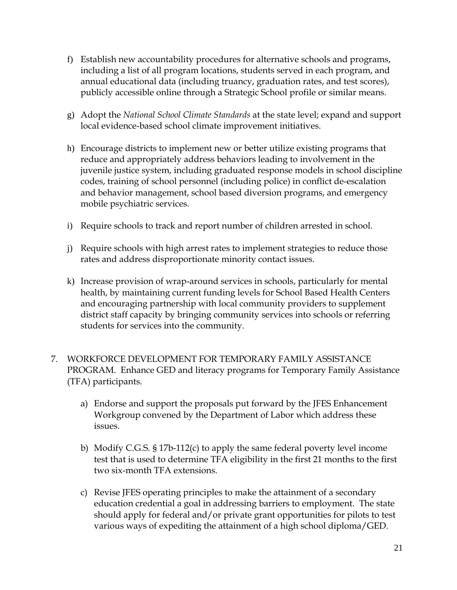- f) Establish new accountability procedures for alternative schools and programs, including a list of all program locations, students served in each program, and annual educational data (including truancy, graduation rates, and test scores), publicly accessible online through a Strategic School profile or similar means.
- g) Adopt the *National School Climate Standards* at the state level; expand and support local evidence-based school climate improvement initiatives.
- h) Encourage districts to implement new or better utilize existing programs that reduce and appropriately address behaviors leading to involvement in the juvenile justice system, including graduated response models in school discipline codes, training of school personnel (including police) in conflict de-escalation and behavior management, school based diversion programs, and emergency mobile psychiatric services.
- i) Require schools to track and report number of children arrested in school.
- j) Require schools with high arrest rates to implement strategies to reduce those rates and address disproportionate minority contact issues.
- k) Increase provision of wrap-around services in schools, particularly for mental health, by maintaining current funding levels for School Based Health Centers and encouraging partnership with local community providers to supplement district staff capacity by bringing community services into schools or referring students for services into the community.
- 7. WORKFORCE DEVELOPMENT FOR TEMPORARY FAMILY ASSISTANCE PROGRAM. Enhance GED and literacy programs for Temporary Family Assistance (TFA) participants.
	- a) Endorse and support the proposals put forward by the JFES Enhancement Workgroup convened by the Department of Labor which address these issues.
	- b) Modify C.G.S. § 17b-112(c) to apply the same federal poverty level income test that is used to determine TFA eligibility in the first 21 months to the first two six-month TFA extensions.
	- c) Revise JFES operating principles to make the attainment of a secondary education credential a goal in addressing barriers to employment. The state should apply for federal and/or private grant opportunities for pilots to test various ways of expediting the attainment of a high school diploma/GED.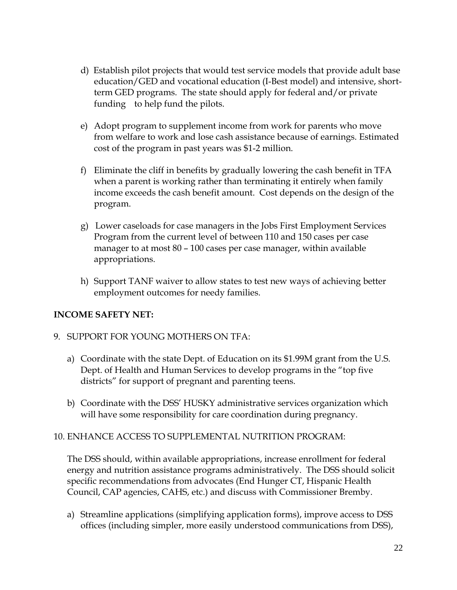- d) Establish pilot projects that would test service models that provide adult base education/GED and vocational education (I-Best model) and intensive, shortterm GED programs. The state should apply for federal and/or private funding to help fund the pilots.
- e) Adopt program to supplement income from work for parents who move from welfare to work and lose cash assistance because of earnings. Estimated cost of the program in past years was \$1-2 million.
- f) Eliminate the cliff in benefits by gradually lowering the cash benefit in TFA when a parent is working rather than terminating it entirely when family income exceeds the cash benefit amount. Cost depends on the design of the program.
- g) Lower caseloads for case managers in the Jobs First Employment Services Program from the current level of between 110 and 150 cases per case manager to at most 80 – 100 cases per case manager, within available appropriations.
- h) Support TANF waiver to allow states to test new ways of achieving better employment outcomes for needy families.

#### **INCOME SAFETY NET:**

#### 9. SUPPORT FOR YOUNG MOTHERS ON TFA:

- a) Coordinate with the state Dept. of Education on its \$1.99M grant from the U.S. Dept. of Health and Human Services to develop programs in the "top five districts" for support of pregnant and parenting teens.
- b) Coordinate with the DSS' HUSKY administrative services organization which will have some responsibility for care coordination during pregnancy.

#### 10. ENHANCE ACCESS TO SUPPLEMENTAL NUTRITION PROGRAM:

The DSS should, within available appropriations, increase enrollment for federal energy and nutrition assistance programs administratively. The DSS should solicit specific recommendations from advocates (End Hunger CT, Hispanic Health Council, CAP agencies, CAHS, etc.) and discuss with Commissioner Bremby.

a) Streamline applications (simplifying application forms), improve access to DSS offices (including simpler, more easily understood communications from DSS),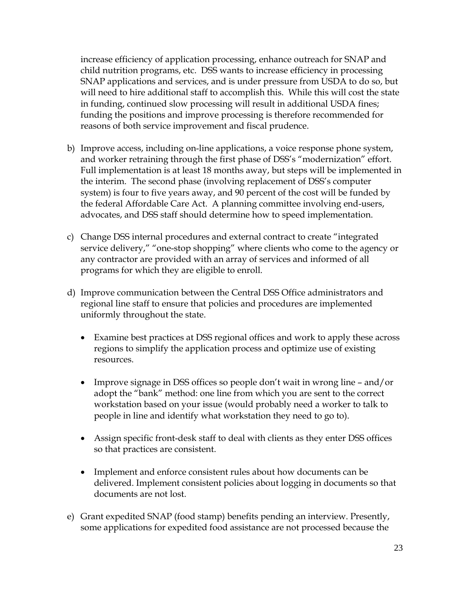increase efficiency of application processing, enhance outreach for SNAP and child nutrition programs, etc. DSS wants to increase efficiency in processing SNAP applications and services, and is under pressure from USDA to do so, but will need to hire additional staff to accomplish this. While this will cost the state in funding, continued slow processing will result in additional USDA fines; funding the positions and improve processing is therefore recommended for reasons of both service improvement and fiscal prudence.

- b) Improve access, including on-line applications, a voice response phone system, and worker retraining through the first phase of DSS's "modernization" effort. Full implementation is at least 18 months away, but steps will be implemented in the interim. The second phase (involving replacement of DSS's computer system) is four to five years away, and 90 percent of the cost will be funded by the federal Affordable Care Act. A planning committee involving end-users, advocates, and DSS staff should determine how to speed implementation.
- c) Change DSS internal procedures and external contract to create "integrated service delivery," "one-stop shopping" where clients who come to the agency or any contractor are provided with an array of services and informed of all programs for which they are eligible to enroll.
- d) Improve communication between the Central DSS Office administrators and regional line staff to ensure that policies and procedures are implemented uniformly throughout the state.
	- Examine best practices at DSS regional offices and work to apply these across regions to simplify the application process and optimize use of existing resources.
	- Improve signage in DSS offices so people don't wait in wrong line and/or adopt the "bank" method: one line from which you are sent to the correct workstation based on your issue (would probably need a worker to talk to people in line and identify what workstation they need to go to).
	- Assign specific front-desk staff to deal with clients as they enter DSS offices so that practices are consistent.
	- Implement and enforce consistent rules about how documents can be delivered. Implement consistent policies about logging in documents so that documents are not lost.
- e) Grant expedited SNAP (food stamp) benefits pending an interview. Presently, some applications for expedited food assistance are not processed because the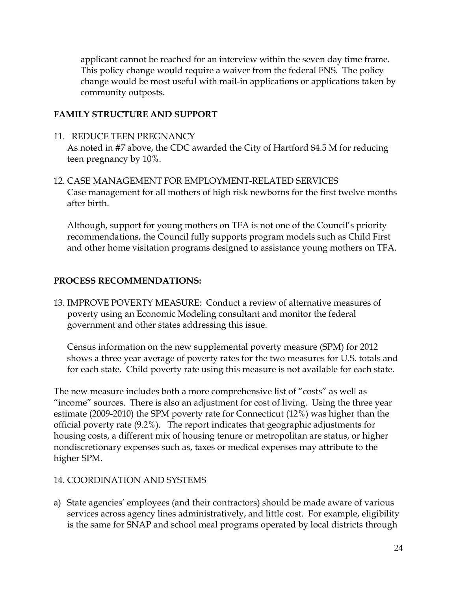applicant cannot be reached for an interview within the seven day time frame. This policy change would require a waiver from the federal FNS. The policy change would be most useful with mail-in applications or applications taken by community outposts.

#### **FAMILY STRUCTURE AND SUPPORT**

11. REDUCE TEEN PREGNANCY

As noted in #7 above, the CDC awarded the City of Hartford \$4.5 M for reducing teen pregnancy by 10%.

12. CASE MANAGEMENT FOR EMPLOYMENT-RELATED SERVICES Case management for all mothers of high risk newborns for the first twelve months after birth.

Although, support for young mothers on TFA is not one of the Council's priority recommendations, the Council fully supports program models such as Child First and other home visitation programs designed to assistance young mothers on TFA.

#### **PROCESS RECOMMENDATIONS:**

13. IMPROVE POVERTY MEASURE: Conduct a review of alternative measures of poverty using an Economic Modeling consultant and monitor the federal government and other states addressing this issue.

Census information on the new supplemental poverty measure (SPM) for 2012 shows a three year average of poverty rates for the two measures for U.S. totals and for each state. Child poverty rate using this measure is not available for each state.

The new measure includes both a more comprehensive list of "costs" as well as "income" sources. There is also an adjustment for cost of living. Using the three year estimate (2009-2010) the SPM poverty rate for Connecticut (12%) was higher than the official poverty rate (9.2%). The report indicates that geographic adjustments for housing costs, a different mix of housing tenure or metropolitan are status, or higher nondiscretionary expenses such as, taxes or medical expenses may attribute to the higher SPM.

#### 14. COORDINATION AND SYSTEMS

a) State agencies' employees (and their contractors) should be made aware of various services across agency lines administratively, and little cost. For example, eligibility is the same for SNAP and school meal programs operated by local districts through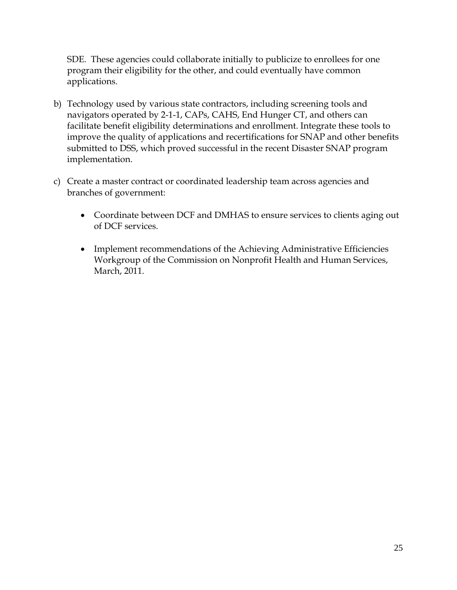SDE. These agencies could collaborate initially to publicize to enrollees for one program their eligibility for the other, and could eventually have common applications.

- b) Technology used by various state contractors, including screening tools and navigators operated by 2-1-1, CAPs, CAHS, End Hunger CT, and others can facilitate benefit eligibility determinations and enrollment. Integrate these tools to improve the quality of applications and recertifications for SNAP and other benefits submitted to DSS, which proved successful in the recent Disaster SNAP program implementation.
- c) Create a master contract or coordinated leadership team across agencies and branches of government:
	- Coordinate between DCF and DMHAS to ensure services to clients aging out of DCF services.
	- Implement recommendations of the Achieving Administrative Efficiencies Workgroup of the Commission on Nonprofit Health and Human Services, March, 2011.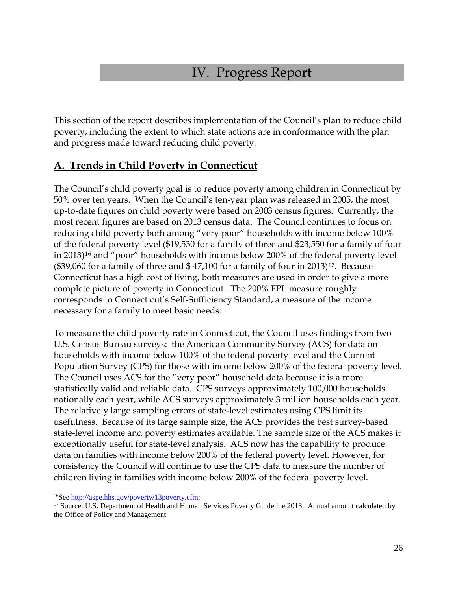# IV. Progress Report

This section of the report describes implementation of the Council's plan to reduce child poverty, including the extent to which state actions are in conformance with the plan and progress made toward reducing child poverty.

### **A. Trends in Child Poverty in Connecticut**

The Council's child poverty goal is to reduce poverty among children in Connecticut by 50% over ten years. When the Council's ten-year plan was released in 2005, the most up-to-date figures on child poverty were based on 2003 census figures. Currently, the most recent figures are based on 2013 census data. The Council continues to focus on reducing child poverty both among "very poor" households with income below 100% of the federal poverty level (\$19,530 for a family of three and \$23,550 for a family of four in 2013)<sup>[16](#page-25-0)</sup> and "poor" households with income below 200% of the federal poverty level  $(\text{\$39,060}$  for a family of three and \$47,100 for a family of four in 2013)<sup>[17](#page-25-1)</sup>. Because Connecticut has a high cost of living, both measures are used in order to give a more complete picture of poverty in Connecticut. The 200% FPL measure roughly corresponds to Connecticut's Self-Sufficiency Standard, a measure of the income necessary for a family to meet basic needs.

To measure the child poverty rate in Connecticut, the Council uses findings from two U.S. Census Bureau surveys: the American Community Survey (ACS) for data on households with income below 100% of the federal poverty level and the Current Population Survey (CPS) for those with income below 200% of the federal poverty level. The Council uses ACS for the "very poor" household data because it is a more statistically valid and reliable data. CPS surveys approximately 100,000 households nationally each year, while ACS surveys approximately 3 million households each year. The relatively large sampling errors of state-level estimates using CPS limit its usefulness. Because of its large sample size, the ACS provides the best survey-based state-level income and poverty estimates available. The sample size of the ACS makes it exceptionally useful for state-level analysis. ACS now has the capability to produce data on families with income below 200% of the federal poverty level. However, for consistency the Council will continue to use the CPS data to measure the number of children living in families with income below 200% of the federal poverty level.

 $\overline{a}$ 

<span id="page-25-1"></span><span id="page-25-0"></span><sup>&</sup>lt;sup>16</sup>See [http://aspe.hhs.gov/poverty/13poverty.cfm;](http://aspe.hhs.gov/poverty/13poverty.cfm)<br><sup>17</sup> Source: U.S. Department of Health and Human Services Poverty Guideline 2013. Annual amount calculated by the Office of Policy and Management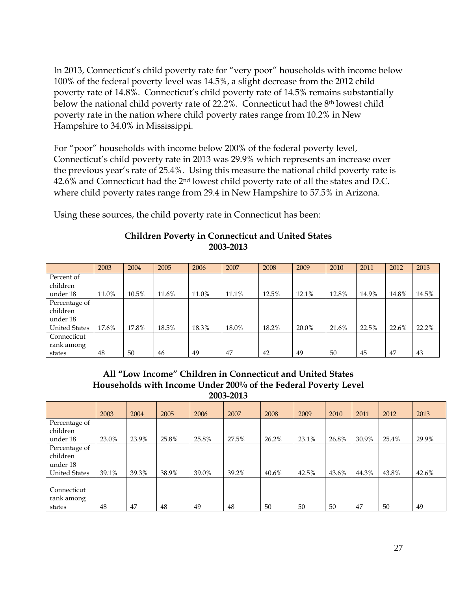In 2013, Connecticut's child poverty rate for "very poor" households with income below 100% of the federal poverty level was 14.5%, a slight decrease from the 2012 child poverty rate of 14.8%. Connecticut's child poverty rate of 14.5% remains substantially below the national child poverty rate of 22.2%. Connecticut had the 8th lowest child poverty rate in the nation where child poverty rates range from 10.2% in New Hampshire to 34.0% in Mississippi.

For "poor" households with income below 200% of the federal poverty level, Connecticut's child poverty rate in 2013 was 29.9% which represents an increase over the previous year's rate of 25.4%. Using this measure the national child poverty rate is 42.6% and Connecticut had the 2nd lowest child poverty rate of all the states and D.C. where child poverty rates range from 29.4 in New Hampshire to 57.5% in Arizona.

Using these sources, the child poverty rate in Connecticut has been:

|                      | 2003  | 2004  | 2005  | 2006  | 2007  | 2008  | 2009  | 2010  | 2011  | 2012  | 2013  |
|----------------------|-------|-------|-------|-------|-------|-------|-------|-------|-------|-------|-------|
| Percent of           |       |       |       |       |       |       |       |       |       |       |       |
| children             |       |       |       |       |       |       |       |       |       |       |       |
| under 18             | 11.0% | 10.5% | 11.6% | 11.0% | 11.1% | 12.5% | 12.1% | 12.8% | 14.9% | 14.8% | 14.5% |
| Percentage of        |       |       |       |       |       |       |       |       |       |       |       |
| children             |       |       |       |       |       |       |       |       |       |       |       |
| under 18             |       |       |       |       |       |       |       |       |       |       |       |
| <b>United States</b> | 17.6% | 17.8% | 18.5% | 18.3% | 18.0% | 18.2% | 20.0% | 21.6% | 22.5% | 22.6% | 22.2% |
| Connecticut          |       |       |       |       |       |       |       |       |       |       |       |
| rank among           |       |       |       |       |       |       |       |       |       |       |       |
| states               | 48    | 50    | 46    | 49    | 47    | 42    | 49    | 50    | 45    | 47    | 43    |

#### **Children Poverty in Connecticut and United States 2003-2013**

#### **All "Low Income" Children in Connecticut and United States Households with Income Under 200% of the Federal Poverty Level 2003-2013**

|                                                               | 2003  | 2004  | 2005  | 2006  | 2007  | 2008  | 2009  | 2010  | 2011  | 2012  | 2013  |
|---------------------------------------------------------------|-------|-------|-------|-------|-------|-------|-------|-------|-------|-------|-------|
| Percentage of<br>children<br>under 18                         | 23.0% | 23.9% | 25.8% | 25.8% | 27.5% | 26.2% | 23.1% | 26.8% | 30.9% | 25.4% | 29.9% |
| Percentage of<br>children<br>under 18<br><b>United States</b> | 39.1% | 39.3% | 38.9% | 39.0% | 39.2% | 40.6% | 42.5% | 43.6% | 44.3% | 43.8% | 42.6% |
| Connecticut<br>rank among<br>states                           | 48    | 47    | 48    | 49    | 48    | 50    | 50    | 50    | 47    | 50    | 49    |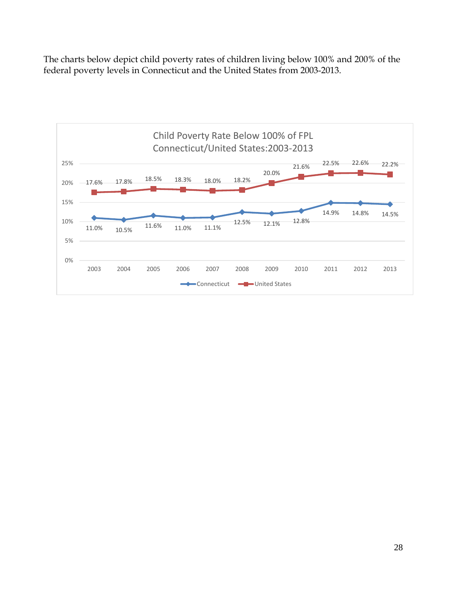The charts below depict child poverty rates of children living below 100% and 200% of the federal poverty levels in Connecticut and the United States from 2003-2013.

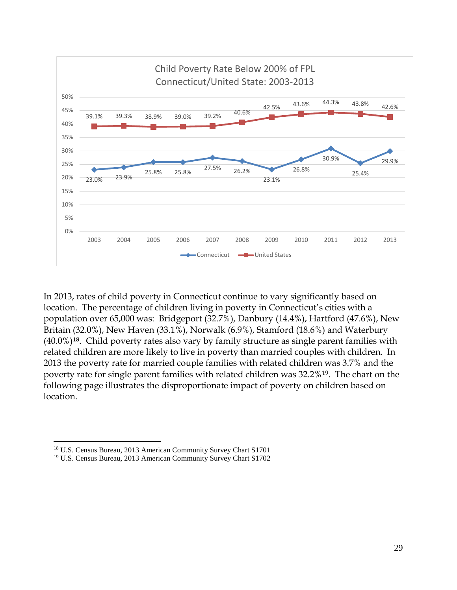

In 2013, rates of child poverty in Connecticut continue to vary significantly based on location. The percentage of children living in poverty in Connecticut's cities with a population over 65,000 was: Bridgeport (32.7%), Danbury (14.4%), Hartford (47.6%), New Britain (32.0%), New Haven (33.1%), Norwalk (6.9%), Stamford (18.6%) and Waterbury (40.0%)**[18](#page-28-0)**. Child poverty rates also vary by family structure as single parent families with related children are more likely to live in poverty than married couples with children. In 2013 the poverty rate for married couple families with related children was 3.7% and the poverty rate for single parent families with related children was 32.2%[19](#page-28-1). The chart on the following page illustrates the disproportionate impact of poverty on children based on location.

<span id="page-28-1"></span><span id="page-28-0"></span><sup>18</sup> U.S. Census Bureau, 2013 American Community Survey Chart S1701

<sup>19</sup> U.S. Census Bureau, 2013 American Community Survey Chart S1702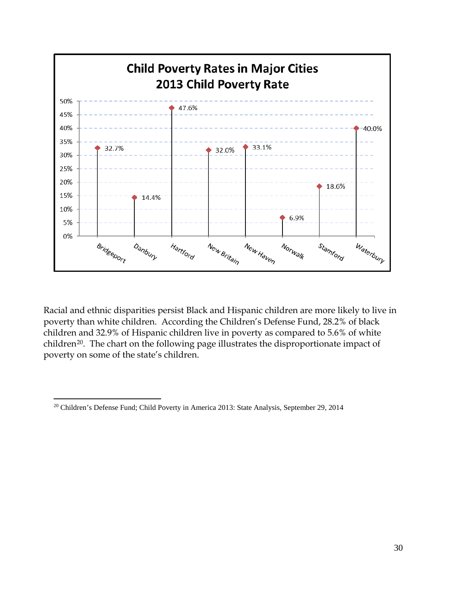

Racial and ethnic disparities persist Black and Hispanic children are more likely to live in poverty than white children. According the Children's Defense Fund, 28.2% of black children and 32.9% of Hispanic children live in poverty as compared to 5.6% of white children<sup>[20](#page-29-0)</sup>. The chart on the following page illustrates the disproportionate impact of poverty on some of the state's children.

<span id="page-29-0"></span><sup>&</sup>lt;sup>20</sup> Children's Defense Fund; Child Poverty in America 2013: State Analysis, September 29, 2014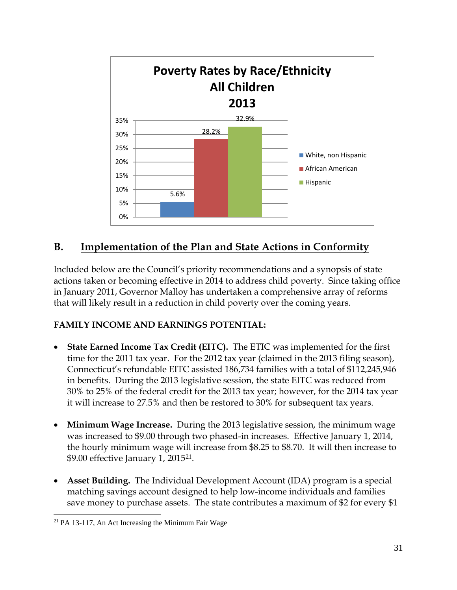

### **B. Implementation of the Plan and State Actions in Conformity**

Included below are the Council's priority recommendations and a synopsis of state actions taken or becoming effective in 2014 to address child poverty. Since taking office in January 2011, Governor Malloy has undertaken a comprehensive array of reforms that will likely result in a reduction in child poverty over the coming years.

#### **FAMILY INCOME AND EARNINGS POTENTIAL:**

- **State Earned Income Tax Credit (EITC).** The ETIC was implemented for the first time for the 2011 tax year. For the 2012 tax year (claimed in the 2013 filing season), Connecticut's refundable EITC assisted 186,734 families with a total of \$112,245,946 in benefits. During the 2013 legislative session, the state EITC was reduced from 30% to 25% of the federal credit for the 2013 tax year; however, for the 2014 tax year it will increase to 27.5% and then be restored to 30% for subsequent tax years.
- **Minimum Wage Increase.** During the 2013 legislative session, the minimum wage was increased to \$9.00 through two phased-in increases. Effective January 1, 2014, the hourly minimum wage will increase from \$8.25 to \$8.70. It will then increase to \$9.00 effective January 1, 2015[21](#page-30-0).
- **Asset Building.** The Individual Development Account (IDA) program is a special matching savings account designed to help low-income individuals and families save money to purchase assets. The state contributes a maximum of \$2 for every \$1

<span id="page-30-0"></span><sup>&</sup>lt;sup>21</sup> PA 13-117, An Act Increasing the Minimum Fair Wage  $\overline{a}$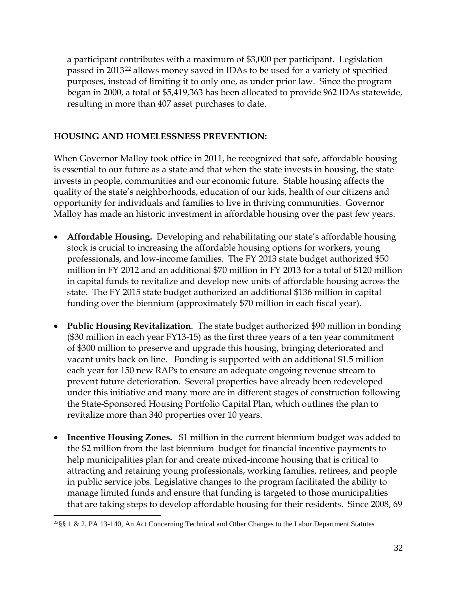a participant contributes with a maximum of \$3,000 per participant. Legislation passed in 2013[22](#page-31-0) allows money saved in IDAs to be used for a variety of specified purposes, instead of limiting it to only one, as under prior law. Since the program began in 2000, a total of \$5,419,363 has been allocated to provide 962 IDAs statewide, resulting in more than 407 asset purchases to date.

#### **HOUSING AND HOMELESSNESS PREVENTION:**

When Governor Malloy took office in 2011, he recognized that safe, affordable housing is essential to our future as a state and that when the state invests in housing, the state invests in people, communities and our economic future. Stable housing affects the quality of the state's neighborhoods, education of our kids, health of our citizens and opportunity for individuals and families to live in thriving communities. Governor Malloy has made an historic investment in affordable housing over the past few years.

- **Affordable Housing.** Developing and rehabilitating our state's affordable housing stock is crucial to increasing the affordable housing options for workers, young professionals, and low-income families. The FY 2013 state budget authorized \$50 million in FY 2012 and an additional \$70 million in FY 2013 for a total of \$120 million in capital funds to revitalize and develop new units of affordable housing across the state. The FY 2015 state budget authorized an additional \$136 million in capital funding over the biennium (approximately \$70 million in each fiscal year).
- **Public Housing Revitalization**. The state budget authorized \$90 million in bonding (\$30 million in each year FY13-15) as the first three years of a ten year commitment of \$300 million to preserve and upgrade this housing, bringing deteriorated and vacant units back on line. Funding is supported with an additional \$1.5 million each year for 150 new RAPs to ensure an adequate ongoing revenue stream to prevent future deterioration. Several properties have already been redeveloped under this initiative and many more are in different stages of construction following the State-Sponsored Housing Portfolio Capital Plan, which outlines the plan to revitalize more than 340 properties over 10 years.
- **Incentive Housing Zones.** \$1 million in the current biennium budget was added to the \$2 million from the last biennium budget for financial incentive payments to help municipalities plan for and create mixed-income housing that is critical to attracting and retaining young professionals, working families, retirees, and people in public service jobs. Legislative changes to the program facilitated the ability to manage limited funds and ensure that funding is targeted to those municipalities that are taking steps to develop affordable housing for their residents. Since 2008, 69

<span id="page-31-0"></span><sup>22§§ 1 &</sup>amp; 2, PA 13-140, An Act Concerning Technical and Other Changes to the Labor Department Statutes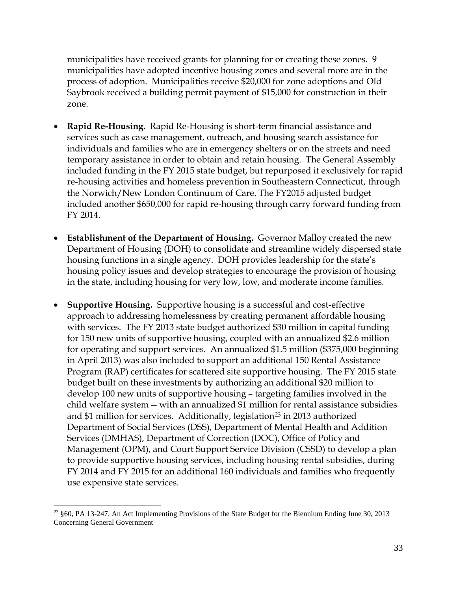municipalities have received grants for planning for or creating these zones. 9 municipalities have adopted incentive housing zones and several more are in the process of adoption. Municipalities receive \$20,000 for zone adoptions and Old Saybrook received a building permit payment of \$15,000 for construction in their zone.

- **Rapid Re-Housing.** Rapid Re-Housing is short-term financial assistance and services such as case management, outreach, and housing search assistance for individuals and families who are in emergency shelters or on the streets and need temporary assistance in order to obtain and retain housing. The General Assembly included funding in the FY 2015 state budget, but repurposed it exclusively for rapid re-housing activities and homeless prevention in Southeastern Connecticut, through the Norwich/New London Continuum of Care. The FY2015 adjusted budget included another \$650,000 for rapid re-housing through carry forward funding from FY 2014.
- **Establishment of the Department of Housing.** Governor Malloy created the new Department of Housing (DOH) to consolidate and streamline widely dispersed state housing functions in a single agency. DOH provides leadership for the state's housing policy issues and develop strategies to encourage the provision of housing in the state, including housing for very low, low, and moderate income families.
- **Supportive Housing.** Supportive housing is a successful and cost-effective approach to addressing homelessness by creating permanent affordable housing with services. The FY 2013 state budget authorized \$30 million in capital funding for 150 new units of supportive housing, coupled with an annualized \$2.6 million for operating and support services. An annualized \$1.5 million (\$375,000 beginning in April 2013) was also included to support an additional 150 Rental Assistance Program (RAP) certificates for scattered site supportive housing. The FY 2015 state budget built on these investments by authorizing an additional \$20 million to develop 100 new units of supportive housing – targeting families involved in the child welfare system -- with an annualized \$1 million for rental assistance subsidies and \$1 million for services. Additionally, legislation<sup>[23](#page-32-0)</sup> in 2013 authorized Department of Social Services (DSS), Department of Mental Health and Addition Services (DMHAS), Department of Correction (DOC), Office of Policy and Management (OPM), and Court Support Service Division (CSSD) to develop a plan to provide supportive housing services, including housing rental subsidies, during FY 2014 and FY 2015 for an additional 160 individuals and families who frequently use expensive state services.

<span id="page-32-0"></span><sup>23</sup> §60, PA 13-247, An Act Implementing Provisions of the State Budget for the Biennium Ending June 30, 2013 Concerning General Government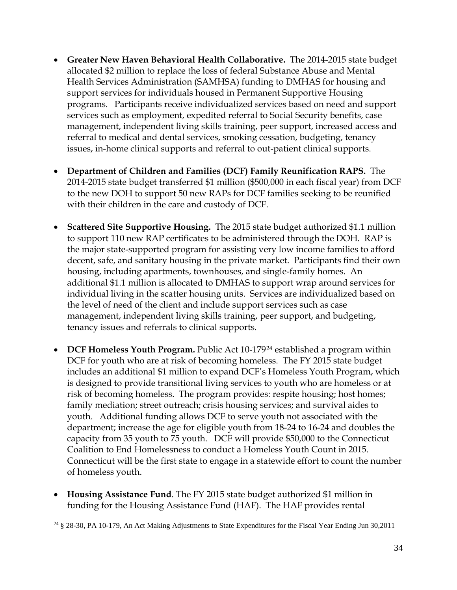- **Greater New Haven Behavioral Health Collaborative.** The 2014-2015 state budget allocated \$2 million to replace the loss of federal Substance Abuse and Mental Health Services Administration (SAMHSA) funding to DMHAS for housing and support services for individuals housed in Permanent Supportive Housing programs. Participants receive individualized services based on need and support services such as employment, expedited referral to Social Security benefits, case management, independent living skills training, peer support, increased access and referral to medical and dental services, smoking cessation, budgeting, tenancy issues, in-home clinical supports and referral to out-patient clinical supports.
- **Department of Children and Families (DCF) Family Reunification RAPS.** The 2014-2015 state budget transferred \$1 million (\$500,000 in each fiscal year) from DCF to the new DOH to support 50 new RAPs for DCF families seeking to be reunified with their children in the care and custody of DCF.
- **Scattered Site Supportive Housing.** The 2015 state budget authorized \$1.1 million to support 110 new RAP certificates to be administered through the DOH. RAP is the major state-supported program for assisting very low income families to afford decent, safe, and sanitary housing in the private market. Participants find their own housing, including apartments, townhouses, and single-family homes. An additional \$1.1 million is allocated to DMHAS to support wrap around services for individual living in the scatter housing units. Services are individualized based on the level of need of the client and include support services such as case management, independent living skills training, peer support, and budgeting, tenancy issues and referrals to clinical supports.
- **DCF Homeless Youth Program.** Public Act 10-179[24](#page-33-0) established a program within DCF for youth who are at risk of becoming homeless. The FY 2015 state budget includes an additional \$1 million to expand DCF's Homeless Youth Program, which is designed to provide transitional living services to youth who are homeless or at risk of becoming homeless. The program provides: respite housing; host homes; family mediation; street outreach; crisis housing services; and survival aides to youth. Additional funding allows DCF to serve youth not associated with the department; increase the age for eligible youth from 18-24 to 16-24 and doubles the capacity from 35 youth to 75 youth. DCF will provide \$50,000 to the Connecticut Coalition to End Homelessness to conduct a Homeless Youth Count in 2015. Connecticut will be the first state to engage in a statewide effort to count the number of homeless youth.
- **Housing Assistance Fund**. The FY 2015 state budget authorized \$1 million in funding for the Housing Assistance Fund (HAF). The HAF provides rental

<span id="page-33-0"></span><sup>24</sup> § 28-30, PA 10-179, An Act Making Adjustments to State Expenditures for the Fiscal Year Ending Jun 30,2011  $\overline{a}$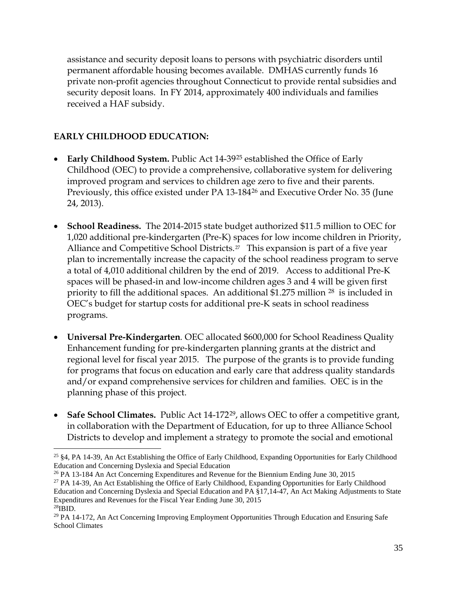assistance and security deposit loans to persons with psychiatric disorders until permanent affordable housing becomes available. DMHAS currently funds 16 private non-profit agencies throughout Connecticut to provide rental subsidies and security deposit loans. In FY 2014, approximately 400 individuals and families received a HAF subsidy.

### **EARLY CHILDHOOD EDUCATION:**

 $\overline{a}$ 

- **Early Childhood System.** Public Act 14-39<sup>[25](#page-34-0)</sup> established the Office of Early Childhood (OEC) to provide a comprehensive, collaborative system for delivering improved program and services to children age zero to five and their parents. Previously, this office existed under PA 13-184<sup>[26](#page-34-1)</sup> and Executive Order No. 35 (June 24, 2013).
- **School Readiness.** The 2014-2015 state budget authorized \$11.5 million to OEC for 1,020 additional pre-kindergarten (Pre-K) spaces for low income children in Priority, Alliance and Competitive School Districts.<sup>27</sup> This expansion is part of a five year plan to incrementally increase the capacity of the school readiness program to serve a total of 4,010 additional children by the end of 2019. Access to additional Pre-K spaces will be phased-in and low-income children ages 3 and 4 will be given first priority to fill the additional spaces. An additional \$1.275 million [28](#page-34-3) is included in OEC's budget for startup costs for additional pre-K seats in school readiness programs.
- **Universal Pre-Kindergarten***.* OEC allocated \$600,000 for School Readiness Quality Enhancement funding for pre-kindergarten planning grants at the district and regional level for fiscal year 2015. The purpose of the grants is to provide funding for programs that focus on education and early care that address quality standards and/or expand comprehensive services for children and families. OEC is in the planning phase of this project.
- **Safe School Climates.** Public Act 14-172<sup>29</sup>, allows OEC to offer a competitive grant, in collaboration with the Department of Education, for up to three Alliance School Districts to develop and implement a strategy to promote the social and emotional

<span id="page-34-1"></span><sup>26</sup> PA 13-184 An Act Concerning Expenditures and Revenue for the Biennium Ending June 30, 2015

<span id="page-34-2"></span> $27$  PA 14-39, An Act Establishing the Office of Early Childhood, Expanding Opportunities for Early Childhood Education and Concerning Dyslexia and Special Education and PA §17,14-47, An Act Making Adjustments to State Expenditures and Revenues for the Fiscal Year Ending June 30, 2015

<span id="page-34-0"></span><sup>25</sup> §4, PA 14-39, An Act Establishing the Office of Early Childhood, Expanding Opportunities for Early Childhood Education and Concerning Dyslexia and Special Education

<span id="page-34-4"></span><span id="page-34-3"></span><sup>&</sup>lt;sup>29</sup> PA 14-172, An Act Concerning Improving Employment Opportunities Through Education and Ensuring Safe School Climates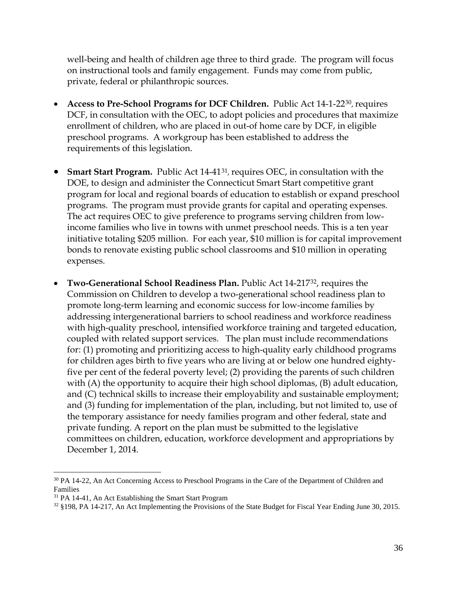well-being and health of children age three to third grade. The program will focus on instructional tools and family engagement. Funds may come from public, private, federal or philanthropic sources.

- **Access to Pre-School Programs for DCF Children.** Public Act 14-1-22[30](#page-35-0), requires DCF, in consultation with the OEC, to adopt policies and procedures that maximize enrollment of children, who are placed in out-of home care by DCF, in eligible preschool programs. A workgroup has been established to address the requirements of this legislation.
- **Smart Start Program.** Public Act 14-41[31](#page-35-1), requires OEC, in consultation with the DOE, to design and administer the Connecticut Smart Start competitive grant program for local and regional boards of education to establish or expand preschool programs. The program must provide grants for capital and operating expenses. The act requires OEC to give preference to programs serving children from lowincome families who live in towns with unmet preschool needs. This is a ten year initiative totaling \$205 million. For each year, \$10 million is for capital improvement bonds to renovate existing public school classrooms and \$10 million in operating expenses.
- **Two-Generational School Readiness Plan.** Public Act 14-217[32](#page-35-2), requires the Commission on Children to develop a two-generational school readiness plan to promote long-term learning and economic success for low-income families by addressing intergenerational barriers to school readiness and workforce readiness with high-quality preschool, intensified workforce training and targeted education, coupled with related support services. The plan must include recommendations for: (1) promoting and prioritizing access to high-quality early childhood programs for children ages birth to five years who are living at or below one hundred eightyfive per cent of the federal poverty level; (2) providing the parents of such children with (A) the opportunity to acquire their high school diplomas, (B) adult education, and (C) technical skills to increase their employability and sustainable employment; and (3) funding for implementation of the plan, including, but not limited to, use of the temporary assistance for needy families program and other federal, state and private funding. A report on the plan must be submitted to the legislative committees on children, education, workforce development and appropriations by December 1, 2014.

<span id="page-35-0"></span><sup>&</sup>lt;sup>30</sup> PA 14-22, An Act Concerning Access to Preschool Programs in the Care of the Department of Children and Families

<span id="page-35-1"></span><sup>&</sup>lt;sup>31</sup> PA 14-41, An Act Establishing the Smart Start Program

<span id="page-35-2"></span><sup>32</sup> §198, PA 14-217, An Act Implementing the Provisions of the State Budget for Fiscal Year Ending June 30, 2015.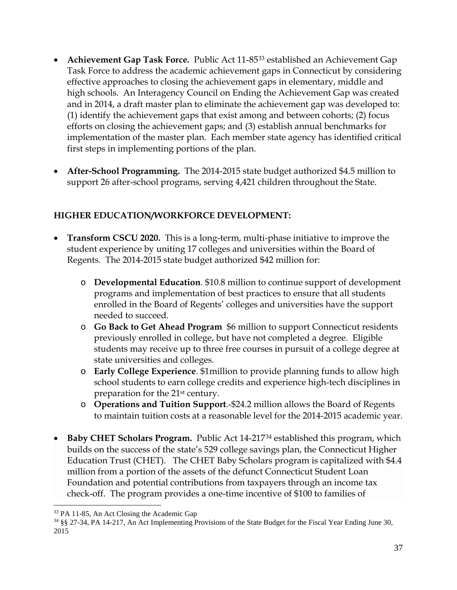- **Achievement Gap Task Force.** Public Act 11-85[33](#page-36-0) established an Achievement Gap Task Force to address the academic achievement gaps in Connecticut by considering effective approaches to closing the achievement gaps in elementary, middle and high schools. An Interagency Council on Ending the Achievement Gap was created and in 2014, a draft master plan to eliminate the achievement gap was developed to: (1) identify the achievement gaps that exist among and between cohorts; (2) focus efforts on closing the achievement gaps; and (3) establish annual benchmarks for implementation of the master plan. Each member state agency has identified critical first steps in implementing portions of the plan.
- **After-School Programming.** The 2014-2015 state budget authorized \$4.5 million to support 26 after-school programs, serving 4,421 children throughout the State.

## **HIGHER EDUCATION/WORKFORCE DEVELOPMENT:**

- **Transform CSCU 2020.** This is a long-term, multi-phase initiative to improve the student experience by uniting 17 colleges and universities within the Board of Regents. The 2014-2015 state budget authorized \$42 million for:
	- o **Developmental Education**. \$10.8 million to continue support of development programs and implementation of best practices to ensure that all students enrolled in the Board of Regents' colleges and universities have the support needed to succeed.
	- o **Go Back to Get Ahead Program** \$6 million to support Connecticut residents previously enrolled in college, but have not completed a degree. Eligible students may receive up to three free courses in pursuit of a college degree at state universities and colleges.
	- o **Early College Experience**. \$1million to provide planning funds to allow high school students to earn college credits and experience high-tech disciplines in preparation for the 21st century.
	- o **Operations and Tuition Support**.-\$24.2 million allows the Board of Regents to maintain tuition costs at a reasonable level for the 2014-2015 academic year.
- **Baby CHET Scholars Program.** Public Act 14-217[34](#page-36-1) established this program, which builds on the success of the state's 529 college savings plan, the Connecticut Higher Education Trust (CHET). The CHET Baby Scholars program is capitalized with \$4.4 million from a portion of the assets of the defunct Connecticut Student Loan Foundation and potential contributions from taxpayers through an income tax check-off. The program provides a one-time incentive of \$100 to families of

 $\overline{a}$ 

<span id="page-36-0"></span><sup>33</sup> PA 11-85, An Act Closing the Academic Gap

<span id="page-36-1"></span><sup>34</sup> §§ 27-34, PA 14-217, An Act Implementing Provisions of the State Budget for the Fiscal Year Ending June 30, 2015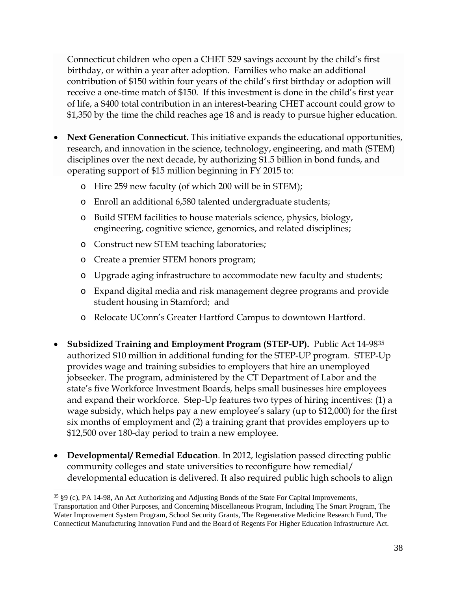Connecticut children who open a CHET 529 savings account by the child's first birthday, or within a year after adoption. Families who make an additional contribution of \$150 within four years of the child's first birthday or adoption will receive a one-time match of \$150. If this investment is done in the child's first year of life, a \$400 total contribution in an interest-bearing CHET account could grow to \$1,350 by the time the child reaches age 18 and is ready to pursue higher education.

- **Next Generation Connecticut.** This initiative expands the educational opportunities, research, and innovation in the science, technology, engineering, and math (STEM) disciplines over the next decade, by authorizing \$1.5 billion in bond funds, and operating support of \$15 million beginning in FY 2015 to:
	- o Hire 259 new faculty (of which 200 will be in STEM);
	- o Enroll an additional 6,580 talented undergraduate students;
	- o Build STEM facilities to house materials science, physics, biology, engineering, cognitive science, genomics, and related disciplines;
	- o Construct new STEM teaching laboratories;
	- o Create a premier STEM honors program;

 $\overline{a}$ 

- o Upgrade aging infrastructure to accommodate new faculty and students;
- o Expand digital media and risk management degree programs and provide student housing in Stamford; and
- o Relocate UConn's Greater Hartford Campus to downtown Hartford.
- **Subsidized Training and Employment Program (STEP-UP).** Public Act 14-98[35](#page-37-0) authorized \$10 million in additional funding for the STEP-UP program. STEP-Up provides wage and training subsidies to employers that hire an unemployed jobseeker. The program, administered by the CT Department of Labor and the state's five Workforce Investment Boards, helps small businesses hire employees and expand their workforce. Step-Up features two types of hiring incentives: (1) a wage subsidy, which helps pay a new employee's salary (up to \$12,000) for the first six months of employment and (2) a training grant that provides employers up to \$12,500 over 180-day period to train a new employee.
- **Developmental/ Remedial Education**. In 2012, legislation passed directing public community colleges and state universities to reconfigure how remedial/ developmental education is delivered. It also required public high schools to align

<span id="page-37-0"></span><sup>35</sup> §9 (c), PA 14-98, An Act Authorizing and Adjusting Bonds of the State For Capital Improvements, Transportation and Other Purposes, and Concerning Miscellaneous Program, Including The Smart Program, The Water Improvement System Program, School Security Grants, The Regenerative Medicine Research Fund, The Connecticut Manufacturing Innovation Fund and the Board of Regents For Higher Education Infrastructure Act.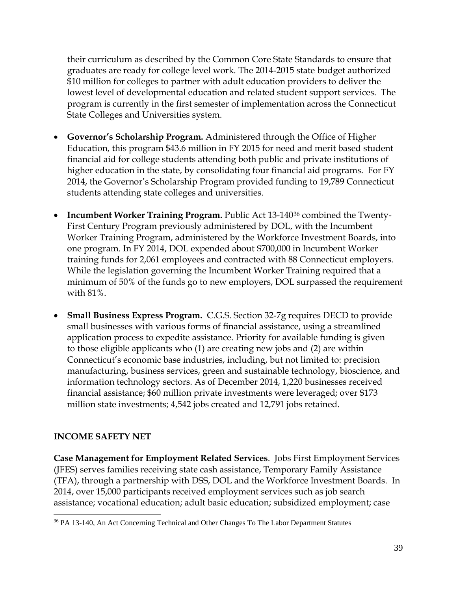their curriculum as described by the Common Core State Standards to ensure that graduates are ready for college level work*.* The 2014-2015 state budget authorized \$10 million for colleges to partner with adult education providers to deliver the lowest level of developmental education and related student support services. The program is currently in the first semester of implementation across the Connecticut State Colleges and Universities system.

- **Governor's Scholarship Program.** Administered through the Office of Higher Education, this program \$43.6 million in FY 2015 for need and merit based student financial aid for college students attending both public and private institutions of higher education in the state, by consolidating four financial aid programs. For FY 2014, the Governor's Scholarship Program provided funding to 19,789 Connecticut students attending state colleges and universities.
- **Incumbent Worker Training Program.** Public Act 13-140<sup>[36](#page-38-0)</sup> combined the Twenty-First Century Program previously administered by DOL, with the Incumbent Worker Training Program, administered by the Workforce Investment Boards, into one program. In FY 2014, DOL expended about \$700,000 in Incumbent Worker training funds for 2,061 employees and contracted with 88 Connecticut employers. While the legislation governing the Incumbent Worker Training required that a minimum of 50% of the funds go to new employers, DOL surpassed the requirement with 81%.
- **Small Business Express Program.** C.G.S. Section 32-7g requires DECD to provide small businesses with various forms of financial assistance, using a streamlined application process to expedite assistance. Priority for available funding is given to those eligible applicants who (1) are creating new jobs and (2) are within Connecticut's economic base industries, including, but not limited to: precision manufacturing, business services, green and sustainable technology, bioscience, and information technology sectors. As of December 2014, 1,220 businesses received financial assistance; \$60 million private investments were leveraged; over \$173 million state investments; 4,542 jobs created and 12,791 jobs retained.

### **INCOME SAFETY NET**

**Case Management for Employment Related Services**. Jobs First Employment Services (JFES) serves families receiving state cash assistance, Temporary Family Assistance (TFA), through a partnership with DSS, DOL and the Workforce Investment Boards. In 2014, over 15,000 participants received employment services such as job search assistance; vocational education; adult basic education; subsidized employment; case

<span id="page-38-0"></span><sup>&</sup>lt;sup>36</sup> PA 13-140, An Act Concerning Technical and Other Changes To The Labor Department Statutes  $\overline{a}$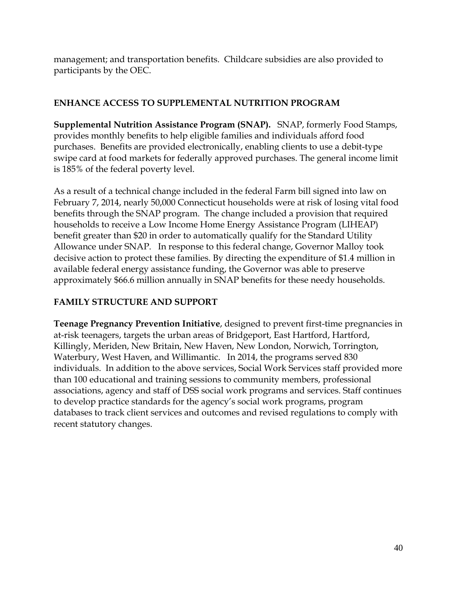management; and transportation benefits. Childcare subsidies are also provided to participants by the OEC.

### **ENHANCE ACCESS TO SUPPLEMENTAL NUTRITION PROGRAM**

**Supplemental Nutrition Assistance Program (SNAP).** SNAP, formerly Food Stamps, provides monthly benefits to help eligible families and individuals afford food purchases. Benefits are provided electronically, enabling clients to use a debit-type swipe card at food markets for federally approved purchases. The general income limit is 185% of the federal poverty level.

As a result of a technical change included in the federal Farm bill signed into law on February 7, 2014, nearly 50,000 Connecticut households were at risk of losing vital food benefits through the SNAP program. The change included a provision that required households to receive a Low Income Home Energy Assistance Program (LIHEAP) benefit greater than \$20 in order to automatically qualify for the Standard Utility Allowance under SNAP. In response to this federal change, Governor Malloy took decisive action to protect these families. By directing the expenditure of \$1.4 million in available federal energy assistance funding, the Governor was able to preserve approximately \$66.6 million annually in SNAP benefits for these needy households.

## **FAMILY STRUCTURE AND SUPPORT**

**Teenage Pregnancy Prevention Initiative**, designed to prevent first-time pregnancies in at-risk teenagers, targets the urban areas of Bridgeport, East Hartford, Hartford, Killingly, Meriden, New Britain, New Haven, New London, Norwich, Torrington, Waterbury, West Haven, and Willimantic. In 2014, the programs served 830 individuals. In addition to the above services, Social Work Services staff provided more than 100 educational and training sessions to community members, professional associations, agency and staff of DSS social work programs and services. Staff continues to develop practice standards for the agency's social work programs, program databases to track client services and outcomes and revised regulations to comply with recent statutory changes.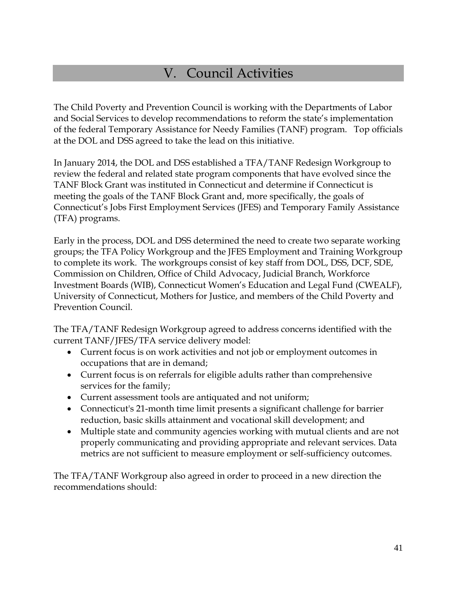# V. Council Activities

The Child Poverty and Prevention Council is working with the Departments of Labor and Social Services to develop recommendations to reform the state's implementation of the federal Temporary Assistance for Needy Families (TANF) program. Top officials at the DOL and DSS agreed to take the lead on this initiative.

In January 2014, the DOL and DSS established a TFA/TANF Redesign Workgroup to review the federal and related state program components that have evolved since the TANF Block Grant was instituted in Connecticut and determine if Connecticut is meeting the goals of the TANF Block Grant and, more specifically, the goals of Connecticut's Jobs First Employment Services (JFES) and Temporary Family Assistance (TFA) programs.

Early in the process, DOL and DSS determined the need to create two separate working groups; the TFA Policy Workgroup and the JFES Employment and Training Workgroup to complete its work. The workgroups consist of key staff from DOL, DSS, DCF, SDE, Commission on Children, Office of Child Advocacy, Judicial Branch, Workforce Investment Boards (WIB), Connecticut Women's Education and Legal Fund (CWEALF), University of Connecticut, Mothers for Justice, and members of the Child Poverty and Prevention Council.

The TFA/TANF Redesign Workgroup agreed to address concerns identified with the current TANF/JFES/TFA service delivery model:

- Current focus is on work activities and not job or employment outcomes in occupations that are in demand;
- Current focus is on referrals for eligible adults rather than comprehensive services for the family;
- Current assessment tools are antiquated and not uniform;
- Connecticut's 21-month time limit presents a significant challenge for barrier reduction, basic skills attainment and vocational skill development; and
- Multiple state and community agencies working with mutual clients and are not properly communicating and providing appropriate and relevant services. Data metrics are not sufficient to measure employment or self-sufficiency outcomes.

The TFA/TANF Workgroup also agreed in order to proceed in a new direction the recommendations should: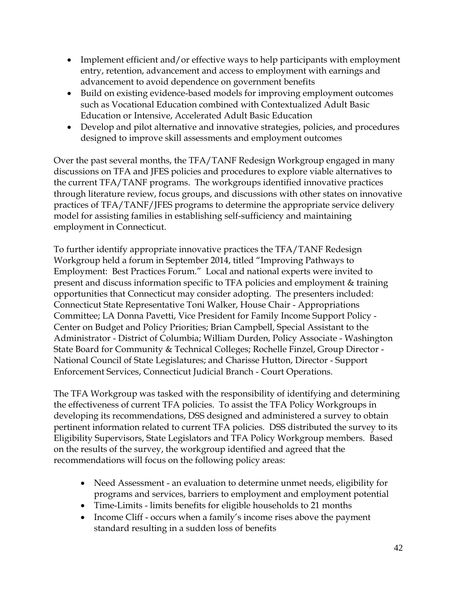- Implement efficient and/or effective ways to help participants with employment entry, retention, advancement and access to employment with earnings and advancement to avoid dependence on government benefits
- Build on existing evidence-based models for improving employment outcomes such as Vocational Education combined with Contextualized Adult Basic Education or Intensive, Accelerated Adult Basic Education
- Develop and pilot alternative and innovative strategies, policies, and procedures designed to improve skill assessments and employment outcomes

Over the past several months, the TFA/TANF Redesign Workgroup engaged in many discussions on TFA and JFES policies and procedures to explore viable alternatives to the current TFA/TANF programs. The workgroups identified innovative practices through literature review, focus groups, and discussions with other states on innovative practices of TFA/TANF/JFES programs to determine the appropriate service delivery model for assisting families in establishing self-sufficiency and maintaining employment in Connecticut.

To further identify appropriate innovative practices the TFA/TANF Redesign Workgroup held a forum in September 2014, titled "Improving Pathways to Employment: Best Practices Forum." Local and national experts were invited to present and discuss information specific to TFA policies and employment & training opportunities that Connecticut may consider adopting. The presenters included: Connecticut State Representative Toni Walker, House Chair - Appropriations Committee; LA Donna Pavetti, Vice President for Family Income Support Policy - Center on Budget and Policy Priorities; Brian Campbell, Special Assistant to the Administrator - District of Columbia; William Durden, Policy Associate - Washington State Board for Community & Technical Colleges; Rochelle Finzel, Group Director - National Council of State Legislatures; and Charisse Hutton, Director - Support Enforcement Services, Connecticut Judicial Branch - Court Operations.

The TFA Workgroup was tasked with the responsibility of identifying and determining the effectiveness of current TFA policies. To assist the TFA Policy Workgroups in developing its recommendations, DSS designed and administered a survey to obtain pertinent information related to current TFA policies. DSS distributed the survey to its Eligibility Supervisors, State Legislators and TFA Policy Workgroup members. Based on the results of the survey, the workgroup identified and agreed that the recommendations will focus on the following policy areas:

- Need Assessment an evaluation to determine unmet needs, eligibility for programs and services, barriers to employment and employment potential
- Time-Limits limits benefits for eligible households to 21 months
- Income Cliff occurs when a family's income rises above the payment standard resulting in a sudden loss of benefits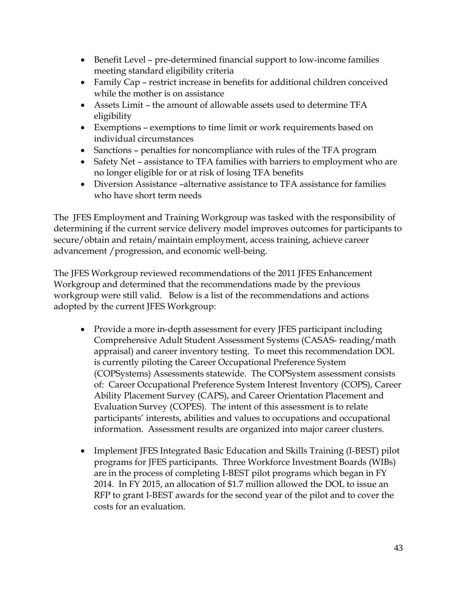- Benefit Level pre-determined financial support to low-income families meeting standard eligibility criteria
- Family Cap restrict increase in benefits for additional children conceived while the mother is on assistance
- Assets Limit the amount of allowable assets used to determine TFA eligibility
- Exemptions exemptions to time limit or work requirements based on individual circumstances
- Sanctions penalties for noncompliance with rules of the TFA program
- Safety Net assistance to TFA families with barriers to employment who are no longer eligible for or at risk of losing TFA benefits
- Diversion Assistance –alternative assistance to TFA assistance for families who have short term needs

The JFES Employment and Training Workgroup was tasked with the responsibility of determining if the current service delivery model improves outcomes for participants to secure/obtain and retain/maintain employment, access training, achieve career advancement /progression, and economic well-being.

The JFES Workgroup reviewed recommendations of the 2011 JFES Enhancement Workgroup and determined that the recommendations made by the previous workgroup were still valid. Below is a list of the recommendations and actions adopted by the current JFES Workgroup:

- Provide a more in-depth assessment for every JFES participant including Comprehensive Adult Student Assessment Systems (CASAS- reading/math appraisal) and career inventory testing. To meet this recommendation DOL is currently piloting the Career Occupational Preference System (COPSystems) Assessments statewide. The COPSystem assessment consists of: Career Occupational Preference System Interest Inventory (COPS), Career Ability Placement Survey (CAPS), and Career Orientation Placement and Evaluation Survey (COPES). The intent of this assessment is to relate participants' interests, abilities and values to occupations and occupational information. Assessment results are organized into major career clusters.
- Implement JFES Integrated Basic Education and Skills Training (I-BEST) pilot programs for JFES participants. Three Workforce Investment Boards (WIBs) are in the process of completing I-BEST pilot programs which began in FY 2014. In FY 2015, an allocation of \$1.7 million allowed the DOL to issue an RFP to grant I-BEST awards for the second year of the pilot and to cover the costs for an evaluation.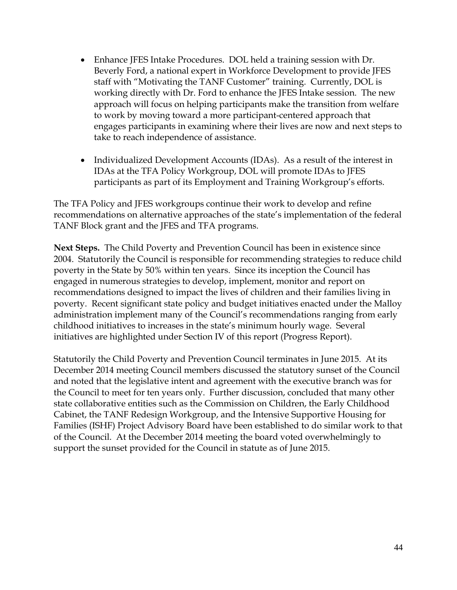- Enhance JFES Intake Procedures. DOL held a training session with Dr. Beverly Ford, a national expert in Workforce Development to provide JFES staff with "Motivating the TANF Customer" training. Currently, DOL is working directly with Dr. Ford to enhance the JFES Intake session. The new approach will focus on helping participants make the transition from welfare to work by moving toward a more participant-centered approach that engages participants in examining where their lives are now and next steps to take to reach independence of assistance.
- Individualized Development Accounts (IDAs). As a result of the interest in IDAs at the TFA Policy Workgroup, DOL will promote IDAs to JFES participants as part of its Employment and Training Workgroup's efforts.

The TFA Policy and JFES workgroups continue their work to develop and refine recommendations on alternative approaches of the state's implementation of the federal TANF Block grant and the JFES and TFA programs.

**Next Steps.** The Child Poverty and Prevention Council has been in existence since 2004. Statutorily the Council is responsible for recommending strategies to reduce child poverty in the State by 50% within ten years. Since its inception the Council has engaged in numerous strategies to develop, implement, monitor and report on recommendations designed to impact the lives of children and their families living in poverty. Recent significant state policy and budget initiatives enacted under the Malloy administration implement many of the Council's recommendations ranging from early childhood initiatives to increases in the state's minimum hourly wage. Several initiatives are highlighted under Section IV of this report (Progress Report).

Statutorily the Child Poverty and Prevention Council terminates in June 2015. At its December 2014 meeting Council members discussed the statutory sunset of the Council and noted that the legislative intent and agreement with the executive branch was for the Council to meet for ten years only. Further discussion, concluded that many other state collaborative entities such as the Commission on Children, the Early Childhood Cabinet, the TANF Redesign Workgroup, and the Intensive Supportive Housing for Families (ISHF) Project Advisory Board have been established to do similar work to that of the Council. At the December 2014 meeting the board voted overwhelmingly to support the sunset provided for the Council in statute as of June 2015.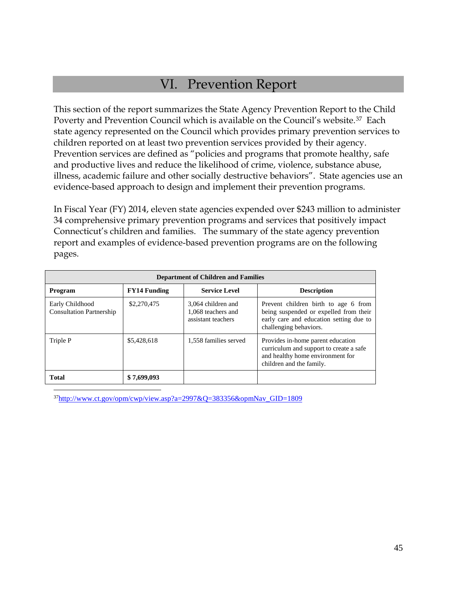# VI. Prevention Report

This section of the report summarizes the State Agency Prevention Report to the Child Poverty and Prevention Council which is available on the Council's website.[37](#page-44-0) Each state agency represented on the Council which provides primary prevention services to children reported on at least two prevention services provided by their agency. Prevention services are defined as "policies and programs that promote healthy, safe and productive lives and reduce the likelihood of crime, violence, substance abuse, illness, academic failure and other socially destructive behaviors". State agencies use an evidence-based approach to design and implement their prevention programs.

In Fiscal Year (FY) 2014, eleven state agencies expended over \$243 million to administer 34 comprehensive primary prevention programs and services that positively impact Connecticut's children and families. The summary of the state agency prevention report and examples of evidence-based prevention programs are on the following pages.

| <b>Department of Children and Families</b>         |                     |                                                                |                                                                                                                                                     |  |
|----------------------------------------------------|---------------------|----------------------------------------------------------------|-----------------------------------------------------------------------------------------------------------------------------------------------------|--|
| Program                                            | <b>FY14 Funding</b> | <b>Service Level</b>                                           | <b>Description</b>                                                                                                                                  |  |
| Early Childhood<br><b>Consultation Partnership</b> | \$2,270,475         | 3.064 children and<br>1.068 teachers and<br>assistant teachers | Prevent children birth to age 6 from<br>being suspended or expelled from their<br>early care and education setting due to<br>challenging behaviors. |  |
| Triple P                                           | \$5,428,618         | 1,558 families served                                          | Provides in-home parent education<br>curriculum and support to create a safe<br>and healthy home environment for<br>children and the family.        |  |
| <b>Total</b>                                       | \$7,699,093         |                                                                |                                                                                                                                                     |  |

<span id="page-44-0"></span> $37$ http://www.ct.gov/opm/cwp/view.asp?a=2997&Q=383356&opmNav $GID=1809$  $\overline{a}$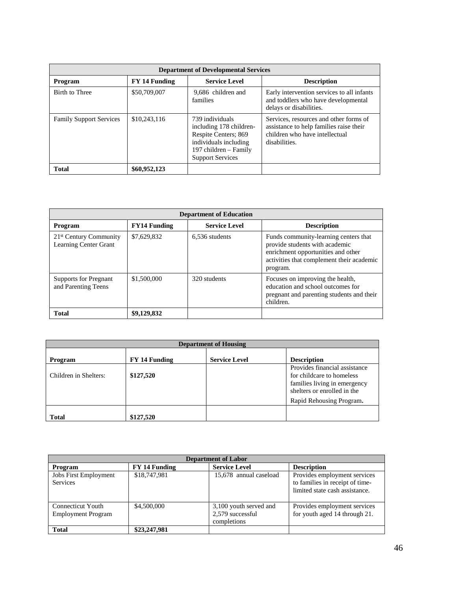| <b>Department of Developmental Services</b> |               |                                                                                                                                                 |                                                                                                                                      |
|---------------------------------------------|---------------|-------------------------------------------------------------------------------------------------------------------------------------------------|--------------------------------------------------------------------------------------------------------------------------------------|
| Program                                     | FY 14 Funding | <b>Service Level</b>                                                                                                                            | <b>Description</b>                                                                                                                   |
| Birth to Three                              | \$50,709,007  | 9,686 children and<br>families                                                                                                                  | Early intervention services to all infants<br>and toddlers who have developmental<br>delays or disabilities.                         |
| <b>Family Support Services</b>              | \$10,243,116  | 739 individuals<br>including 178 children-<br>Respite Centers; 869<br>individuals including<br>197 children – Family<br><b>Support Services</b> | Services, resources and other forms of<br>assistance to help families raise their<br>children who have intellectual<br>disabilities. |
| <b>Total</b>                                | \$60,952,123  |                                                                                                                                                 |                                                                                                                                      |

| <b>Department of Education</b>                              |                     |                      |                                                                                                                                                                        |  |
|-------------------------------------------------------------|---------------------|----------------------|------------------------------------------------------------------------------------------------------------------------------------------------------------------------|--|
| Program                                                     | <b>FY14 Funding</b> | <b>Service Level</b> | <b>Description</b>                                                                                                                                                     |  |
| 21 <sup>st</sup> Century Community<br>Learning Center Grant | \$7,629,832         | 6.536 students       | Funds community-learning centers that<br>provide students with academic<br>enrichment opportunities and other<br>activities that complement their academic<br>program. |  |
| <b>Supports for Pregnant</b><br>and Parenting Teens         | \$1,500,000         | 320 students         | Focuses on improving the health,<br>education and school outcomes for<br>pregnant and parenting students and their<br>children.                                        |  |
| <b>Total</b>                                                | \$9,129,832         |                      |                                                                                                                                                                        |  |

| <b>Department of Housing</b> |               |                      |                                                                                                                                                       |
|------------------------------|---------------|----------------------|-------------------------------------------------------------------------------------------------------------------------------------------------------|
| Program                      | FY 14 Funding | <b>Service Level</b> | <b>Description</b>                                                                                                                                    |
| Children in Shelters:        | \$127,520     |                      | Provides financial assistance<br>for childcare to homeless<br>families living in emergency<br>shelters or enrolled in the<br>Rapid Rehousing Program. |
| <b>Total</b>                 | \$127,520     |                      |                                                                                                                                                       |

| <b>Department of Labor</b>                     |               |                                                           |                                                                                                   |
|------------------------------------------------|---------------|-----------------------------------------------------------|---------------------------------------------------------------------------------------------------|
| Program                                        | FY 14 Funding | <b>Service Level</b>                                      | <b>Description</b>                                                                                |
| Jobs First Employment<br><b>Services</b>       | \$18,747,981  | 15,678 annual caseload                                    | Provides employment services<br>to families in receipt of time-<br>limited state cash assistance. |
| Connecticut Youth<br><b>Employment Program</b> | \$4,500,000   | 3,100 youth served and<br>2,579 successful<br>completions | Provides employment services<br>for youth aged 14 through 21.                                     |
| <b>Total</b>                                   | \$23,247,981  |                                                           |                                                                                                   |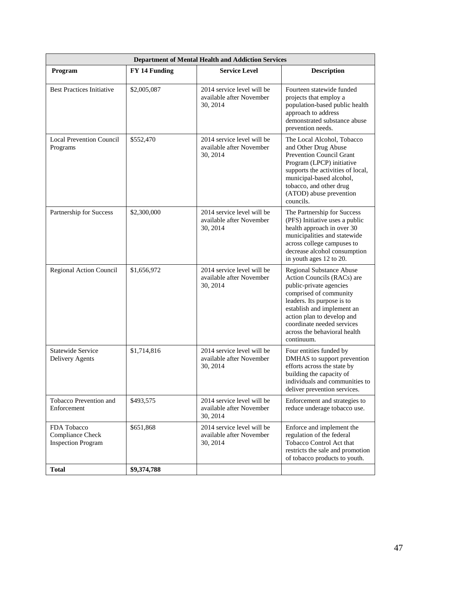|                                                              | <b>Department of Mental Health and Addiction Services</b> |                                                                    |                                                                                                                                                                                                                                                                                   |  |
|--------------------------------------------------------------|-----------------------------------------------------------|--------------------------------------------------------------------|-----------------------------------------------------------------------------------------------------------------------------------------------------------------------------------------------------------------------------------------------------------------------------------|--|
| Program                                                      | <b>FY 14 Funding</b>                                      | <b>Service Level</b>                                               | <b>Description</b>                                                                                                                                                                                                                                                                |  |
| <b>Best Practices Initiative</b>                             | \$2,005,087                                               | 2014 service level will be<br>available after November<br>30, 2014 | Fourteen statewide funded<br>projects that employ a<br>population-based public health<br>approach to address<br>demonstrated substance abuse<br>prevention needs.                                                                                                                 |  |
| <b>Local Prevention Council</b><br>Programs                  | \$552,470                                                 | 2014 service level will be<br>available after November<br>30, 2014 | The Local Alcohol, Tobacco<br>and Other Drug Abuse<br>Prevention Council Grant<br>Program (LPCP) initiative<br>supports the activities of local,<br>municipal-based alcohol,<br>tobacco, and other drug<br>(ATOD) abuse prevention<br>councils.                                   |  |
| Partnership for Success                                      | \$2,300,000                                               | 2014 service level will be<br>available after November<br>30, 2014 | The Partnership for Success<br>(PFS) Initiative uses a public<br>health approach in over 30<br>municipalities and statewide<br>across college campuses to<br>decrease alcohol consumption<br>in youth ages 12 to 20.                                                              |  |
| Regional Action Council                                      | \$1,656,972                                               | 2014 service level will be<br>available after November<br>30, 2014 | Regional Substance Abuse<br>Action Councils (RACs) are<br>public-private agencies<br>comprised of community<br>leaders. Its purpose is to<br>establish and implement an<br>action plan to develop and<br>coordinate needed services<br>across the behavioral health<br>continuum. |  |
| <b>Statewide Service</b><br>Delivery Agents                  | \$1,714,816                                               | 2014 service level will be<br>available after November<br>30, 2014 | Four entities funded by<br>DMHAS to support prevention<br>efforts across the state by<br>building the capacity of<br>individuals and communities to<br>deliver prevention services.                                                                                               |  |
| Tobacco Prevention and<br>Enforcement                        | \$493,575                                                 | 2014 service level will be<br>available after November<br>30, 2014 | Enforcement and strategies to<br>reduce underage tobacco use.                                                                                                                                                                                                                     |  |
| FDA Tobacco<br>Compliance Check<br><b>Inspection Program</b> | \$651,868                                                 | 2014 service level will be<br>available after November<br>30, 2014 | Enforce and implement the<br>regulation of the federal<br>Tobacco Control Act that<br>restricts the sale and promotion<br>of tobacco products to youth.                                                                                                                           |  |
| <b>Total</b>                                                 | \$9,374,788                                               |                                                                    |                                                                                                                                                                                                                                                                                   |  |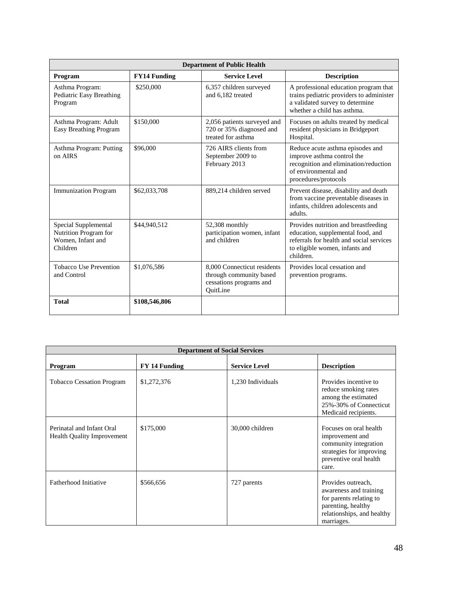| <b>Department of Public Health</b>                                             |                     |                                                                                               |                                                                                                                                                                      |
|--------------------------------------------------------------------------------|---------------------|-----------------------------------------------------------------------------------------------|----------------------------------------------------------------------------------------------------------------------------------------------------------------------|
| Program                                                                        | <b>FY14 Funding</b> | <b>Service Level</b>                                                                          | <b>Description</b>                                                                                                                                                   |
| Asthma Program:<br>Pediatric Easy Breathing<br>Program                         | \$250,000           | 6,357 children surveyed<br>and 6.182 treated                                                  | A professional education program that<br>trains pediatric providers to administer<br>a validated survey to determine<br>whether a child has asthma.                  |
| Asthma Program: Adult<br><b>Easy Breathing Program</b>                         | \$150,000           | 2,056 patients surveyed and<br>720 or 35% diagnosed and<br>treated for asthma                 | Focuses on adults treated by medical<br>resident physicians in Bridgeport<br>Hospital.                                                                               |
| Asthma Program: Putting<br>on AIRS                                             | \$96,000            | 726 AIRS clients from<br>September 2009 to<br>February 2013                                   | Reduce acute asthma episodes and<br>improve asthma control the<br>recognition and elimination/reduction<br>of environmental and<br>procedures/protocols              |
| <b>Immunization Program</b>                                                    | \$62,033,708        | 889,214 children served                                                                       | Prevent disease, disability and death<br>from vaccine preventable diseases in<br>infants, children adolescents and<br>adults.                                        |
| Special Supplemental<br>Nutrition Program for<br>Women. Infant and<br>Children | \$44,940,512        | $52,308$ monthly<br>participation women, infant<br>and children                               | Provides nutrition and breastfeeding<br>education, supplemental food, and<br>referrals for health and social services<br>to eligible women, infants and<br>children. |
| Tobacco Use Prevention<br>and Control                                          | \$1,076,586         | 8,000 Connecticut residents<br>through community based<br>cessations programs and<br>OuitLine | Provides local cessation and<br>prevention programs.                                                                                                                 |
| <b>Total</b>                                                                   | \$108,546,806       |                                                                                               |                                                                                                                                                                      |

| <b>Department of Social Services</b>                           |               |                      |                                                                                                                                           |
|----------------------------------------------------------------|---------------|----------------------|-------------------------------------------------------------------------------------------------------------------------------------------|
| Program                                                        | FY 14 Funding | <b>Service Level</b> | <b>Description</b>                                                                                                                        |
| <b>Tobacco Cessation Program</b>                               | \$1,272,376   | 1,230 Individuals    | Provides incentive to<br>reduce smoking rates<br>among the estimated<br>25%-30% of Connecticut<br>Medicaid recipients.                    |
| Perinatal and Infant Oral<br><b>Health Quality Improvement</b> | \$175,000     | 30,000 children      | Focuses on oral health<br>improvement and<br>community integration<br>strategies for improving<br>preventive oral health<br>care.         |
| Fatherhood Initiative                                          | \$566,656     | 727 parents          | Provides outreach,<br>awareness and training<br>for parents relating to<br>parenting, healthy<br>relationships, and healthy<br>marriages. |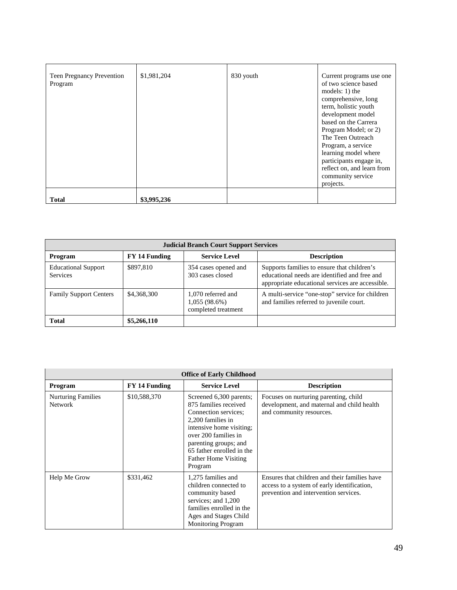| Teen Pregnancy Prevention<br>Program | \$1,981,204 | 830 youth | Current programs use one<br>of two science based<br>models: $1)$ the<br>comprehensive, long<br>term, holistic youth<br>development model<br>based on the Carrera<br>Program Model; or 2)<br>The Teen Outreach<br>Program, a service<br>learning model where<br>participants engage in,<br>reflect on, and learn from<br>community service<br>projects. |
|--------------------------------------|-------------|-----------|--------------------------------------------------------------------------------------------------------------------------------------------------------------------------------------------------------------------------------------------------------------------------------------------------------------------------------------------------------|
| <b>Total</b>                         | \$3,995,236 |           |                                                                                                                                                                                                                                                                                                                                                        |

| <b>Judicial Branch Court Support Services</b> |               |                                                              |                                                                                                                                                  |
|-----------------------------------------------|---------------|--------------------------------------------------------------|--------------------------------------------------------------------------------------------------------------------------------------------------|
| Program                                       | FY 14 Funding | <b>Service Level</b>                                         | <b>Description</b>                                                                                                                               |
| <b>Educational Support</b><br><b>Services</b> | \$897,810     | 354 cases opened and<br>303 cases closed                     | Supports families to ensure that children's<br>educational needs are identified and free and<br>appropriate educational services are accessible. |
| <b>Family Support Centers</b>                 | \$4,368,300   | 1,070 referred and<br>$1,055(98.6\%)$<br>completed treatment | A multi-service "one-stop" service for children<br>and families referred to juvenile court.                                                      |
| <b>Total</b>                                  | \$5,266,110   |                                                              |                                                                                                                                                  |

|                                             | <b>Office of Early Childhood</b> |                                                                                                                                                                                                                                                   |                                                                                                                                       |  |
|---------------------------------------------|----------------------------------|---------------------------------------------------------------------------------------------------------------------------------------------------------------------------------------------------------------------------------------------------|---------------------------------------------------------------------------------------------------------------------------------------|--|
| Program                                     | FY 14 Funding                    | <b>Service Level</b>                                                                                                                                                                                                                              | <b>Description</b>                                                                                                                    |  |
| <b>Nurturing Families</b><br><b>Network</b> | \$10,588,370                     | Screened 6,300 parents;<br>875 families received<br>Connection services:<br>2,200 families in<br>intensive home visiting:<br>over 200 families in<br>parenting groups; and<br>65 father enrolled in the<br><b>Father Home Visiting</b><br>Program | Focuses on nurturing parenting, child<br>development, and maternal and child health<br>and community resources.                       |  |
| Help Me Grow                                | \$331,462                        | 1,275 families and<br>children connected to<br>community based<br>services; and 1,200<br>families enrolled in the<br>Ages and Stages Child<br><b>Monitoring Program</b>                                                                           | Ensures that children and their families have<br>access to a system of early identification,<br>prevention and intervention services. |  |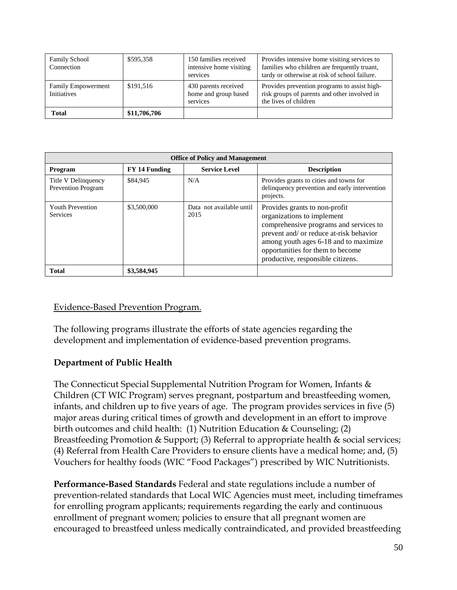| <b>Family School</b><br>Connection              | \$595,358    | 150 families received<br>intensive home visiting<br>services | Provides intensive home visiting services to<br>families who children are frequently truant,<br>tardy or otherwise at risk of school failure. |
|-------------------------------------------------|--------------|--------------------------------------------------------------|-----------------------------------------------------------------------------------------------------------------------------------------------|
| <b>Family Empowerment</b><br><b>Initiatives</b> | \$191,516    | 430 parents received<br>home and group based<br>services     | Provides prevention programs to assist high-<br>risk groups of parents and other involved in<br>the lives of children                         |
| <b>Total</b>                                    | \$11,706,706 |                                                              |                                                                                                                                               |

| <b>Office of Policy and Management</b>           |               |                                  |                                                                                                                                                                                                                                                                    |  |
|--------------------------------------------------|---------------|----------------------------------|--------------------------------------------------------------------------------------------------------------------------------------------------------------------------------------------------------------------------------------------------------------------|--|
| Program                                          | FY 14 Funding | <b>Service Level</b>             | <b>Description</b>                                                                                                                                                                                                                                                 |  |
| Title V Delinquency<br><b>Prevention Program</b> | \$84,945      | N/A                              | Provides grants to cities and towns for<br>delinquency prevention and early intervention<br>projects.                                                                                                                                                              |  |
| <b>Youth Prevention</b><br><b>Services</b>       | \$3,500,000   | Data not available until<br>2015 | Provides grants to non-profit<br>organizations to implement<br>comprehensive programs and services to<br>prevent and/ or reduce at-risk behavior<br>among youth ages 6-18 and to maximize<br>opportunities for them to become<br>productive, responsible citizens. |  |
| <b>Total</b>                                     | \$3,584,945   |                                  |                                                                                                                                                                                                                                                                    |  |

#### Evidence-Based Prevention Program.

The following programs illustrate the efforts of state agencies regarding the development and implementation of evidence-based prevention programs.

### **Department of Public Health**

The Connecticut Special Supplemental Nutrition Program for Women, Infants & Children (CT WIC Program) serves pregnant, postpartum and breastfeeding women, infants, and children up to five years of age. The program provides services in five (5) major areas during critical times of growth and development in an effort to improve birth outcomes and child health: (1) Nutrition Education & Counseling; (2) Breastfeeding Promotion & Support; (3) Referral to appropriate health & social services; (4) Referral from Health Care Providers to ensure clients have a medical home; and, (5) Vouchers for healthy foods (WIC "Food Packages") prescribed by WIC Nutritionists.

**Performance-Based Standards** Federal and state regulations include a number of prevention-related standards that Local WIC Agencies must meet, including timeframes for enrolling program applicants; requirements regarding the early and continuous enrollment of pregnant women; policies to ensure that all pregnant women are encouraged to breastfeed unless medically contraindicated, and provided breastfeeding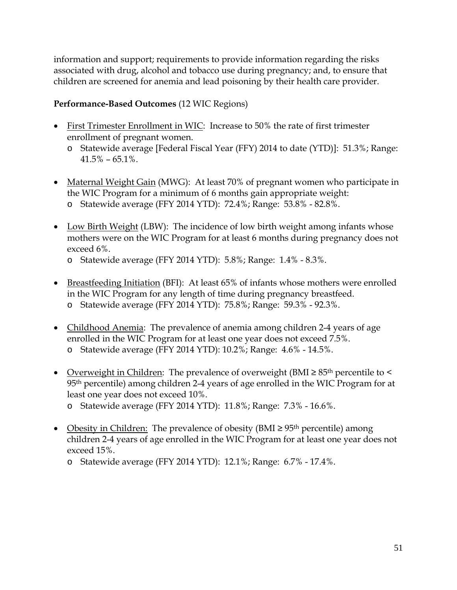information and support; requirements to provide information regarding the risks associated with drug, alcohol and tobacco use during pregnancy; and, to ensure that children are screened for anemia and lead poisoning by their health care provider.

### **Performance-Based Outcomes** (12 WIC Regions)

- First Trimester Enrollment in WIC: Increase to 50% the rate of first trimester enrollment of pregnant women.
	- o Statewide average [Federal Fiscal Year (FFY) 2014 to date (YTD)]: 51.3%; Range:  $41.5\% - 65.1\%$ .
- Maternal Weight Gain (MWG): At least 70% of pregnant women who participate in the WIC Program for a minimum of 6 months gain appropriate weight: o Statewide average (FFY 2014 YTD): 72.4%; Range: 53.8% - 82.8%.
- Low Birth Weight (LBW): The incidence of low birth weight among infants whose mothers were on the WIC Program for at least 6 months during pregnancy does not exceed 6%.
	- o Statewide average (FFY 2014 YTD): 5.8%; Range: 1.4% 8.3%.
- Breastfeeding Initiation (BFI): At least 65% of infants whose mothers were enrolled in the WIC Program for any length of time during pregnancy breastfeed. o Statewide average (FFY 2014 YTD): 75.8%; Range: 59.3% - 92.3%.
- Childhood Anemia: The prevalence of anemia among children 2-4 years of age enrolled in the WIC Program for at least one year does not exceed 7.5%. o Statewide average (FFY 2014 YTD): 10.2%; Range: 4.6% - 14.5%.
- Overweight in Children: The prevalence of overweight (BMI ≥ 85<sup>th</sup> percentile to < 95th percentile) among children 2-4 years of age enrolled in the WIC Program for at least one year does not exceed 10%.
	- o Statewide average (FFY 2014 YTD): 11.8%; Range: 7.3% 16.6%.
- Obesity in Children: The prevalence of obesity (BMI  $\geq$  95<sup>th</sup> percentile) among children 2-4 years of age enrolled in the WIC Program for at least one year does not exceed 15%.
	- o Statewide average (FFY 2014 YTD): 12.1%; Range: 6.7% 17.4%.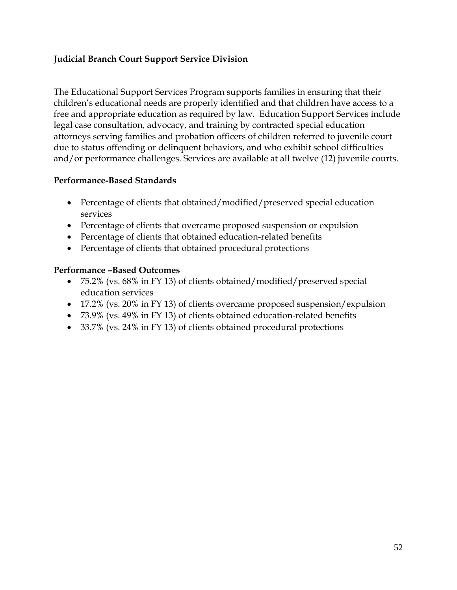### **Judicial Branch Court Support Service Division**

The Educational Support Services Program supports families in ensuring that their children's educational needs are properly identified and that children have access to a free and appropriate education as required by law. Education Support Services include legal case consultation, advocacy, and training by contracted special education attorneys serving families and probation officers of children referred to juvenile court due to status offending or delinquent behaviors, and who exhibit school difficulties and/or performance challenges. Services are available at all twelve (12) juvenile courts.

### **Performance-Based Standards**

- Percentage of clients that obtained/modified/preserved special education services
- Percentage of clients that overcame proposed suspension or expulsion
- Percentage of clients that obtained education-related benefits
- Percentage of clients that obtained procedural protections

#### **Performance –Based Outcomes**

- 75.2% (vs. 68% in FY 13) of clients obtained/modified/preserved special education services
- 17.2% (vs. 20% in FY 13) of clients overcame proposed suspension/expulsion
- 73.9% (vs. 49% in FY 13) of clients obtained education-related benefits
- 33.7% (vs. 24% in FY 13) of clients obtained procedural protections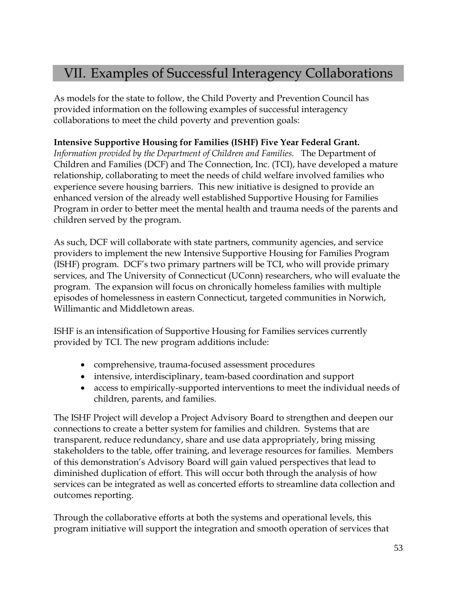## VII. Examples of Successful Interagency Collaborations

As models for the state to follow, the Child Poverty and Prevention Council has provided information on the following examples of successful interagency collaborations to meet the child poverty and prevention goals:

### **Intensive Supportive Housing for Families (ISHF) Five Year Federal Grant.**

*Information provided by the Department of Children and Families.* The Department of Children and Families (DCF) and The Connection, Inc. (TCI), have developed a mature relationship, collaborating to meet the needs of child welfare involved families who experience severe housing barriers. This new initiative is designed to provide an enhanced version of the already well established Supportive Housing for Families Program in order to better meet the mental health and trauma needs of the parents and children served by the program.

As such, DCF will collaborate with state partners, community agencies, and service providers to implement the new Intensive Supportive Housing for Families Program (ISHF) program. DCF's two primary partners will be TCI, who will provide primary services, and The University of Connecticut (UConn) researchers, who will evaluate the program. The expansion will focus on chronically homeless families with multiple episodes of homelessness in eastern Connecticut, targeted communities in Norwich, Willimantic and Middletown areas.

ISHF is an intensification of Supportive Housing for Families services currently provided by TCI. The new program additions include:

- comprehensive, trauma-focused assessment procedures
- intensive, interdisciplinary, team-based coordination and support
- access to empirically-supported interventions to meet the individual needs of children, parents, and families.

The ISHF Project will develop a Project Advisory Board to strengthen and deepen our connections to create a better system for families and children. Systems that are transparent, reduce redundancy, share and use data appropriately, bring missing stakeholders to the table, offer training, and leverage resources for families. Members of this demonstration's Advisory Board will gain valued perspectives that lead to diminished duplication of effort. This will occur both through the analysis of how services can be integrated as well as concerted efforts to streamline data collection and outcomes reporting.

Through the collaborative efforts at both the systems and operational levels, this program initiative will support the integration and smooth operation of services that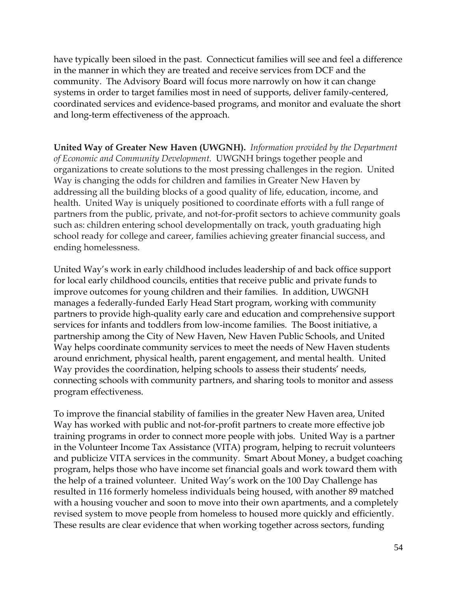have typically been siloed in the past. Connecticut families will see and feel a difference in the manner in which they are treated and receive services from DCF and the community. The Advisory Board will focus more narrowly on how it can change systems in order to target families most in need of supports, deliver family-centered, coordinated services and evidence-based programs, and monitor and evaluate the short and long-term effectiveness of the approach.

**United Way of Greater New Haven (UWGNH).** *Information provided by the Department of Economic and Community Development.* UWGNH brings together people and organizations to create solutions to the most pressing challenges in the region. United Way is changing the odds for children and families in Greater New Haven by addressing all the building blocks of a good quality of life, education, income, and health. United Way is uniquely positioned to coordinate efforts with a full range of partners from the public, private, and not-for-profit sectors to achieve community goals such as: children entering school developmentally on track, youth graduating high school ready for college and career, families achieving greater financial success, and ending homelessness.

United Way's work in early childhood includes leadership of and back office support for local early childhood councils, entities that receive public and private funds to improve outcomes for young children and their families. In addition, UWGNH manages a federally-funded Early Head Start program, working with community partners to provide high-quality early care and education and comprehensive support services for infants and toddlers from low-income families. The Boost initiative, a partnership among the City of New Haven, New Haven Public Schools, and United Way helps coordinate community services to meet the needs of New Haven students around enrichment, physical health, parent engagement, and mental health. United Way provides the coordination, helping schools to assess their students' needs, connecting schools with community partners, and sharing tools to monitor and assess program effectiveness.

To improve the financial stability of families in the greater New Haven area, United Way has worked with public and not-for-profit partners to create more effective job training programs in order to connect more people with jobs. United Way is a partner in the Volunteer Income Tax Assistance (VITA) program, helping to recruit volunteers and publicize VITA services in the community. Smart About Money, a budget coaching program, helps those who have income set financial goals and work toward them with the help of a trained volunteer. United Way's work on the 100 Day Challenge has resulted in 116 formerly homeless individuals being housed, with another 89 matched with a housing voucher and soon to move into their own apartments, and a completely revised system to move people from homeless to housed more quickly and efficiently. These results are clear evidence that when working together across sectors, funding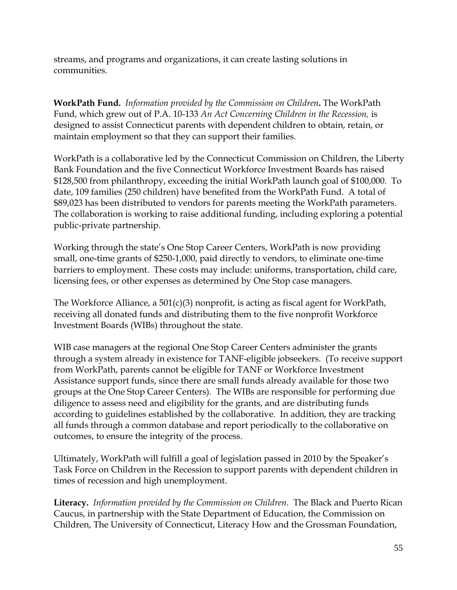streams, and programs and organizations, it can create lasting solutions in communities.

**WorkPath Fund.** *Information provided by the Commission on Children***.** The WorkPath Fund, which grew out of P.A. 10-133 *An Act Concerning Children in the Recession,* is designed to assist Connecticut parents with dependent children to obtain, retain, or maintain employment so that they can support their families.

WorkPath is a collaborative led by the Connecticut Commission on Children, the Liberty Bank Foundation and the five Connecticut Workforce Investment Boards has raised \$128,500 from philanthropy, exceeding the initial WorkPath launch goal of \$100,000. To date, 109 families (250 children) have benefited from the WorkPath Fund. A total of \$89,023 has been distributed to vendors for parents meeting the WorkPath parameters. The collaboration is working to raise additional funding, including exploring a potential public-private partnership.

Working through the state's One Stop Career Centers, WorkPath is now providing small, one-time grants of \$250-1,000, paid directly to vendors, to eliminate one-time barriers to employment. These costs may include: uniforms, transportation, child care, licensing fees, or other expenses as determined by One Stop case managers.

The Workforce Alliance, a 501(c)(3) nonprofit, is acting as fiscal agent for WorkPath, receiving all donated funds and distributing them to the five nonprofit Workforce Investment Boards (WIBs) throughout the state.

WIB case managers at the regional One Stop Career Centers administer the grants through a system already in existence for TANF-eligible jobseekers. (To receive support from WorkPath, parents cannot be eligible for TANF or Workforce Investment Assistance support funds, since there are small funds already available for those two groups at the One Stop Career Centers). The WIBs are responsible for performing due diligence to assess need and eligibility for the grants, and are distributing funds according to guidelines established by the collaborative. In addition, they are tracking all funds through a common database and report periodically to the collaborative on outcomes, to ensure the integrity of the process.

Ultimately, WorkPath will fulfill a goal of legislation passed in 2010 by the Speaker's Task Force on Children in the Recession to support parents with dependent children in times of recession and high unemployment.

**Literacy.** *Information provided by the Commission on Children.* The Black and Puerto Rican Caucus, in partnership with the State Department of Education, the Commission on Children, The University of Connecticut, Literacy How and the Grossman Foundation,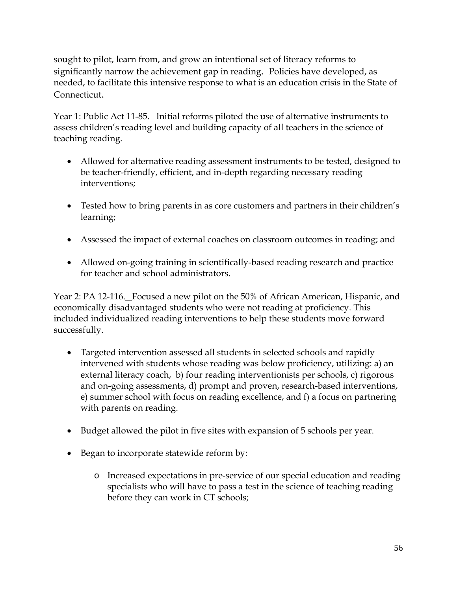sought to pilot, learn from, and grow an intentional set of literacy reforms to significantly narrow the achievement gap in reading. Policies have developed, as needed, to facilitate this intensive response to what is an education crisis in the State of Connecticut.

Year 1: Public Act 11-85. Initial reforms piloted the use of alternative instruments to assess children's reading level and building capacity of all teachers in the science of teaching reading.

- Allowed for alternative reading assessment instruments to be tested, designed to be teacher-friendly, efficient, and in-depth regarding necessary reading interventions;
- Tested how to bring parents in as core customers and partners in their children's learning;
- Assessed the impact of external coaches on classroom outcomes in reading; and
- Allowed on-going training in scientifically-based reading research and practice for teacher and school administrators.

Year 2: PA 12-116. Focused a new pilot on the 50% of African American, Hispanic, and economically disadvantaged students who were not reading at proficiency. This included individualized reading interventions to help these students move forward successfully.

- Targeted intervention assessed all students in selected schools and rapidly intervened with students whose reading was below proficiency, utilizing: a) an external literacy coach, b) four reading interventionists per schools, c) rigorous and on-going assessments, d) prompt and proven, research-based interventions, e) summer school with focus on reading excellence, and f) a focus on partnering with parents on reading.
- Budget allowed the pilot in five sites with expansion of 5 schools per year.
- Began to incorporate statewide reform by:
	- o Increased expectations in pre-service of our special education and reading specialists who will have to pass a test in the science of teaching reading before they can work in CT schools;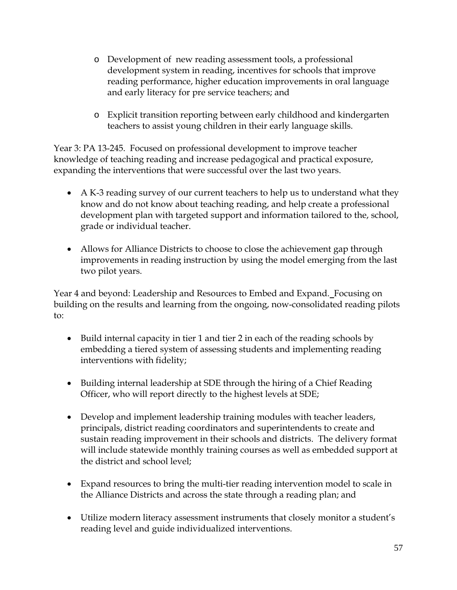- o Development of new reading assessment tools, a professional development system in reading, incentives for schools that improve reading performance, higher education improvements in oral language and early literacy for pre service teachers; and
- o Explicit transition reporting between early childhood and kindergarten teachers to assist young children in their early language skills.

Year 3: PA 13-245. Focused on professional development to improve teacher knowledge of teaching reading and increase pedagogical and practical exposure, expanding the interventions that were successful over the last two years.

- A K-3 reading survey of our current teachers to help us to understand what they know and do not know about teaching reading, and help create a professional development plan with targeted support and information tailored to the, school, grade or individual teacher.
- Allows for Alliance Districts to choose to close the achievement gap through improvements in reading instruction by using the model emerging from the last two pilot years.

Year 4 and beyond: Leadership and Resources to Embed and Expand. Focusing on building on the results and learning from the ongoing, now-consolidated reading pilots to:

- Build internal capacity in tier 1 and tier 2 in each of the reading schools by embedding a tiered system of assessing students and implementing reading interventions with fidelity;
- Building internal leadership at SDE through the hiring of a Chief Reading Officer, who will report directly to the highest levels at SDE;
- Develop and implement leadership training modules with teacher leaders, principals, district reading coordinators and superintendents to create and sustain reading improvement in their schools and districts. The delivery format will include statewide monthly training courses as well as embedded support at the district and school level;
- Expand resources to bring the multi-tier reading intervention model to scale in the Alliance Districts and across the state through a reading plan; and
- Utilize modern literacy assessment instruments that closely monitor a student's reading level and guide individualized interventions.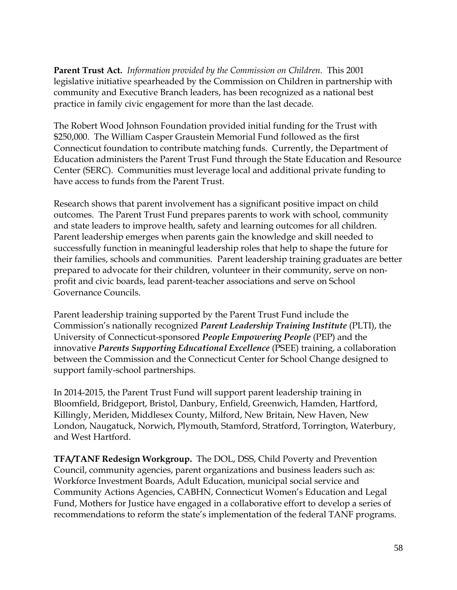**Parent Trust Act.** *Information provided by the Commission on Children.* This 2001 legislative initiative spearheaded by the Commission on Children in partnership with community and Executive Branch leaders, has been recognized as a national best practice in family civic engagement for more than the last decade.

The Robert Wood Johnson Foundation provided initial funding for the Trust with \$250,000. The William Casper Graustein Memorial Fund followed as the first Connecticut foundation to contribute matching funds. Currently, the Department of Education administers the Parent Trust Fund through the State Education and Resource Center (SERC). Communities must leverage local and additional private funding to have access to funds from the Parent Trust.

Research shows that parent involvement has a significant positive impact on child outcomes. The Parent Trust Fund prepares parents to work with school, community and state leaders to improve health, safety and learning outcomes for all children. Parent leadership emerges when parents gain the knowledge and skill needed to successfully function in meaningful leadership roles that help to shape the future for their families, schools and communities. Parent leadership training graduates are better prepared to advocate for their children, volunteer in their community, serve on nonprofit and civic boards, lead parent-teacher associations and serve on School Governance Councils.

Parent leadership training supported by the Parent Trust Fund include the Commission's nationally recognized *Parent Leadership Training Institute* (PLTI), the University of Connecticut-sponsored *People Empowering People* (PEP) and the innovative *Parents Supporting Educational Excellence* (PSEE) training, a collaboration between the Commission and the Connecticut Center for School Change designed to support family-school partnerships.

In 2014-2015, the Parent Trust Fund will support parent leadership training in Bloomfield, Bridgeport, Bristol, Danbury, Enfield, Greenwich, Hamden, Hartford, Killingly, Meriden, Middlesex County, Milford, New Britain, New Haven, New London, Naugatuck, Norwich, Plymouth, Stamford, Stratford, Torrington, Waterbury, and West Hartford.

**TFA/TANF Redesign Workgroup.** The DOL, DSS, Child Poverty and Prevention Council, community agencies, parent organizations and business leaders such as: Workforce Investment Boards, Adult Education, municipal social service and Community Actions Agencies, CABHN, Connecticut Women's Education and Legal Fund, Mothers for Justice have engaged in a collaborative effort to develop a series of recommendations to reform the state's implementation of the federal TANF programs.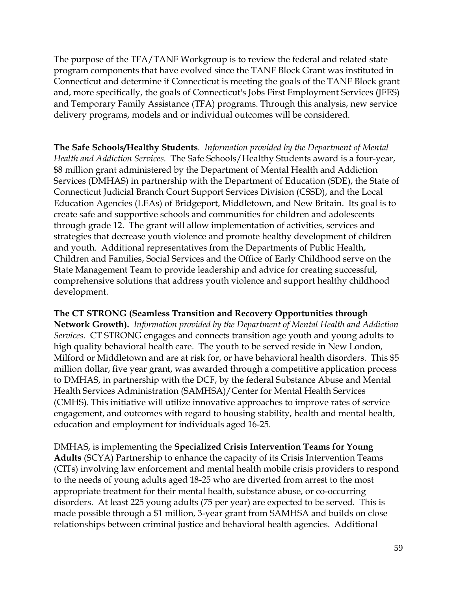The purpose of the TFA/TANF Workgroup is to review the federal and related state program components that have evolved since the TANF Block Grant was instituted in Connecticut and determine if Connecticut is meeting the goals of the TANF Block grant and, more specifically, the goals of Connecticut's Jobs First Employment Services (JFES) and Temporary Family Assistance (TFA) programs. Through this analysis, new service delivery programs, models and or individual outcomes will be considered.

**The Safe Schools/Healthy Students***. Information provided by the Department of Mental Health and Addiction Services.* The Safe Schools/Healthy Students award is a four-year, \$8 million grant administered by the Department of Mental Health and Addiction Services (DMHAS) in partnership with the Department of Education (SDE), the State of Connecticut Judicial Branch Court Support Services Division (CSSD), and the Local Education Agencies (LEAs) of Bridgeport, Middletown, and New Britain. Its goal is to create safe and supportive schools and communities for children and adolescents through grade 12. The grant will allow implementation of activities, services and strategies that decrease youth violence and promote healthy development of children and youth. Additional representatives from the Departments of Public Health, Children and Families, Social Services and the Office of Early Childhood serve on the State Management Team to provide leadership and advice for creating successful, comprehensive solutions that address youth violence and support healthy childhood development.

#### **The CT STRONG (Seamless Transition and Recovery Opportunities through**

**Network Growth).** *Information provided by the Department of Mental Health and Addiction Services.* CT STRONG engages and connects transition age youth and young adults to high quality behavioral health care. The youth to be served reside in New London, Milford or Middletown and are at risk for, or have behavioral health disorders. This \$5 million dollar, five year grant, was awarded through a competitive application process to DMHAS, in partnership with the DCF, by the federal Substance Abuse and Mental Health Services Administration (SAMHSA)/Center for Mental Health Services (CMHS). This initiative will utilize innovative approaches to improve rates of service engagement, and outcomes with regard to housing stability, health and mental health, education and employment for individuals aged 16-25.

DMHAS, is implementing the **Specialized Crisis Intervention Teams for Young Adults** (SCYA) Partnership to enhance the capacity of its Crisis Intervention Teams (CITs) involving law enforcement and mental health mobile crisis providers to respond to the needs of young adults aged 18-25 who are diverted from arrest to the most appropriate treatment for their mental health, substance abuse, or co-occurring disorders. At least 225 young adults (75 per year) are expected to be served. This is made possible through a \$1 million, 3-year grant from SAMHSA and builds on close relationships between criminal justice and behavioral health agencies. Additional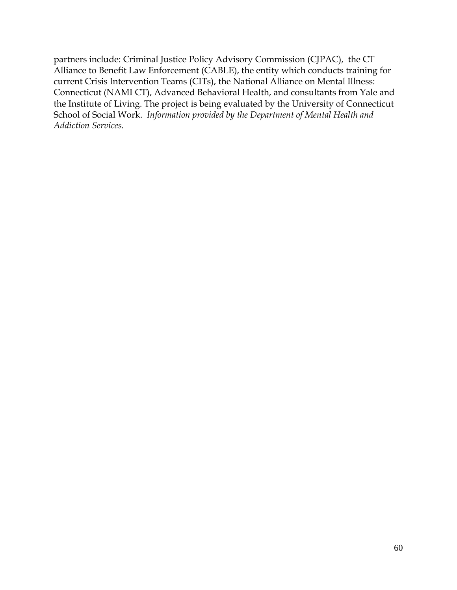partners include: Criminal Justice Policy Advisory Commission (CJPAC), the CT Alliance to Benefit Law Enforcement (CABLE), the entity which conducts training for current Crisis Intervention Teams (CITs), the National Alliance on Mental Illness: Connecticut (NAMI CT), Advanced Behavioral Health, and consultants from Yale and the Institute of Living. The project is being evaluated by the University of Connecticut School of Social Work. *Information provided by the Department of Mental Health and Addiction Services.*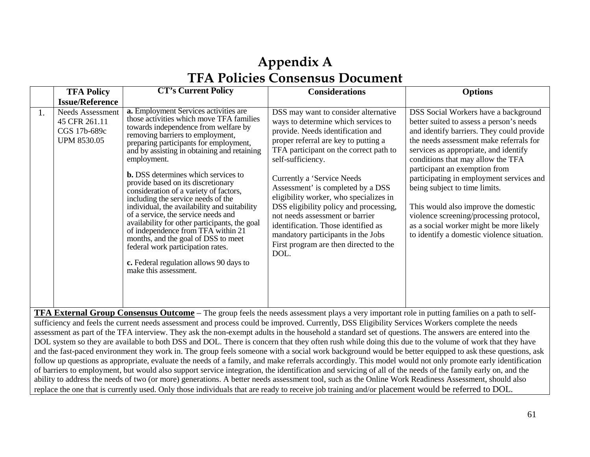# **Appendix A TFA Policies Consensus Document**

|    | <b>TFA Policy</b>                                                              | <b>CT's Current Policy</b>                                                                                                                                                                                                                                                                                                                                                                                                                                                                                                                                                                                                                                                                                                                                                     | <b>Considerations</b>                                                                                                                                                                                                                                                                                                                                                                                                                                                                                                                            | <b>Options</b>                                                                                                                                                                                                                                                                                                                                                                                                                                                                                                                                   |
|----|--------------------------------------------------------------------------------|--------------------------------------------------------------------------------------------------------------------------------------------------------------------------------------------------------------------------------------------------------------------------------------------------------------------------------------------------------------------------------------------------------------------------------------------------------------------------------------------------------------------------------------------------------------------------------------------------------------------------------------------------------------------------------------------------------------------------------------------------------------------------------|--------------------------------------------------------------------------------------------------------------------------------------------------------------------------------------------------------------------------------------------------------------------------------------------------------------------------------------------------------------------------------------------------------------------------------------------------------------------------------------------------------------------------------------------------|--------------------------------------------------------------------------------------------------------------------------------------------------------------------------------------------------------------------------------------------------------------------------------------------------------------------------------------------------------------------------------------------------------------------------------------------------------------------------------------------------------------------------------------------------|
|    | <b>Issue/Reference</b>                                                         |                                                                                                                                                                                                                                                                                                                                                                                                                                                                                                                                                                                                                                                                                                                                                                                |                                                                                                                                                                                                                                                                                                                                                                                                                                                                                                                                                  |                                                                                                                                                                                                                                                                                                                                                                                                                                                                                                                                                  |
| 1. | <b>Needs Assessment</b><br>45 CFR 261.11<br>CGS 17b-689c<br><b>UPM 8530.05</b> | <b>a.</b> Employment Services activities are<br>those activities which move TFA families<br>towards independence from welfare by<br>removing barriers to employment,<br>preparing participants for employment,<br>and by assisting in obtaining and retaining<br>employment.<br><b>b.</b> DSS determines which services to<br>provide based on its discretionary<br>consideration of a variety of factors,<br>including the service needs of the<br>individual, the availability and suitability<br>of a service, the service needs and<br>availability for other participants, the goal<br>of independence from TFA within 21<br>months, and the goal of DSS to meet<br>federal work participation rates.<br>c. Federal regulation allows 90 days to<br>make this assessment. | DSS may want to consider alternative<br>ways to determine which services to<br>provide. Needs identification and<br>proper referral are key to putting a<br>TFA participant on the correct path to<br>self-sufficiency.<br>Currently a 'Service Needs<br>Assessment' is completed by a DSS<br>eligibility worker, who specializes in<br>DSS eligibility policy and processing,<br>not needs assessment or barrier<br>identification. Those identified as<br>mandatory participants in the Jobs<br>First program are then directed to the<br>DOL. | DSS Social Workers have a background<br>better suited to assess a person's needs<br>and identify barriers. They could provide<br>the needs assessment make referrals for<br>services as appropriate, and identify<br>conditions that may allow the TFA<br>participant an exemption from<br>participating in employment services and<br>being subject to time limits.<br>This would also improve the domestic<br>violence screening/processing protocol,<br>as a social worker might be more likely<br>to identify a domestic violence situation. |

**TFA External Group Consensus Outcome** – The group feels the needs assessment plays a very important role in putting families on a path to selfsufficiency and feels the current needs assessment and process could be improved. Currently, DSS Eligibility Services Workers complete the needs assessment as part of the TFA interview. They ask the non-exempt adults in the household a standard set of questions. The answers are entered into the DOL system so they are available to both DSS and DOL. There is concern that they often rush while doing this due to the volume of work that they have and the fast-paced environment they work in. The group feels someone with a social work background would be better equipped to ask these questions, ask follow up questions as appropriate, evaluate the needs of a family, and make referrals accordingly. This model would not only promote early identification of barriers to employment, but would also support service integration, the identification and servicing of all of the needs of the family early on, and the ability to address the needs of two (or more) generations. A better needs assessment tool, such as the Online Work Readiness Assessment, should also replace the one that is currently used. Only those individuals that are ready to receive job training and/or placement would be referred to DOL.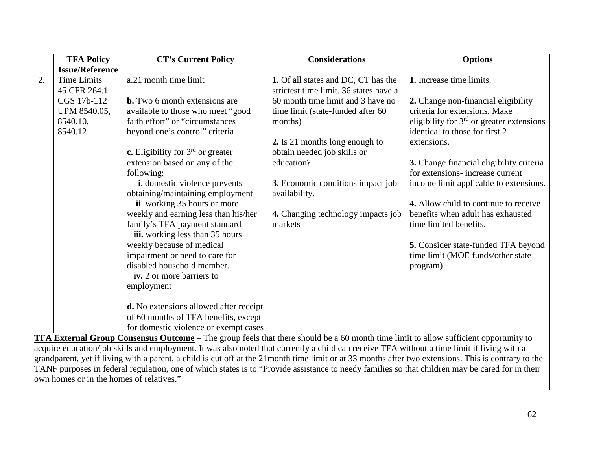|    | <b>TFA Policy</b>      | <b>CT's Current Policy</b>                                                                                                                                                                                                                                                          | <b>Considerations</b>                  | <b>Options</b>                              |
|----|------------------------|-------------------------------------------------------------------------------------------------------------------------------------------------------------------------------------------------------------------------------------------------------------------------------------|----------------------------------------|---------------------------------------------|
|    | <b>Issue/Reference</b> |                                                                                                                                                                                                                                                                                     |                                        |                                             |
| 2. | <b>Time Limits</b>     | a.21 month time limit                                                                                                                                                                                                                                                               | 1. Of all states and DC, CT has the    | 1. Increase time limits.                    |
|    | 45 CFR 264.1           |                                                                                                                                                                                                                                                                                     | strictest time limit. 36 states have a |                                             |
|    | CGS 17b-112            | <b>b.</b> Two 6 month extensions are                                                                                                                                                                                                                                                | 60 month time limit and 3 have no      | 2. Change non-financial eligibility         |
|    | UPM 8540.05,           | available to those who meet "good                                                                                                                                                                                                                                                   | time limit (state-funded after 60      | criteria for extensions. Make               |
|    | 8540.10,               | faith effort" or "circumstances                                                                                                                                                                                                                                                     | months)                                | eligibility for $3rd$ or greater extensions |
|    | 8540.12                | beyond one's control" criteria                                                                                                                                                                                                                                                      |                                        | identical to those for first 2              |
|    |                        |                                                                                                                                                                                                                                                                                     | 2. Is 21 months long enough to         | extensions.                                 |
|    |                        | c. Eligibility for $3rd$ or greater                                                                                                                                                                                                                                                 | obtain needed job skills or            |                                             |
|    |                        | extension based on any of the                                                                                                                                                                                                                                                       | education?                             | 3. Change financial eligibility criteria    |
|    |                        | following:                                                                                                                                                                                                                                                                          |                                        | for extensions- increase current            |
|    |                        | <i>i</i> . domestic violence prevents                                                                                                                                                                                                                                               | 3. Economic conditions impact job      | income limit applicable to extensions.      |
|    |                        | obtaining/maintaining employment                                                                                                                                                                                                                                                    | availability.                          |                                             |
|    |                        | ii. working 35 hours or more                                                                                                                                                                                                                                                        |                                        | 4. Allow child to continue to receive       |
|    |                        | weekly and earning less than his/her                                                                                                                                                                                                                                                | 4. Changing technology impacts job     | benefits when adult has exhausted           |
|    |                        | family's TFA payment standard                                                                                                                                                                                                                                                       | markets                                | time limited benefits.                      |
|    |                        | iii. working less than 35 hours                                                                                                                                                                                                                                                     |                                        |                                             |
|    |                        | weekly because of medical                                                                                                                                                                                                                                                           |                                        | 5. Consider state-funded TFA beyond         |
|    |                        | impairment or need to care for                                                                                                                                                                                                                                                      |                                        | time limit (MOE funds/other state           |
|    |                        | disabled household member.                                                                                                                                                                                                                                                          |                                        | program)                                    |
|    |                        | iv. 2 or more barriers to                                                                                                                                                                                                                                                           |                                        |                                             |
|    |                        | employment                                                                                                                                                                                                                                                                          |                                        |                                             |
|    |                        |                                                                                                                                                                                                                                                                                     |                                        |                                             |
|    |                        | d. No extensions allowed after receipt                                                                                                                                                                                                                                              |                                        |                                             |
|    |                        | of 60 months of TFA benefits, except                                                                                                                                                                                                                                                |                                        |                                             |
|    |                        | for domestic violence or exempt cases                                                                                                                                                                                                                                               |                                        |                                             |
|    |                        | TFA External Group Consensus Outcome - The group feels that there should be a 60 month time limit to allow sufficient opportunity to<br>acquire education/iob skills and employment. It was also noted that currently a child can receive TFA without a time limit if living with a |                                        |                                             |

acquire education/job skills and employment. It was also noted that currently a child can receive TFA without a time limit if living with a grandparent, yet if living with a parent, a child is cut off at the 21month time limit or at 33 months after two extensions. This is contrary to the TANF purposes in federal regulation, one of which states is to "Provide assistance to needy families so that children may be cared for in their own homes or in the homes of relatives."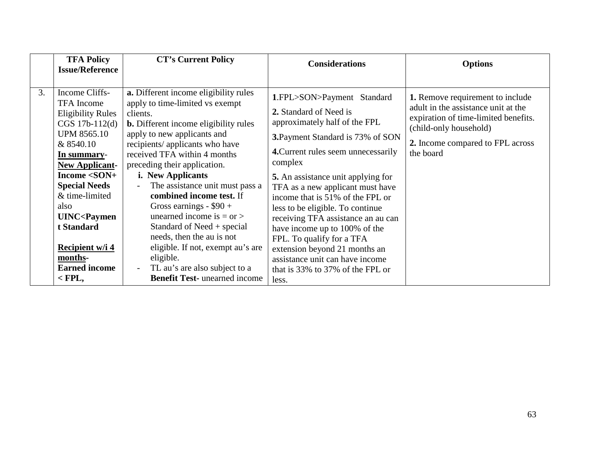|    | <b>TFA Policy</b>                                                                                                                                                                                                         | <b>CT's Current Policy</b>                                                                                                                                                                                                                                                                                                                                       | <b>Considerations</b>                                                                                                                                                                                                                                                                             | <b>Options</b>                                                                                                                                                                                    |
|----|---------------------------------------------------------------------------------------------------------------------------------------------------------------------------------------------------------------------------|------------------------------------------------------------------------------------------------------------------------------------------------------------------------------------------------------------------------------------------------------------------------------------------------------------------------------------------------------------------|---------------------------------------------------------------------------------------------------------------------------------------------------------------------------------------------------------------------------------------------------------------------------------------------------|---------------------------------------------------------------------------------------------------------------------------------------------------------------------------------------------------|
|    | <b>Issue/Reference</b>                                                                                                                                                                                                    |                                                                                                                                                                                                                                                                                                                                                                  |                                                                                                                                                                                                                                                                                                   |                                                                                                                                                                                                   |
|    |                                                                                                                                                                                                                           |                                                                                                                                                                                                                                                                                                                                                                  |                                                                                                                                                                                                                                                                                                   |                                                                                                                                                                                                   |
| 3. | Income Cliffs-<br><b>TFA</b> Income<br><b>Eligibility Rules</b><br>CGS 17b-112(d)<br><b>UPM 8565.10</b><br>& 8540.10<br>In summary-<br><b>New Applicant-</b><br>Income $<$ SON+<br><b>Special Needs</b><br>& time-limited | a. Different income eligibility rules<br>apply to time-limited vs exempt<br>clients.<br><b>b.</b> Different income eligibility rules<br>apply to new applicants and<br>recipients/applicants who have<br>received TFA within 4 months<br>preceding their application.<br><i>i.</i> New Applicants<br>The assistance unit must pass a<br>combined income test. If | 1.FPL>SON>Payment Standard<br>2. Standard of Need is<br>approximately half of the FPL<br>3. Payment Standard is 73% of SON<br>4. Current rules seem unnecessarily<br>complex<br><b>5.</b> An assistance unit applying for<br>TFA as a new applicant must have<br>income that is 51% of the FPL or | <b>1.</b> Remove requirement to include<br>adult in the assistance unit at the<br>expiration of time-limited benefits.<br>(child-only household)<br>2. Income compared to FPL across<br>the board |
|    | also<br><b>UINC<paymen< b=""><br/>t Standard<br/>Recipient w/i 4<br/>months-</paymen<></b>                                                                                                                                | Gross earnings - $$90 +$<br>unearned income is $=$ or $>$<br>Standard of Need + special<br>needs, then the au is not<br>eligible. If not, exempt au's are<br>eligible.                                                                                                                                                                                           | less to be eligible. To continue<br>receiving TFA assistance an au can<br>have income up to 100% of the<br>FPL. To qualify for a TFA<br>extension beyond 21 months an<br>assistance unit can have income                                                                                          |                                                                                                                                                                                                   |
|    | <b>Earned income</b><br>$<$ FPL,                                                                                                                                                                                          | TL au's are also subject to a<br><b>Benefit Test-</b> unearned income                                                                                                                                                                                                                                                                                            | that is 33% to 37% of the FPL or<br>less.                                                                                                                                                                                                                                                         |                                                                                                                                                                                                   |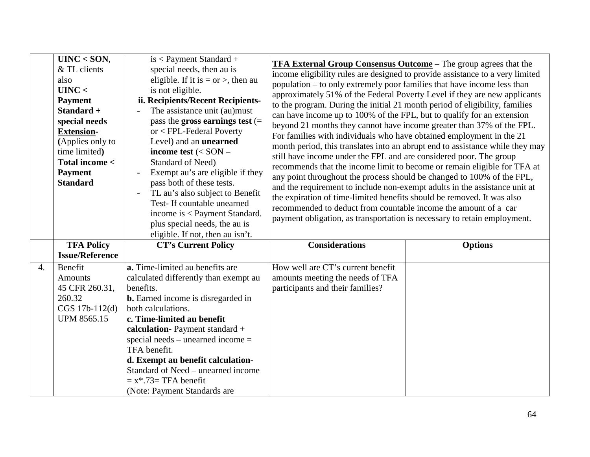|    | $UINC <$ SON,<br>& TL clients<br>also<br>UINC <<br><b>Payment</b><br>Standard +<br>special needs<br><b>Extension-</b><br>(Applies only to<br>time limited)<br>Total income <<br><b>Payment</b><br><b>Standard</b> | $is <$ Payment Standard +<br>special needs, then au is<br>eligible. If it is $=$ or $>$ , then au<br>is not eligible.<br>ii. Recipients/Recent Recipients-<br>The assistance unit (au)must<br>pass the gross earnings test $(=$<br>$or < FPL$ -Federal Poverty<br>Level) and an <b>unearned</b><br>income test $(<$ SON $-$<br>Standard of Need)<br>Exempt au's are eligible if they<br>pass both of these tests.<br>TL au's also subject to Benefit<br>Test-If countable unearned<br>income is < Payment Standard.<br>plus special needs, the au is<br>eligible. If not, then au isn't. | <b>TFA External Group Consensus Outcome</b> – The group agrees that the<br>income eligibility rules are designed to provide assistance to a very limited<br>population – to only extremely poor families that have income less than<br>approximately 51% of the Federal Poverty Level if they are new applicants<br>to the program. During the initial 21 month period of eligibility, families<br>can have income up to 100% of the FPL, but to qualify for an extension<br>beyond 21 months they cannot have income greater than 37% of the FPL.<br>For families with individuals who have obtained employment in the 21<br>month period, this translates into an abrupt end to assistance while they may<br>still have income under the FPL and are considered poor. The group<br>recommends that the income limit to become or remain eligible for TFA at<br>any point throughout the process should be changed to 100% of the FPL,<br>and the requirement to include non-exempt adults in the assistance unit at<br>the expiration of time-limited benefits should be removed. It was also<br>recommended to deduct from countable income the amount of a car<br>payment obligation, as transportation is necessary to retain employment. |                |
|----|-------------------------------------------------------------------------------------------------------------------------------------------------------------------------------------------------------------------|------------------------------------------------------------------------------------------------------------------------------------------------------------------------------------------------------------------------------------------------------------------------------------------------------------------------------------------------------------------------------------------------------------------------------------------------------------------------------------------------------------------------------------------------------------------------------------------|------------------------------------------------------------------------------------------------------------------------------------------------------------------------------------------------------------------------------------------------------------------------------------------------------------------------------------------------------------------------------------------------------------------------------------------------------------------------------------------------------------------------------------------------------------------------------------------------------------------------------------------------------------------------------------------------------------------------------------------------------------------------------------------------------------------------------------------------------------------------------------------------------------------------------------------------------------------------------------------------------------------------------------------------------------------------------------------------------------------------------------------------------------------------------------------------------------------------------------------------|----------------|
|    | <b>TFA Policy</b><br><b>Issue/Reference</b>                                                                                                                                                                       | <b>CT's Current Policy</b>                                                                                                                                                                                                                                                                                                                                                                                                                                                                                                                                                               | <b>Considerations</b>                                                                                                                                                                                                                                                                                                                                                                                                                                                                                                                                                                                                                                                                                                                                                                                                                                                                                                                                                                                                                                                                                                                                                                                                                          | <b>Options</b> |
| 4. | Benefit<br><b>Amounts</b><br>45 CFR 260.31,<br>260.32<br>CGS 17b-112(d)<br><b>UPM 8565.15</b>                                                                                                                     | a. Time-limited au benefits are<br>calculated differently than exempt au<br>benefits.<br><b>b.</b> Earned income is disregarded in<br>both calculations.<br>c. Time-limited au benefit<br>calculation-Payment standard +<br>special needs – unearned income $=$<br>TFA benefit.<br>d. Exempt au benefit calculation-<br>Standard of Need – unearned income<br>$= x*.73=$ TFA benefit<br>(Note: Payment Standards are                                                                                                                                                                     | How well are CT's current benefit<br>amounts meeting the needs of TFA<br>participants and their families?                                                                                                                                                                                                                                                                                                                                                                                                                                                                                                                                                                                                                                                                                                                                                                                                                                                                                                                                                                                                                                                                                                                                      |                |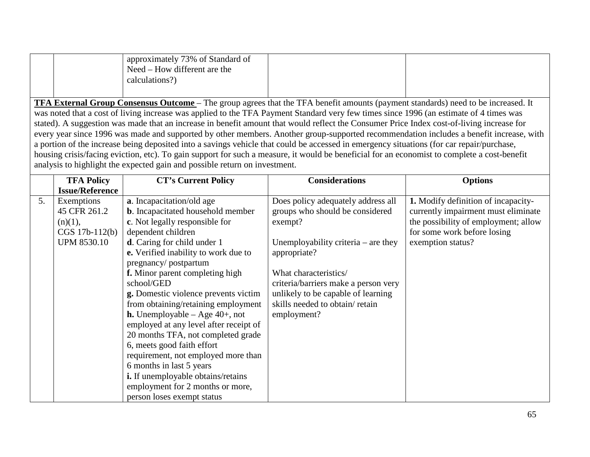|                                                                                                                                              | approximately 73% of Standard of<br>Need – How different are the<br>calculations?)                                                       |  |  |  |
|----------------------------------------------------------------------------------------------------------------------------------------------|------------------------------------------------------------------------------------------------------------------------------------------|--|--|--|
|                                                                                                                                              | <b>TFA External Group Consensus Outcome</b> – The group agrees that the TFA benefit amounts (payment standards) need to be increased. It |  |  |  |
| was noted that a cost of living increase was applied to the TFA Payment Standard very few times since 1996 (an estimate of 4 times was       |                                                                                                                                          |  |  |  |
| stated). A suggestion was made that an increase in benefit amount that would reflect the Consumer Price Index cost-of-living increase for    |                                                                                                                                          |  |  |  |
|                                                                                                                                              | every year since 1996 was made and supported by other members. Another group-supported recommendation includes a benefit increase, with  |  |  |  |
| a portion of the increase being deposited into a savings vehicle that could be accessed in emergency situations (for car repair/purchase,    |                                                                                                                                          |  |  |  |
| housing crisis/facing eviction, etc). To gain support for such a measure, it would be beneficial for an economist to complete a cost-benefit |                                                                                                                                          |  |  |  |
|                                                                                                                                              | analysis to highlight the expected gain and possible return on investment.                                                               |  |  |  |

|    | <b>TFA Policy</b>      | <b>CT's Current Policy</b>                  | <b>Considerations</b>                 | <b>Options</b>                             |
|----|------------------------|---------------------------------------------|---------------------------------------|--------------------------------------------|
|    | <b>Issue/Reference</b> |                                             |                                       |                                            |
| 5. | Exemptions             | a. Incapacitation/old age                   | Does policy adequately address all    | <b>1.</b> Modify definition of incapacity- |
|    | 45 CFR 261.2           | <b>b</b> . Incapacitated household member   | groups who should be considered       | currently impairment must eliminate        |
|    | (n)(1),                | c. Not legally responsible for              | exempt?                               | the possibility of employment; allow       |
|    | CGS 17b-112(b)         | dependent children                          |                                       | for some work before losing                |
|    | <b>UPM 8530.10</b>     | d. Caring for child under 1                 | Unemployability criteria $-$ are they | exemption status?                          |
|    |                        | <b>e.</b> Verified inability to work due to | appropriate?                          |                                            |
|    |                        | pregnancy/postpartum                        |                                       |                                            |
|    |                        | f. Minor parent completing high             | What characteristics/                 |                                            |
|    |                        | school/GED                                  | criteria/barriers make a person very  |                                            |
|    |                        | g. Domestic violence prevents victim        | unlikely to be capable of learning    |                                            |
|    |                        | from obtaining/retaining employment         | skills needed to obtain/retain        |                                            |
|    |                        | <b>h.</b> Unemployable – Age $40+$ , not    | employment?                           |                                            |
|    |                        | employed at any level after receipt of      |                                       |                                            |
|    |                        | 20 months TFA, not completed grade          |                                       |                                            |
|    |                        | 6, meets good faith effort                  |                                       |                                            |
|    |                        | requirement, not employed more than         |                                       |                                            |
|    |                        | 6 months in last 5 years                    |                                       |                                            |
|    |                        | i. If unemployable obtains/retains          |                                       |                                            |
|    |                        | employment for 2 months or more,            |                                       |                                            |
|    |                        | person loses exempt status                  |                                       |                                            |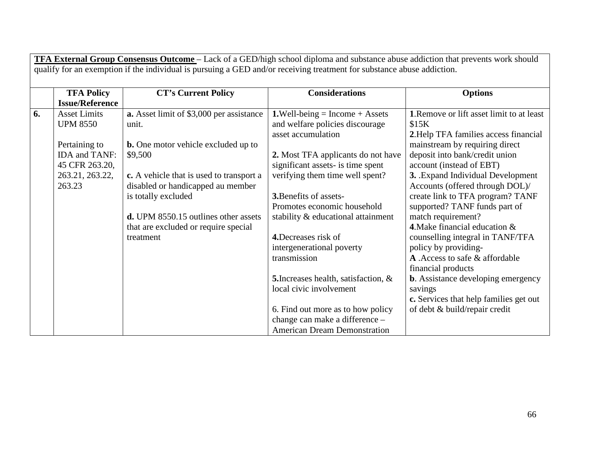|    | <b>TFA External Group Consensus Outcome</b> – Lack of a GED/high school diploma and substance abuse addiction that prevents work should |                                                                                                                        |                                             |                                           |  |
|----|-----------------------------------------------------------------------------------------------------------------------------------------|------------------------------------------------------------------------------------------------------------------------|---------------------------------------------|-------------------------------------------|--|
|    |                                                                                                                                         | qualify for an exemption if the individual is pursuing a GED and/or receiving treatment for substance abuse addiction. |                                             |                                           |  |
|    | <b>TFA Policy</b>                                                                                                                       | <b>CT's Current Policy</b>                                                                                             | <b>Considerations</b>                       | <b>Options</b>                            |  |
|    | <b>Issue/Reference</b>                                                                                                                  |                                                                                                                        |                                             |                                           |  |
| 6. | <b>Asset Limits</b>                                                                                                                     | a. Asset limit of \$3,000 per assistance                                                                               | <b>1.</b> Well-being = Income + Assets      | 1. Remove or lift asset limit to at least |  |
|    | <b>UPM 8550</b>                                                                                                                         | unit.                                                                                                                  | and welfare policies discourage             | \$15K                                     |  |
|    |                                                                                                                                         |                                                                                                                        | asset accumulation                          | 2. Help TFA families access financial     |  |
|    | Pertaining to                                                                                                                           | <b>b.</b> One motor vehicle excluded up to                                                                             |                                             | mainstream by requiring direct            |  |
|    | IDA and TANF:                                                                                                                           | \$9,500                                                                                                                | 2. Most TFA applicants do not have          | deposit into bank/credit union            |  |
|    | 45 CFR 263.20,                                                                                                                          |                                                                                                                        | significant assets- is time spent           | account (instead of EBT)                  |  |
|    | 263.21, 263.22,                                                                                                                         | c. A vehicle that is used to transport a                                                                               | verifying them time well spent?             | 3. Expand Individual Development          |  |
|    | 263.23                                                                                                                                  | disabled or handicapped au member                                                                                      |                                             | Accounts (offered through DOL)/           |  |
|    |                                                                                                                                         | is totally excluded                                                                                                    | <b>3.</b> Benefits of assets-               | create link to TFA program? TANF          |  |
|    |                                                                                                                                         |                                                                                                                        | Promotes economic household                 | supported? TANF funds part of             |  |
|    |                                                                                                                                         | <b>d.</b> UPM 8550.15 outlines other assets                                                                            | stability & educational attainment          | match requirement?                        |  |
|    |                                                                                                                                         | that are excluded or require special                                                                                   |                                             | 4. Make financial education $\&$          |  |
|    |                                                                                                                                         | treatment                                                                                                              | 4. Decreases risk of                        | counselling integral in TANF/TFA          |  |
|    |                                                                                                                                         |                                                                                                                        | intergenerational poverty                   | policy by providing-                      |  |
|    |                                                                                                                                         |                                                                                                                        | transmission                                | A .Access to safe & affordable            |  |
|    |                                                                                                                                         |                                                                                                                        |                                             | financial products                        |  |
|    |                                                                                                                                         |                                                                                                                        | <b>5.</b> Increases health, satisfaction, & | <b>b.</b> Assistance developing emergency |  |
|    |                                                                                                                                         |                                                                                                                        | local civic involvement                     | savings                                   |  |
|    |                                                                                                                                         |                                                                                                                        |                                             | c. Services that help families get out    |  |
|    |                                                                                                                                         |                                                                                                                        | 6. Find out more as to how policy           | of debt & build/repair credit             |  |
|    |                                                                                                                                         |                                                                                                                        | change can make a difference -              |                                           |  |
|    |                                                                                                                                         |                                                                                                                        | <b>American Dream Demonstration</b>         |                                           |  |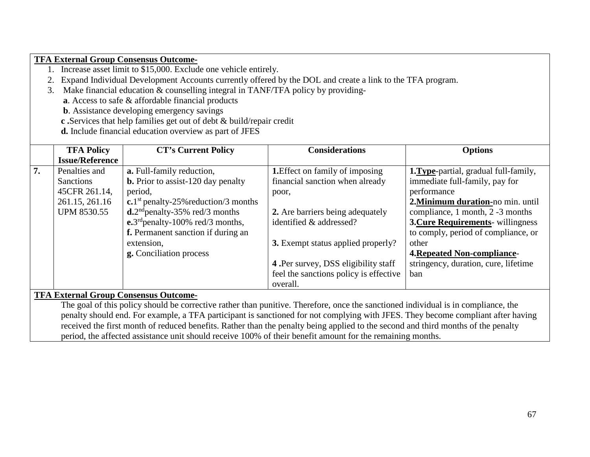### **TFA External Group Consensus Outcome-**

- 1. Increase asset limit to \$15,000. Exclude one vehicle entirely.
- 2. Expand Individual Development Accounts currently offered by the DOL and create a link to the TFA program.
- 3. Make financial education & counselling integral in TANF/TFA policy by providing
	- **a**. Access to safe & affordable financial products
	- **b**. Assistance developing emergency savings
	- **c .**Services that help families get out of debt & build/repair credit
	- **d.** Include financial education overview as part of JFES

|    | <b>TFA Policy</b>      | <b>CT's Current Policy</b>                             | <b>Considerations</b>                       | <b>Options</b>                               |
|----|------------------------|--------------------------------------------------------|---------------------------------------------|----------------------------------------------|
|    | <b>Issue/Reference</b> |                                                        |                                             |                                              |
| 7. | Penalties and          | <b>a.</b> Full-family reduction,                       | <b>1.</b> Effect on family of imposing      | <b>1. Type-partial, gradual full-family,</b> |
|    | <b>Sanctions</b>       | <b>b.</b> Prior to assist-120 day penalty              | financial sanction when already             | immediate full-family, pay for               |
|    | 45CFR 261.14,          | period,                                                | poor,                                       | performance                                  |
|    | 261.15, 261.16         | c.1 <sup>st</sup> penalty-25% reduction/3 months       |                                             | 2. Minimum duration-no min. until            |
|    | <b>UPM 8530.55</b>     | $d^{2nd}$ penalty-35% red/3 months                     | 2. Are barriers being adequately            | compliance, 1 month, 2 -3 months             |
|    |                        | $\epsilon$ .3 <sup>rd</sup> penalty-100% red/3 months, | identified & addressed?                     | <b>3. Cure Requirements-</b> willingness     |
|    |                        | f. Permanent sanction if during an                     |                                             | to comply, period of compliance, or          |
|    |                        | extension,                                             | <b>3.</b> Exempt status applied properly?   | other                                        |
|    |                        | g. Conciliation process                                |                                             | <b>4. Repeated Non-compliance-</b>           |
|    |                        |                                                        | <b>4.</b> Per survey, DSS eligibility staff | stringency, duration, cure, lifetime         |
|    |                        |                                                        | feel the sanctions policy is effective      | ban                                          |
|    |                        |                                                        | overall.                                    |                                              |
|    |                        | <b>TFA External Group Consensus Outcome-</b>           |                                             |                                              |

The goal of this policy should be corrective rather than punitive. Therefore, once the sanctioned individual is in compliance, the penalty should end. For example, a TFA participant is sanctioned for not complying with JFES. They become compliant after having received the first month of reduced benefits. Rather than the penalty being applied to the second and third months of the penalty period, the affected assistance unit should receive 100% of their benefit amount for the remaining months.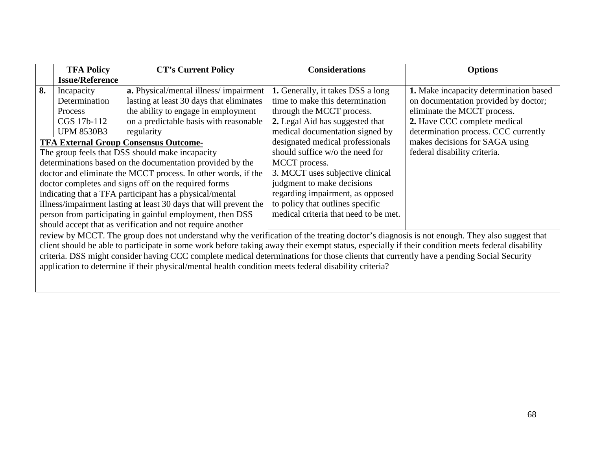|                                                            | <b>TFA Policy</b>                                                                                                                           | <b>CT's Current Policy</b>                                                                                                                       | <b>Considerations</b>                 | <b>Options</b>                         |  |
|------------------------------------------------------------|---------------------------------------------------------------------------------------------------------------------------------------------|--------------------------------------------------------------------------------------------------------------------------------------------------|---------------------------------------|----------------------------------------|--|
|                                                            | <b>Issue/Reference</b>                                                                                                                      |                                                                                                                                                  |                                       |                                        |  |
| 8.                                                         | Incapacity                                                                                                                                  | a. Physical/mental illness/impairment                                                                                                            | 1. Generally, it takes DSS a long     | 1. Make incapacity determination based |  |
|                                                            | Determination                                                                                                                               | lasting at least 30 days that eliminates                                                                                                         | time to make this determination       | on documentation provided by doctor;   |  |
|                                                            | <b>Process</b>                                                                                                                              | the ability to engage in employment                                                                                                              | through the MCCT process.             | eliminate the MCCT process.            |  |
|                                                            | CGS 17b-112                                                                                                                                 | on a predictable basis with reasonable                                                                                                           | 2. Legal Aid has suggested that       | 2. Have CCC complete medical           |  |
|                                                            | <b>UPM 8530B3</b>                                                                                                                           | regularity                                                                                                                                       | medical documentation signed by       | determination process. CCC currently   |  |
|                                                            |                                                                                                                                             | <b>TFA External Group Consensus Outcome-</b>                                                                                                     | designated medical professionals      | makes decisions for SAGA using         |  |
|                                                            |                                                                                                                                             | The group feels that DSS should make incapacity                                                                                                  | should suffice w/o the need for       | federal disability criteria.           |  |
|                                                            |                                                                                                                                             | determinations based on the documentation provided by the                                                                                        | MCCT process.                         |                                        |  |
|                                                            |                                                                                                                                             | doctor and eliminate the MCCT process. In other words, if the                                                                                    | 3. MCCT uses subjective clinical      |                                        |  |
|                                                            |                                                                                                                                             | doctor completes and signs off on the required forms                                                                                             | judgment to make decisions            |                                        |  |
|                                                            |                                                                                                                                             | indicating that a TFA participant has a physical/mental                                                                                          | regarding impairment, as opposed      |                                        |  |
|                                                            |                                                                                                                                             | illness/impairment lasting at least 30 days that will prevent the                                                                                | to policy that outlines specific      |                                        |  |
| person from participating in gainful employment, then DSS  |                                                                                                                                             |                                                                                                                                                  | medical criteria that need to be met. |                                        |  |
| should accept that as verification and not require another |                                                                                                                                             |                                                                                                                                                  |                                       |                                        |  |
|                                                            | review by MCCT. The group does not understand why the verification of the treating doctor's diagnosis is not enough. They also suggest that |                                                                                                                                                  |                                       |                                        |  |
|                                                            |                                                                                                                                             | client should be able to participate in some work before taking away their exempt status, especially if their condition meets federal disability |                                       |                                        |  |
|                                                            |                                                                                                                                             | criteria. DSS might consider having CCC complete medical determinations for those clients that currently have a pending Social Security          |                                       |                                        |  |

application to determine if their physical/mental health condition meets federal disability criteria?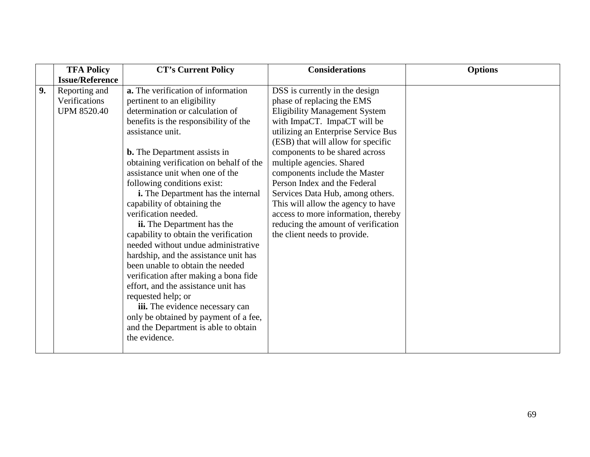|    | <b>TFA Policy</b>      | <b>CT's Current Policy</b>                 | <b>Considerations</b>                | <b>Options</b> |
|----|------------------------|--------------------------------------------|--------------------------------------|----------------|
|    | <b>Issue/Reference</b> |                                            |                                      |                |
| 9. | Reporting and          | a. The verification of information         | DSS is currently in the design       |                |
|    | Verifications          | pertinent to an eligibility                | phase of replacing the EMS           |                |
|    | <b>UPM 8520.40</b>     | determination or calculation of            | <b>Eligibility Management System</b> |                |
|    |                        | benefits is the responsibility of the      | with ImpaCT. ImpaCT will be          |                |
|    |                        | assistance unit.                           | utilizing an Enterprise Service Bus  |                |
|    |                        |                                            | (ESB) that will allow for specific   |                |
|    |                        | <b>b.</b> The Department assists in        | components to be shared across       |                |
|    |                        | obtaining verification on behalf of the    | multiple agencies. Shared            |                |
|    |                        | assistance unit when one of the            | components include the Master        |                |
|    |                        | following conditions exist:                | Person Index and the Federal         |                |
|    |                        | <i>i</i> . The Department has the internal | Services Data Hub, among others.     |                |
|    |                        | capability of obtaining the                | This will allow the agency to have   |                |
|    |                        | verification needed.                       | access to more information, thereby  |                |
|    |                        | ii. The Department has the                 | reducing the amount of verification  |                |
|    |                        | capability to obtain the verification      | the client needs to provide.         |                |
|    |                        | needed without undue administrative        |                                      |                |
|    |                        | hardship, and the assistance unit has      |                                      |                |
|    |                        | been unable to obtain the needed           |                                      |                |
|    |                        | verification after making a bona fide      |                                      |                |
|    |                        | effort, and the assistance unit has        |                                      |                |
|    |                        | requested help; or                         |                                      |                |
|    |                        | iii. The evidence necessary can            |                                      |                |
|    |                        | only be obtained by payment of a fee,      |                                      |                |
|    |                        | and the Department is able to obtain       |                                      |                |
|    |                        | the evidence.                              |                                      |                |
|    |                        |                                            |                                      |                |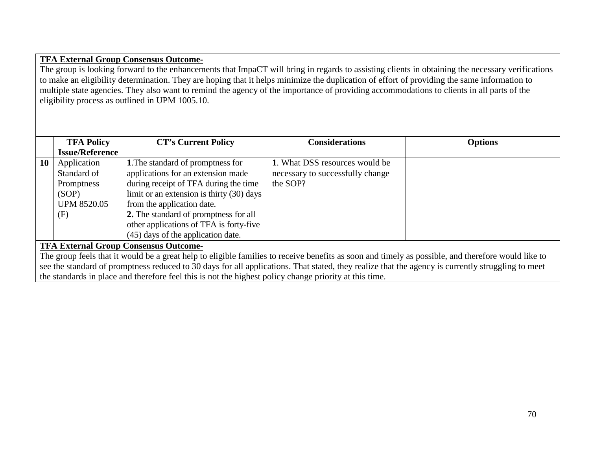#### **TFA External Group Consensus Outcome-**

The group is looking forward to the enhancements that ImpaCT will bring in regards to assisting clients in obtaining the necessary verifications to make an eligibility determination. They are hoping that it helps minimize the duplication of effort of providing the same information to multiple state agencies. They also want to remind the agency of the importance of providing accommodations to clients in all parts of the eligibility process as outlined in UPM 1005.10.

|                                                                                                                                                    | <b>TFA Policy</b>                            | <b>CT's Current Policy</b>                                                                                                                        | <b>Considerations</b>            | <b>Options</b> |  |
|----------------------------------------------------------------------------------------------------------------------------------------------------|----------------------------------------------|---------------------------------------------------------------------------------------------------------------------------------------------------|----------------------------------|----------------|--|
|                                                                                                                                                    | <b>Issue/Reference</b>                       |                                                                                                                                                   |                                  |                |  |
| 10                                                                                                                                                 | Application                                  | 1. The standard of promptness for                                                                                                                 | 1. What DSS resources would be   |                |  |
|                                                                                                                                                    | Standard of                                  | applications for an extension made                                                                                                                | necessary to successfully change |                |  |
|                                                                                                                                                    | Promptness                                   | during receipt of TFA during the time                                                                                                             | the SOP?                         |                |  |
|                                                                                                                                                    | (SOP)                                        | limit or an extension is thirty (30) days                                                                                                         |                                  |                |  |
|                                                                                                                                                    | <b>UPM 8520.05</b>                           | from the application date.                                                                                                                        |                                  |                |  |
|                                                                                                                                                    | (F)                                          | 2. The standard of promptness for all                                                                                                             |                                  |                |  |
|                                                                                                                                                    |                                              | other applications of TFA is forty-five                                                                                                           |                                  |                |  |
|                                                                                                                                                    |                                              | (45) days of the application date.                                                                                                                |                                  |                |  |
|                                                                                                                                                    | <b>TFA External Group Consensus Outcome-</b> |                                                                                                                                                   |                                  |                |  |
| The group feels that it would be a great help to eligible families to receive benefits as soon and timely as possible, and therefore would like to |                                              |                                                                                                                                                   |                                  |                |  |
|                                                                                                                                                    |                                              | see the standard of promptness reduced to 30 days for all applications. That stated, they realize that the agency is currently struggling to meet |                                  |                |  |
|                                                                                                                                                    |                                              | the standards in place and therefore feel this is not the highest policy change priority at this time.                                            |                                  |                |  |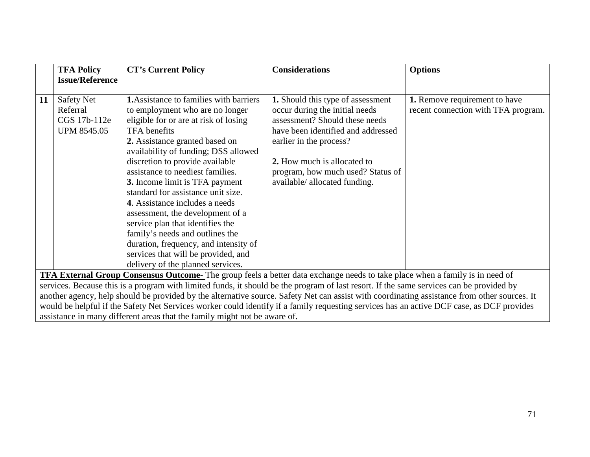|                                                                                                                                              | <b>TFA Policy</b>                                                         | <b>CT's Current Policy</b>                     | <b>Considerations</b>              | <b>Options</b>                      |  |  |  |
|----------------------------------------------------------------------------------------------------------------------------------------------|---------------------------------------------------------------------------|------------------------------------------------|------------------------------------|-------------------------------------|--|--|--|
|                                                                                                                                              | <b>Issue/Reference</b>                                                    |                                                |                                    |                                     |  |  |  |
|                                                                                                                                              |                                                                           |                                                |                                    |                                     |  |  |  |
| 11                                                                                                                                           | <b>Safety Net</b>                                                         | <b>1.</b> Assistance to families with barriers | 1. Should this type of assessment  | 1. Remove requirement to have       |  |  |  |
|                                                                                                                                              | Referral                                                                  | to employment who are no longer                | occur during the initial needs     | recent connection with TFA program. |  |  |  |
|                                                                                                                                              | CGS 17b-112e                                                              | eligible for or are at risk of losing          | assessment? Should these needs     |                                     |  |  |  |
|                                                                                                                                              | <b>UPM 8545.05</b>                                                        | TFA benefits                                   | have been identified and addressed |                                     |  |  |  |
|                                                                                                                                              |                                                                           | 2. Assistance granted based on                 | earlier in the process?            |                                     |  |  |  |
|                                                                                                                                              |                                                                           | availability of funding; DSS allowed           |                                    |                                     |  |  |  |
|                                                                                                                                              |                                                                           | discretion to provide available                | 2. How much is allocated to        |                                     |  |  |  |
|                                                                                                                                              |                                                                           | assistance to neediest families.               | program, how much used? Status of  |                                     |  |  |  |
|                                                                                                                                              |                                                                           | 3. Income limit is TFA payment                 | available/ allocated funding.      |                                     |  |  |  |
|                                                                                                                                              |                                                                           | standard for assistance unit size.             |                                    |                                     |  |  |  |
|                                                                                                                                              |                                                                           | 4. Assistance includes a needs                 |                                    |                                     |  |  |  |
|                                                                                                                                              |                                                                           | assessment, the development of a               |                                    |                                     |  |  |  |
|                                                                                                                                              |                                                                           | service plan that identifies the               |                                    |                                     |  |  |  |
|                                                                                                                                              |                                                                           | family's needs and outlines the                |                                    |                                     |  |  |  |
|                                                                                                                                              |                                                                           | duration, frequency, and intensity of          |                                    |                                     |  |  |  |
|                                                                                                                                              |                                                                           | services that will be provided, and            |                                    |                                     |  |  |  |
|                                                                                                                                              |                                                                           | delivery of the planned services.              |                                    |                                     |  |  |  |
| <b>TFA External Group Consensus Outcome-</b> The group feels a better data exchange needs to take place when a family is in need of          |                                                                           |                                                |                                    |                                     |  |  |  |
| services. Because this is a program with limited funds, it should be the program of last resort. If the same services can be provided by     |                                                                           |                                                |                                    |                                     |  |  |  |
| another agency, help should be provided by the alternative source. Safety Net can assist with coordinating assistance from other sources. It |                                                                           |                                                |                                    |                                     |  |  |  |
| would be helpful if the Safety Net Services worker could identify if a family requesting services has an active DCF case, as DCF provides    |                                                                           |                                                |                                    |                                     |  |  |  |
|                                                                                                                                              | assistance in many different areas that the family might not be aware of. |                                                |                                    |                                     |  |  |  |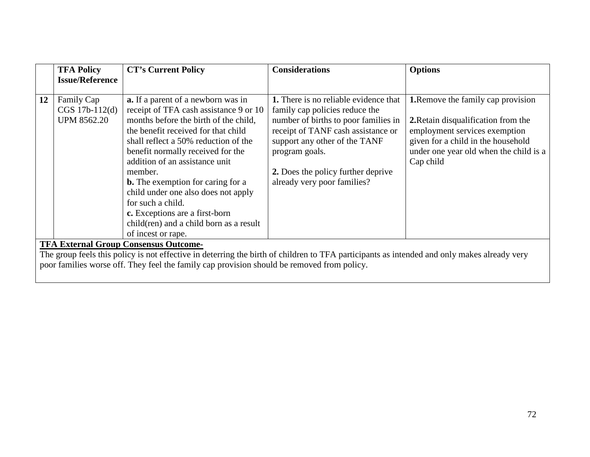|                                                                                                                                                                                             | <b>TFA Policy</b>      | <b>CT's Current Policy</b>                                                                                                                                                                                                                                                                                     | <b>Considerations</b>                                                                                                                                                                              | <b>Options</b>                                                                                                                                                    |  |  |  |  |
|---------------------------------------------------------------------------------------------------------------------------------------------------------------------------------------------|------------------------|----------------------------------------------------------------------------------------------------------------------------------------------------------------------------------------------------------------------------------------------------------------------------------------------------------------|----------------------------------------------------------------------------------------------------------------------------------------------------------------------------------------------------|-------------------------------------------------------------------------------------------------------------------------------------------------------------------|--|--|--|--|
|                                                                                                                                                                                             | <b>Issue/Reference</b> |                                                                                                                                                                                                                                                                                                                |                                                                                                                                                                                                    |                                                                                                                                                                   |  |  |  |  |
| 12                                                                                                                                                                                          | Family Cap             | <b>a.</b> If a parent of a newborn was in                                                                                                                                                                                                                                                                      | <b>1.</b> There is no reliable evidence that                                                                                                                                                       | <b>1.</b> Remove the family cap provision                                                                                                                         |  |  |  |  |
|                                                                                                                                                                                             | CGS 17b-112(d)         | receipt of TFA cash assistance 9 or 10                                                                                                                                                                                                                                                                         | family cap policies reduce the                                                                                                                                                                     |                                                                                                                                                                   |  |  |  |  |
|                                                                                                                                                                                             | <b>UPM 8562.20</b>     | months before the birth of the child,<br>the benefit received for that child<br>shall reflect a 50% reduction of the<br>benefit normally received for the<br>addition of an assistance unit<br>member.<br><b>b.</b> The exemption for caring for a<br>child under one also does not apply<br>for such a child. | number of births to poor families in<br>receipt of TANF cash assistance or<br>support any other of the TANF<br>program goals.<br>2. Does the policy further deprive<br>already very poor families? | 2. Retain disqualification from the<br>employment services exemption<br>given for a child in the household<br>under one year old when the child is a<br>Cap child |  |  |  |  |
|                                                                                                                                                                                             |                        | c. Exceptions are a first-born<br>child(ren) and a child born as a result                                                                                                                                                                                                                                      |                                                                                                                                                                                                    |                                                                                                                                                                   |  |  |  |  |
|                                                                                                                                                                                             |                        | of incest or rape.                                                                                                                                                                                                                                                                                             |                                                                                                                                                                                                    |                                                                                                                                                                   |  |  |  |  |
| <b>TFA External Group Consensus Outcome-</b><br>The group feels this policy is not effective in deterring the birth of children to TFA participants as intended and only makes already very |                        |                                                                                                                                                                                                                                                                                                                |                                                                                                                                                                                                    |                                                                                                                                                                   |  |  |  |  |
| poor families worse off. They feel the family cap provision should be removed from policy.                                                                                                  |                        |                                                                                                                                                                                                                                                                                                                |                                                                                                                                                                                                    |                                                                                                                                                                   |  |  |  |  |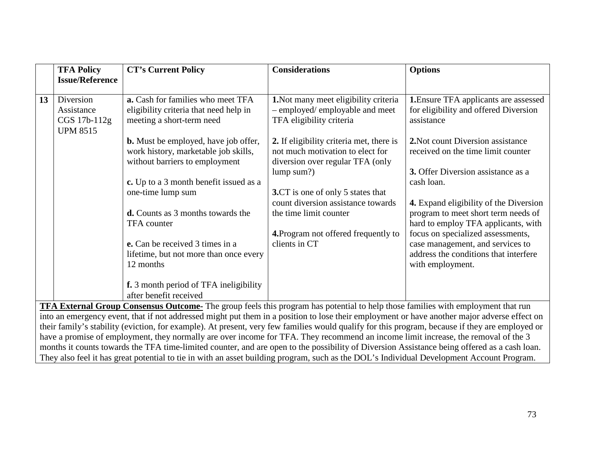|                                                                                                                                                                                                                                                                                    | <b>TFA Policy</b>                                                                                                                         | <b>CT's Current Policy</b>                                                                                            | <b>Considerations</b>                                                                                                          | <b>Options</b>                                                                                                                     |  |  |  |
|------------------------------------------------------------------------------------------------------------------------------------------------------------------------------------------------------------------------------------------------------------------------------------|-------------------------------------------------------------------------------------------------------------------------------------------|-----------------------------------------------------------------------------------------------------------------------|--------------------------------------------------------------------------------------------------------------------------------|------------------------------------------------------------------------------------------------------------------------------------|--|--|--|
|                                                                                                                                                                                                                                                                                    | <b>Issue/Reference</b>                                                                                                                    |                                                                                                                       |                                                                                                                                |                                                                                                                                    |  |  |  |
| 13                                                                                                                                                                                                                                                                                 | Diversion<br>Assistance<br>CGS 17b-112g<br><b>UPM 8515</b>                                                                                | a. Cash for families who meet TFA<br>eligibility criteria that need help in<br>meeting a short-term need              | 1. Not many meet eligibility criteria<br>- employed/ employable and meet<br>TFA eligibility criteria                           | <b>1.</b> Ensure TFA applicants are assessed<br>for eligibility and offered Diversion<br>assistance                                |  |  |  |
|                                                                                                                                                                                                                                                                                    |                                                                                                                                           | <b>b.</b> Must be employed, have job offer,<br>work history, marketable job skills,<br>without barriers to employment | 2. If eligibility criteria met, there is<br>not much motivation to elect for<br>diversion over regular TFA (only<br>lump sum?) | 2. Not count Diversion assistance<br>received on the time limit counter<br>3. Offer Diversion assistance as a                      |  |  |  |
|                                                                                                                                                                                                                                                                                    |                                                                                                                                           | c. Up to a 3 month benefit issued as a<br>one-time lump sum                                                           | <b>3.CT</b> is one of only 5 states that                                                                                       | cash loan.                                                                                                                         |  |  |  |
|                                                                                                                                                                                                                                                                                    |                                                                                                                                           | <b>d.</b> Counts as 3 months towards the<br><b>TFA</b> counter                                                        | count diversion assistance towards<br>the time limit counter                                                                   | 4. Expand eligibility of the Diversion<br>program to meet short term needs of<br>hard to employ TFA applicants, with               |  |  |  |
|                                                                                                                                                                                                                                                                                    |                                                                                                                                           | e. Can be received 3 times in a<br>lifetime, but not more than once every<br>12 months                                | 4. Program not offered frequently to<br>clients in CT                                                                          | focus on specialized assessments,<br>case management, and services to<br>address the conditions that interfere<br>with employment. |  |  |  |
|                                                                                                                                                                                                                                                                                    |                                                                                                                                           | f. 3 month period of TFA ineligibility<br>after benefit received                                                      |                                                                                                                                |                                                                                                                                    |  |  |  |
|                                                                                                                                                                                                                                                                                    | <b>TFA External Group Consensus Outcome-</b> The group feels this program has potential to help those families with employment that run   |                                                                                                                       |                                                                                                                                |                                                                                                                                    |  |  |  |
| into an emergency event, that if not addressed might put them in a position to lose their employment or have another major adverse effect on                                                                                                                                       |                                                                                                                                           |                                                                                                                       |                                                                                                                                |                                                                                                                                    |  |  |  |
| their family's stability (eviction, for example). At present, very few families would qualify for this program, because if they are employed or                                                                                                                                    |                                                                                                                                           |                                                                                                                       |                                                                                                                                |                                                                                                                                    |  |  |  |
| have a promise of employment, they normally are over income for TFA. They recommend an income limit increase, the removal of the 3<br>months it counts towards the TFA time-limited counter, and are open to the possibility of Diversion Assistance being offered as a cash loan. |                                                                                                                                           |                                                                                                                       |                                                                                                                                |                                                                                                                                    |  |  |  |
|                                                                                                                                                                                                                                                                                    | They also feel it has great potential to tie in with an asset building program, such as the DOL's Individual Development Account Program. |                                                                                                                       |                                                                                                                                |                                                                                                                                    |  |  |  |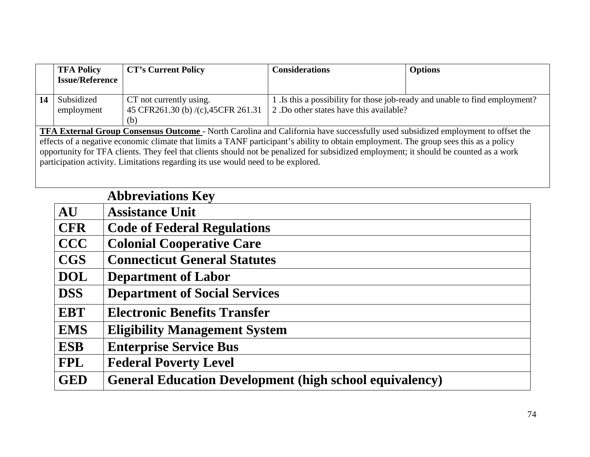|                                                                                                                                        | <b>TFA Policy</b>      | <b>CT's Current Policy</b>           | <b>Considerations</b>                   | <b>Options</b>                                                              |  |
|----------------------------------------------------------------------------------------------------------------------------------------|------------------------|--------------------------------------|-----------------------------------------|-----------------------------------------------------------------------------|--|
|                                                                                                                                        | <b>Issue/Reference</b> |                                      |                                         |                                                                             |  |
|                                                                                                                                        |                        |                                      |                                         |                                                                             |  |
| 14                                                                                                                                     | Subsidized             | CT not currently using.              |                                         | 1. Is this a possibility for those job-ready and unable to find employment? |  |
|                                                                                                                                        | employment             | 45 CFR261.30 (b) /(c), 45 CFR 261.31 | 2. Do other states have this available? |                                                                             |  |
|                                                                                                                                        |                        | (b)                                  |                                         |                                                                             |  |
| <b>TFA External Group Consensus Outcome</b> - North Carolina and California have successfully used subsidized employment to offset the |                        |                                      |                                         |                                                                             |  |
| effects of a negative economic climate that limits a TANF participant's ability to obtain employment. The group sees this as a policy  |                        |                                      |                                         |                                                                             |  |
| opportunity for TFA clients. They feel that clients should not be penalized for subsidized employment; it should be counted as a work  |                        |                                      |                                         |                                                                             |  |
| participation activity. Limitations regarding its use would need to be explored.                                                       |                        |                                      |                                         |                                                                             |  |
|                                                                                                                                        |                        |                                      |                                         |                                                                             |  |

|            | <b>Abbreviations Key</b>                                       |
|------------|----------------------------------------------------------------|
| <b>AU</b>  | <b>Assistance Unit</b>                                         |
| <b>CFR</b> | <b>Code of Federal Regulations</b>                             |
| <b>CCC</b> | <b>Colonial Cooperative Care</b>                               |
| <b>CGS</b> | <b>Connecticut General Statutes</b>                            |
| <b>DOL</b> | <b>Department of Labor</b>                                     |
| <b>DSS</b> | <b>Department of Social Services</b>                           |
| <b>EBT</b> | <b>Electronic Benefits Transfer</b>                            |
| <b>EMS</b> | <b>Eligibility Management System</b>                           |
| <b>ESB</b> | <b>Enterprise Service Bus</b>                                  |
| <b>FPL</b> | <b>Federal Poverty Level</b>                                   |
| <b>GED</b> | <b>General Education Development (high school equivalency)</b> |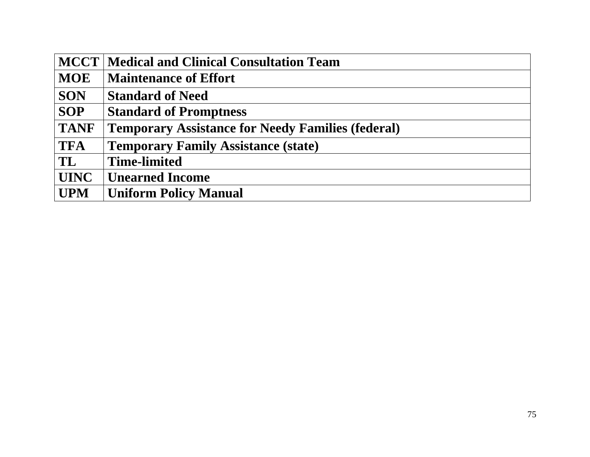|               | MCCT   Medical and Clinical Consultation Team            |
|---------------|----------------------------------------------------------|
| <b>MOE</b>    | <b>Maintenance of Effort</b>                             |
| <b>SON</b>    | <b>Standard of Need</b>                                  |
| <b>SOP</b>    | <b>Standard of Promptness</b>                            |
| <b>TANF</b>   | <b>Temporary Assistance for Needy Families (federal)</b> |
| <b>TFA</b>    | <b>Temporary Family Assistance (state)</b>               |
| $\mathbf{TL}$ | <b>Time-limited</b>                                      |
| <b>UINC</b>   | <b>Unearned Income</b>                                   |
| <b>UPM</b>    | <b>Uniform Policy Manual</b>                             |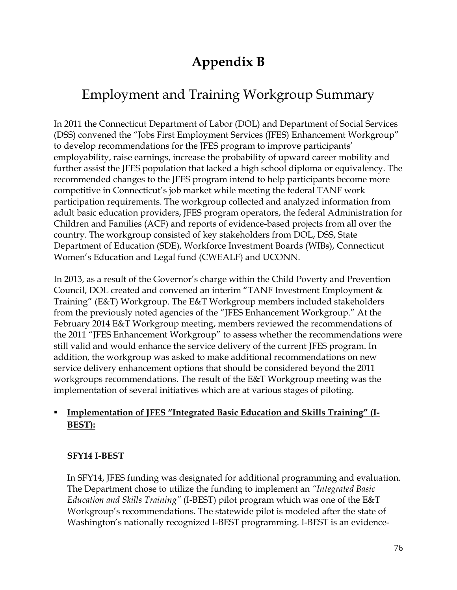## **Appendix B**

# Employment and Training Workgroup Summary

In 2011 the Connecticut Department of Labor (DOL) and Department of Social Services (DSS) convened the "Jobs First Employment Services (JFES) Enhancement Workgroup" to develop recommendations for the JFES program to improve participants' employability, raise earnings, increase the probability of upward career mobility and further assist the JFES population that lacked a high school diploma or equivalency. The recommended changes to the JFES program intend to help participants become more competitive in Connecticut's job market while meeting the federal TANF work participation requirements. The workgroup collected and analyzed information from adult basic education providers, JFES program operators, the federal Administration for Children and Families (ACF) and reports of evidence-based projects from all over the country. The workgroup consisted of key stakeholders from DOL, DSS, State Department of Education (SDE), Workforce Investment Boards (WIBs), Connecticut Women's Education and Legal fund (CWEALF) and UCONN.

In 2013, as a result of the Governor's charge within the Child Poverty and Prevention Council, DOL created and convened an interim "TANF Investment Employment & Training" (E&T) Workgroup. The E&T Workgroup members included stakeholders from the previously noted agencies of the "JFES Enhancement Workgroup." At the February 2014 E&T Workgroup meeting, members reviewed the recommendations of the 2011 "JFES Enhancement Workgroup" to assess whether the recommendations were still valid and would enhance the service delivery of the current JFES program. In addition, the workgroup was asked to make additional recommendations on new service delivery enhancement options that should be considered beyond the 2011 workgroups recommendations. The result of the E&T Workgroup meeting was the implementation of several initiatives which are at various stages of piloting.

#### **Implementation of JFES "Integrated Basic Education and Skills Training" (I-BEST):**

#### **SFY14 I-BEST**

In SFY14, JFES funding was designated for additional programming and evaluation. The Department chose to utilize the funding to implement an *"Integrated Basic Education and Skills Training"* (I-BEST) pilot program which was one of the E&T Workgroup's recommendations. The statewide pilot is modeled after the state of Washington's nationally recognized I-BEST programming. I-BEST is an evidence-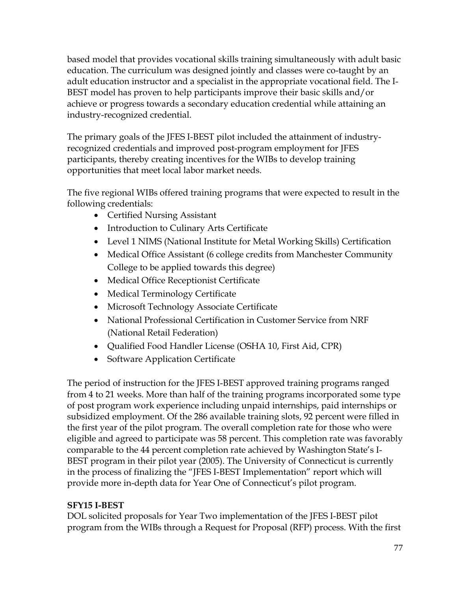based model that provides vocational skills training simultaneously with adult basic education. The curriculum was designed jointly and classes were co-taught by an adult education instructor and a specialist in the appropriate vocational field. The I-BEST model has proven to help participants improve their basic skills and/or achieve or progress towards a secondary education credential while attaining an industry-recognized credential.

The primary goals of the JFES I-BEST pilot included the attainment of industryrecognized credentials and improved post-program employment for JFES participants, thereby creating incentives for the WIBs to develop training opportunities that meet local labor market needs.

The five regional WIBs offered training programs that were expected to result in the following credentials:

- Certified Nursing Assistant
- Introduction to Culinary Arts Certificate
- Level 1 NIMS (National Institute for Metal Working Skills) Certification
- Medical Office Assistant (6 college credits from Manchester Community College to be applied towards this degree)
- Medical Office Receptionist Certificate
- Medical Terminology Certificate
- Microsoft Technology Associate Certificate
- National Professional Certification in Customer Service from NRF (National Retail Federation)
- Qualified Food Handler License (OSHA 10, First Aid, CPR)
- Software Application Certificate

The period of instruction for the JFES I-BEST approved training programs ranged from 4 to 21 weeks. More than half of the training programs incorporated some type of post program work experience including unpaid internships, paid internships or subsidized employment. Of the 286 available training slots, 92 percent were filled in the first year of the pilot program. The overall completion rate for those who were eligible and agreed to participate was 58 percent. This completion rate was favorably comparable to the 44 percent completion rate achieved by Washington State's I-BEST program in their pilot year (2005). The University of Connecticut is currently in the process of finalizing the "JFES I-BEST Implementation" report which will provide more in-depth data for Year One of Connecticut's pilot program.

#### **SFY15 I-BEST**

DOL solicited proposals for Year Two implementation of the JFES I-BEST pilot program from the WIBs through a Request for Proposal (RFP) process. With the first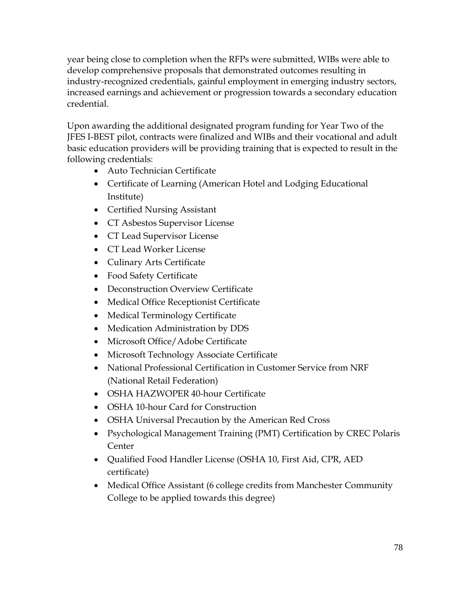year being close to completion when the RFPs were submitted, WIBs were able to develop comprehensive proposals that demonstrated outcomes resulting in industry-recognized credentials, gainful employment in emerging industry sectors, increased earnings and achievement or progression towards a secondary education credential.

Upon awarding the additional designated program funding for Year Two of the JFES I-BEST pilot, contracts were finalized and WIBs and their vocational and adult basic education providers will be providing training that is expected to result in the following credentials:

- Auto Technician Certificate
- Certificate of Learning (American Hotel and Lodging Educational Institute)
- Certified Nursing Assistant
- CT Asbestos Supervisor License
- CT Lead Supervisor License
- CT Lead Worker License
- Culinary Arts Certificate
- Food Safety Certificate
- Deconstruction Overview Certificate
- Medical Office Receptionist Certificate
- Medical Terminology Certificate
- Medication Administration by DDS
- Microsoft Office/Adobe Certificate
- Microsoft Technology Associate Certificate
- National Professional Certification in Customer Service from NRF (National Retail Federation)
- OSHA HAZWOPER 40-hour Certificate
- OSHA 10-hour Card for Construction
- OSHA Universal Precaution by the American Red Cross
- Psychological Management Training (PMT) Certification by CREC Polaris Center
- Qualified Food Handler License (OSHA 10, First Aid, CPR, AED certificate)
- Medical Office Assistant (6 college credits from Manchester Community College to be applied towards this degree)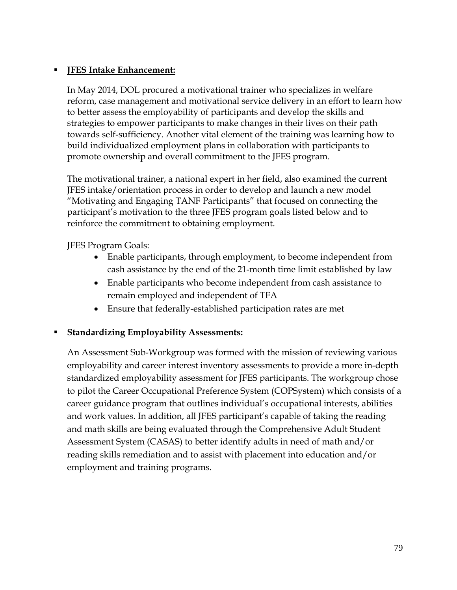#### **JFES Intake Enhancement:**

In May 2014, DOL procured a motivational trainer who specializes in welfare reform, case management and motivational service delivery in an effort to learn how to better assess the employability of participants and develop the skills and strategies to empower participants to make changes in their lives on their path towards self-sufficiency. Another vital element of the training was learning how to build individualized employment plans in collaboration with participants to promote ownership and overall commitment to the JFES program.

The motivational trainer, a national expert in her field, also examined the current JFES intake/orientation process in order to develop and launch a new model "Motivating and Engaging TANF Participants" that focused on connecting the participant's motivation to the three JFES program goals listed below and to reinforce the commitment to obtaining employment.

JFES Program Goals:

- Enable participants, through employment, to become independent from cash assistance by the end of the 21-month time limit established by law
- Enable participants who become independent from cash assistance to remain employed and independent of TFA
- Ensure that federally-established participation rates are met

#### **Standardizing Employability Assessments:**

An Assessment Sub-Workgroup was formed with the mission of reviewing various employability and career interest inventory assessments to provide a more in-depth standardized employability assessment for JFES participants. The workgroup chose to pilot the Career Occupational Preference System (COPSystem) which consists of a career guidance program that outlines individual's occupational interests, abilities and work values. In addition, all JFES participant's capable of taking the reading and math skills are being evaluated through the Comprehensive Adult Student Assessment System (CASAS) to better identify adults in need of math and/or reading skills remediation and to assist with placement into education and/or employment and training programs.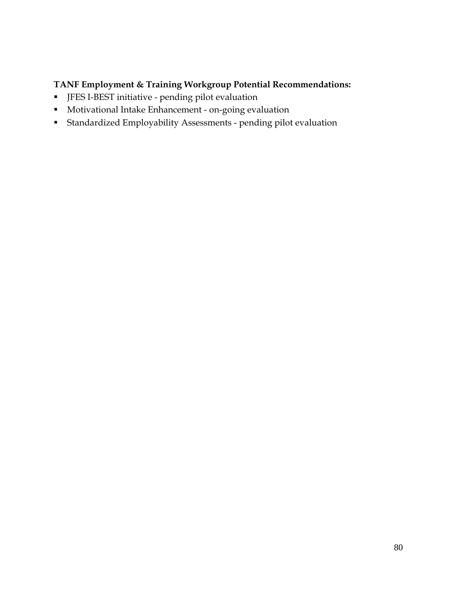#### **TANF Employment & Training Workgroup Potential Recommendations:**

- JFES I-BEST initiative pending pilot evaluation
- Motivational Intake Enhancement on-going evaluation
- Standardized Employability Assessments pending pilot evaluation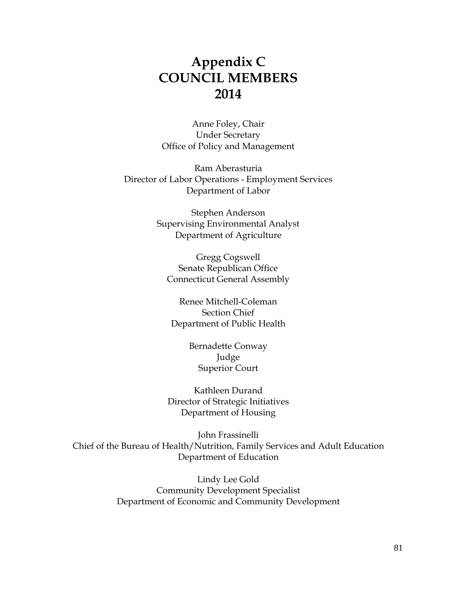### **Appendix C COUNCIL MEMBERS 2014**

Anne Foley, Chair Under Secretary Office of Policy and Management

Ram Aberasturia Director of Labor Operations - Employment Services Department of Labor

> Stephen Anderson Supervising Environmental Analyst Department of Agriculture

Gregg Cogswell Senate Republican Office Connecticut General Assembly

Renee Mitchell-Coleman Section Chief Department of Public Health

> Bernadette Conway Judge Superior Court

Kathleen Durand Director of Strategic Initiatives Department of Housing

John Frassinelli Chief of the Bureau of Health/Nutrition, Family Services and Adult Education Department of Education

> Lindy Lee Gold Community Development Specialist Department of Economic and Community Development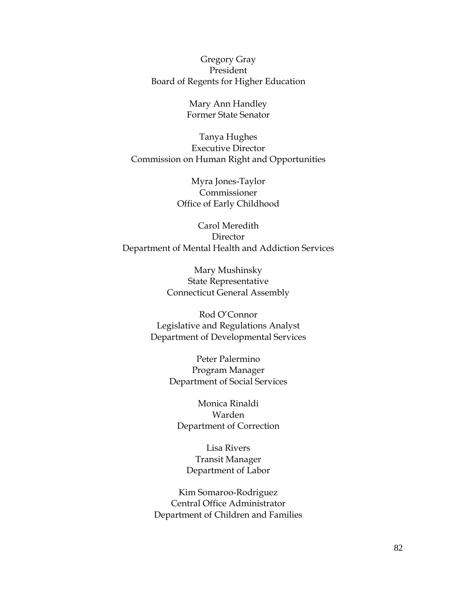Gregory Gray President Board of Regents for Higher Education

> Mary Ann Handley Former State Senator

Tanya Hughes Executive Director Commission on Human Right and Opportunities

> Myra Jones-Taylor Commissioner Office of Early Childhood

Carol Meredith Director Department of Mental Health and Addiction Services

> Mary Mushinsky State Representative Connecticut General Assembly

Rod O'Connor Legislative and Regulations Analyst Department of Developmental Services

> Peter Palermino Program Manager Department of Social Services

Monica Rinaldi Warden Department of Correction

Lisa Rivers Transit Manager Department of Labor

Kim Somaroo-Rodriguez Central Office Administrator Department of Children and Families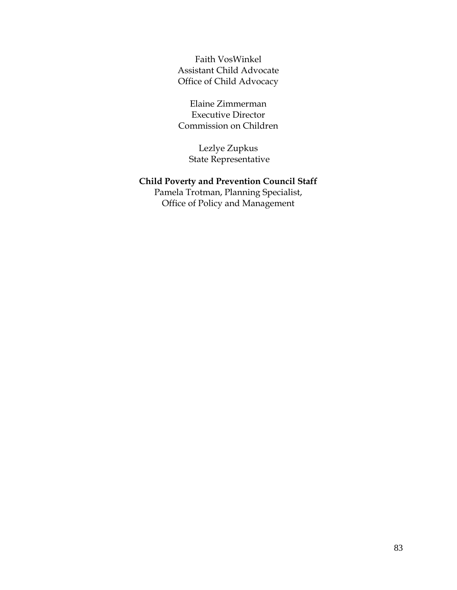Faith VosWinkel Assistant Child Advocate Office of Child Advocacy

Elaine Zimmerman Executive Director Commission on Children

Lezlye Zupkus State Representative

#### **Child Poverty and Prevention Council Staff**

Pamela Trotman, Planning Specialist, Office of Policy and Management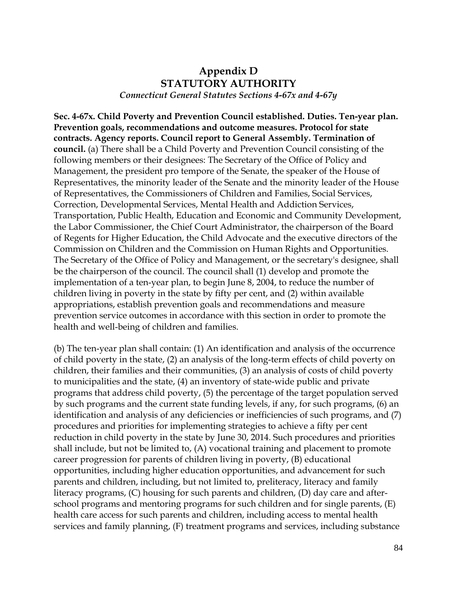#### **Appendix D STATUTORY AUTHORITY** *Connecticut General Statutes Sections 4-67x and 4-67y*

**Sec. 4-67x. Child Poverty and Prevention Council established. Duties. Ten-year plan. Prevention goals, recommendations and outcome measures. Protocol for state contracts. Agency reports. Council report to General Assembly. Termination of council.** (a) There shall be a Child Poverty and Prevention Council consisting of the following members or their designees: The Secretary of the Office of Policy and Management, the president pro tempore of the Senate, the speaker of the House of Representatives, the minority leader of the Senate and the minority leader of the House of Representatives, the Commissioners of Children and Families, Social Services, Correction, Developmental Services, Mental Health and Addiction Services, Transportation, Public Health, Education and Economic and Community Development, the Labor Commissioner, the Chief Court Administrator, the chairperson of the Board of Regents for Higher Education, the Child Advocate and the executive directors of the Commission on Children and the Commission on Human Rights and Opportunities. The Secretary of the Office of Policy and Management, or the secretary's designee, shall be the chairperson of the council. The council shall (1) develop and promote the implementation of a ten-year plan, to begin June 8, 2004, to reduce the number of children living in poverty in the state by fifty per cent, and (2) within available appropriations, establish prevention goals and recommendations and measure prevention service outcomes in accordance with this section in order to promote the health and well-being of children and families.

(b) The ten-year plan shall contain: (1) An identification and analysis of the occurrence of child poverty in the state, (2) an analysis of the long-term effects of child poverty on children, their families and their communities, (3) an analysis of costs of child poverty to municipalities and the state, (4) an inventory of state-wide public and private programs that address child poverty, (5) the percentage of the target population served by such programs and the current state funding levels, if any, for such programs, (6) an identification and analysis of any deficiencies or inefficiencies of such programs, and (7) procedures and priorities for implementing strategies to achieve a fifty per cent reduction in child poverty in the state by June 30, 2014. Such procedures and priorities shall include, but not be limited to, (A) vocational training and placement to promote career progression for parents of children living in poverty, (B) educational opportunities, including higher education opportunities, and advancement for such parents and children, including, but not limited to, preliteracy, literacy and family literacy programs, (C) housing for such parents and children, (D) day care and afterschool programs and mentoring programs for such children and for single parents, (E) health care access for such parents and children, including access to mental health services and family planning, (F) treatment programs and services, including substance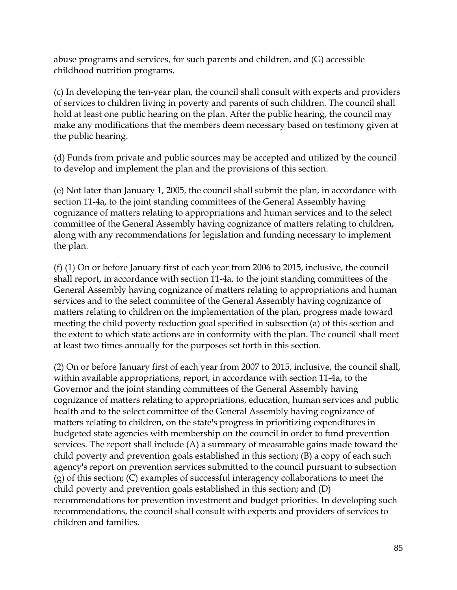abuse programs and services, for such parents and children, and (G) accessible childhood nutrition programs.

(c) In developing the ten-year plan, the council shall consult with experts and providers of services to children living in poverty and parents of such children. The council shall hold at least one public hearing on the plan. After the public hearing, the council may make any modifications that the members deem necessary based on testimony given at the public hearing.

(d) Funds from private and public sources may be accepted and utilized by the council to develop and implement the plan and the provisions of this section.

(e) Not later than January 1, 2005, the council shall submit the plan, in accordance with section 11-4a, to the joint standing committees of the General Assembly having cognizance of matters relating to appropriations and human services and to the select committee of the General Assembly having cognizance of matters relating to children, along with any recommendations for legislation and funding necessary to implement the plan.

(f) (1) On or before January first of each year from 2006 to 2015, inclusive, the council shall report, in accordance with section 11-4a, to the joint standing committees of the General Assembly having cognizance of matters relating to appropriations and human services and to the select committee of the General Assembly having cognizance of matters relating to children on the implementation of the plan, progress made toward meeting the child poverty reduction goal specified in subsection (a) of this section and the extent to which state actions are in conformity with the plan. The council shall meet at least two times annually for the purposes set forth in this section.

(2) On or before January first of each year from 2007 to 2015, inclusive, the council shall, within available appropriations, report, in accordance with section 11-4a, to the Governor and the joint standing committees of the General Assembly having cognizance of matters relating to appropriations, education, human services and public health and to the select committee of the General Assembly having cognizance of matters relating to children, on the state's progress in prioritizing expenditures in budgeted state agencies with membership on the council in order to fund prevention services. The report shall include (A) a summary of measurable gains made toward the child poverty and prevention goals established in this section; (B) a copy of each such agency's report on prevention services submitted to the council pursuant to subsection (g) of this section; (C) examples of successful interagency collaborations to meet the child poverty and prevention goals established in this section; and (D) recommendations for prevention investment and budget priorities. In developing such recommendations, the council shall consult with experts and providers of services to children and families.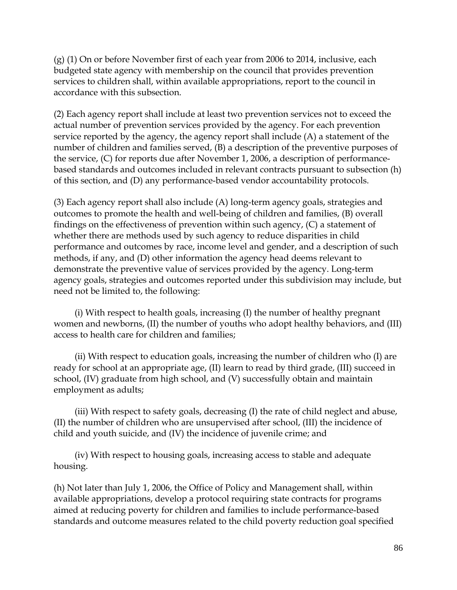(g) (1) On or before November first of each year from 2006 to 2014, inclusive, each budgeted state agency with membership on the council that provides prevention services to children shall, within available appropriations, report to the council in accordance with this subsection.

(2) Each agency report shall include at least two prevention services not to exceed the actual number of prevention services provided by the agency. For each prevention service reported by the agency, the agency report shall include (A) a statement of the number of children and families served, (B) a description of the preventive purposes of the service, (C) for reports due after November 1, 2006, a description of performancebased standards and outcomes included in relevant contracts pursuant to subsection (h) of this section, and (D) any performance-based vendor accountability protocols.

(3) Each agency report shall also include (A) long-term agency goals, strategies and outcomes to promote the health and well-being of children and families, (B) overall findings on the effectiveness of prevention within such agency, (C) a statement of whether there are methods used by such agency to reduce disparities in child performance and outcomes by race, income level and gender, and a description of such methods, if any, and (D) other information the agency head deems relevant to demonstrate the preventive value of services provided by the agency. Long-term agency goals, strategies and outcomes reported under this subdivision may include, but need not be limited to, the following:

(i) With respect to health goals, increasing (I) the number of healthy pregnant women and newborns, (II) the number of youths who adopt healthy behaviors, and (III) access to health care for children and families;

(ii) With respect to education goals, increasing the number of children who (I) are ready for school at an appropriate age, (II) learn to read by third grade, (III) succeed in school, (IV) graduate from high school, and (V) successfully obtain and maintain employment as adults;

(iii) With respect to safety goals, decreasing (I) the rate of child neglect and abuse, (II) the number of children who are unsupervised after school, (III) the incidence of child and youth suicide, and (IV) the incidence of juvenile crime; and

(iv) With respect to housing goals, increasing access to stable and adequate housing.

(h) Not later than July 1, 2006, the Office of Policy and Management shall, within available appropriations, develop a protocol requiring state contracts for programs aimed at reducing poverty for children and families to include performance-based standards and outcome measures related to the child poverty reduction goal specified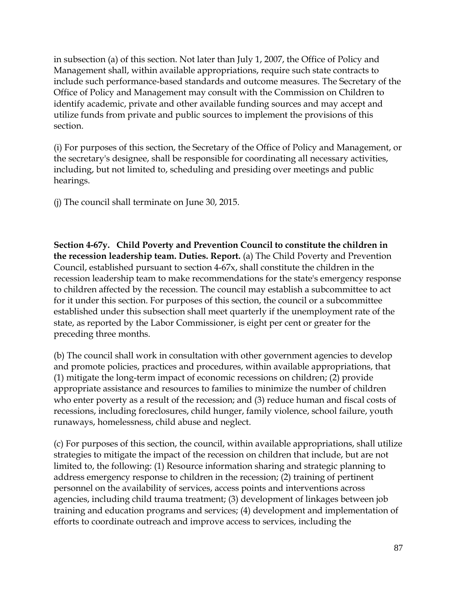in subsection (a) of this section. Not later than July 1, 2007, the Office of Policy and Management shall, within available appropriations, require such state contracts to include such performance-based standards and outcome measures. The Secretary of the Office of Policy and Management may consult with the Commission on Children to identify academic, private and other available funding sources and may accept and utilize funds from private and public sources to implement the provisions of this section.

(i) For purposes of this section, the Secretary of the Office of Policy and Management, or the secretary's designee, shall be responsible for coordinating all necessary activities, including, but not limited to, scheduling and presiding over meetings and public hearings.

(j) The council shall terminate on June 30, 2015.

**Section 4-67y. Child Poverty and Prevention Council to constitute the children in the recession leadership team. Duties. Report.** (a) The Child Poverty and Prevention Council, established pursuant to section 4-67x, shall constitute the children in the recession leadership team to make recommendations for the state's emergency response to children affected by the recession. The council may establish a subcommittee to act for it under this section. For purposes of this section, the council or a subcommittee established under this subsection shall meet quarterly if the unemployment rate of the state, as reported by the Labor Commissioner, is eight per cent or greater for the preceding three months.

(b) The council shall work in consultation with other government agencies to develop and promote policies, practices and procedures, within available appropriations, that (1) mitigate the long-term impact of economic recessions on children; (2) provide appropriate assistance and resources to families to minimize the number of children who enter poverty as a result of the recession; and (3) reduce human and fiscal costs of recessions, including foreclosures, child hunger, family violence, school failure, youth runaways, homelessness, child abuse and neglect.

(c) For purposes of this section, the council, within available appropriations, shall utilize strategies to mitigate the impact of the recession on children that include, but are not limited to, the following: (1) Resource information sharing and strategic planning to address emergency response to children in the recession; (2) training of pertinent personnel on the availability of services, access points and interventions across agencies, including child trauma treatment; (3) development of linkages between job training and education programs and services; (4) development and implementation of efforts to coordinate outreach and improve access to services, including the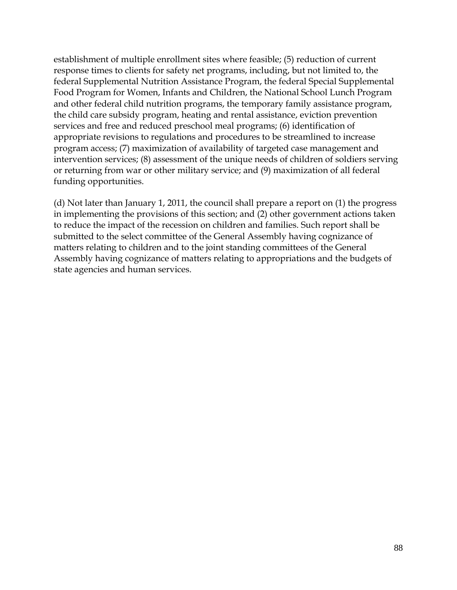establishment of multiple enrollment sites where feasible; (5) reduction of current response times to clients for safety net programs, including, but not limited to, the federal Supplemental Nutrition Assistance Program, the federal Special Supplemental Food Program for Women, Infants and Children, the National School Lunch Program and other federal child nutrition programs, the temporary family assistance program, the child care subsidy program, heating and rental assistance, eviction prevention services and free and reduced preschool meal programs; (6) identification of appropriate revisions to regulations and procedures to be streamlined to increase program access; (7) maximization of availability of targeted case management and intervention services; (8) assessment of the unique needs of children of soldiers serving or returning from war or other military service; and (9) maximization of all federal funding opportunities.

(d) Not later than January 1, 2011, the council shall prepare a report on (1) the progress in implementing the provisions of this section; and (2) other government actions taken to reduce the impact of the recession on children and families. Such report shall be submitted to the select committee of the General Assembly having cognizance of matters relating to children and to the joint standing committees of the General Assembly having cognizance of matters relating to appropriations and the budgets of state agencies and human services.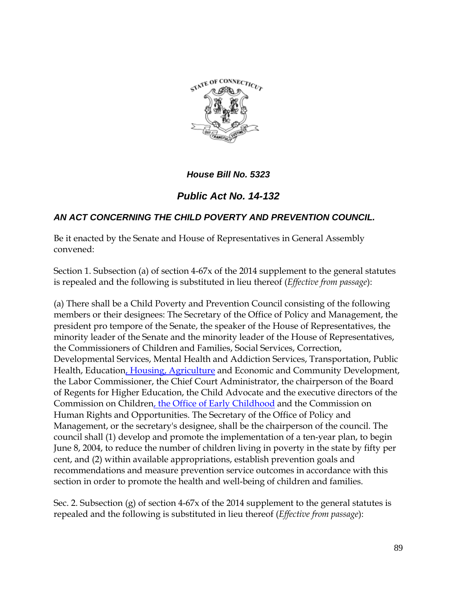

*House Bill No. 5323*

### *Public Act No. 14-132*

#### *AN ACT CONCERNING THE CHILD POVERTY AND PREVENTION COUNCIL.*

Be it enacted by the Senate and House of Representatives in General Assembly convened:

Section 1. Subsection (a) of section 4-67x of the 2014 supplement to the general statutes is repealed and the following is substituted in lieu thereof (*Effective from passage*):

(a) There shall be a Child Poverty and Prevention Council consisting of the following members or their designees: The Secretary of the Office of Policy and Management, the president pro tempore of the Senate, the speaker of the House of Representatives, the minority leader of the Senate and the minority leader of the House of Representatives, the Commissioners of Children and Families, Social Services, Correction, Developmental Services, Mental Health and Addiction Services, Transportation, Public Health, Education, Housing, Agriculture and Economic and Community Development, the Labor Commissioner, the Chief Court Administrator, the chairperson of the Board of Regents for Higher Education, the Child Advocate and the executive directors of the Commission on Children, the Office of Early Childhood and the Commission on Human Rights and Opportunities. The Secretary of the Office of Policy and Management, or the secretary's designee, shall be the chairperson of the council. The council shall (1) develop and promote the implementation of a ten-year plan, to begin June 8, 2004, to reduce the number of children living in poverty in the state by fifty per cent, and (2) within available appropriations, establish prevention goals and recommendations and measure prevention service outcomes in accordance with this section in order to promote the health and well-being of children and families.

Sec. 2. Subsection (g) of section 4-67x of the 2014 supplement to the general statutes is repealed and the following is substituted in lieu thereof (*Effective from passage*):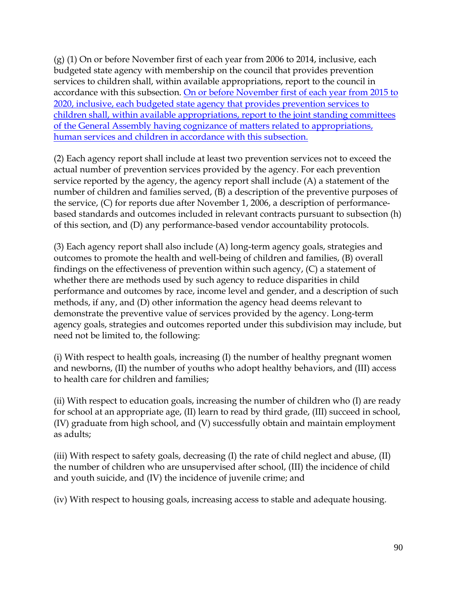(g) (1) On or before November first of each year from 2006 to 2014, inclusive, each budgeted state agency with membership on the council that provides prevention services to children shall, within available appropriations, report to the council in accordance with this subsection. On or before November first of each year from 2015 to 2020, inclusive, each budgeted state agency that provides prevention services to children shall, within available appropriations, report to the joint standing committees of the General Assembly having cognizance of matters related to appropriations, human services and children in accordance with this subsection.

(2) Each agency report shall include at least two prevention services not to exceed the actual number of prevention services provided by the agency. For each prevention service reported by the agency, the agency report shall include (A) a statement of the number of children and families served, (B) a description of the preventive purposes of the service, (C) for reports due after November 1, 2006, a description of performancebased standards and outcomes included in relevant contracts pursuant to subsection (h) of this section, and (D) any performance-based vendor accountability protocols.

(3) Each agency report shall also include (A) long-term agency goals, strategies and outcomes to promote the health and well-being of children and families, (B) overall findings on the effectiveness of prevention within such agency, (C) a statement of whether there are methods used by such agency to reduce disparities in child performance and outcomes by race, income level and gender, and a description of such methods, if any, and (D) other information the agency head deems relevant to demonstrate the preventive value of services provided by the agency. Long-term agency goals, strategies and outcomes reported under this subdivision may include, but need not be limited to, the following:

(i) With respect to health goals, increasing (I) the number of healthy pregnant women and newborns, (II) the number of youths who adopt healthy behaviors, and (III) access to health care for children and families;

(ii) With respect to education goals, increasing the number of children who (I) are ready for school at an appropriate age, (II) learn to read by third grade, (III) succeed in school, (IV) graduate from high school, and (V) successfully obtain and maintain employment as adults;

(iii) With respect to safety goals, decreasing (I) the rate of child neglect and abuse, (II) the number of children who are unsupervised after school, (III) the incidence of child and youth suicide, and (IV) the incidence of juvenile crime; and

(iv) With respect to housing goals, increasing access to stable and adequate housing.